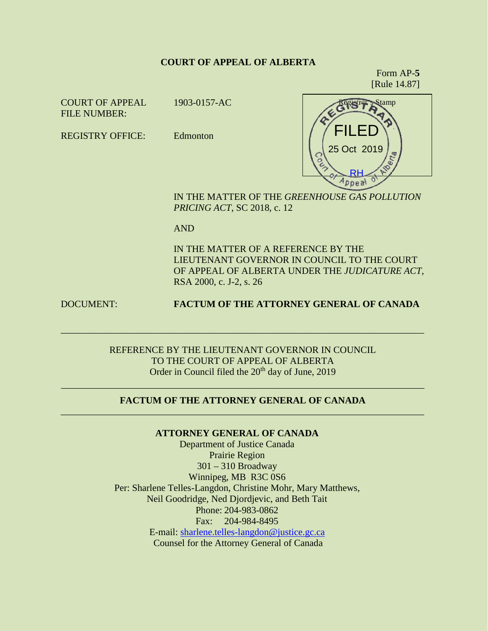#### **COURT OF APPEAL OF ALBERTA**

Form AP-**5** [Rule 14.87]

COURT OF APPEAL FILE NUMBER:

1903-0157-AC

REGISTRY OFFICE: Edmonton



IN THE MATTER OF THE *GREENHOUSE GAS POLLUTION PRICING ACT*, SC 2018, c. 12

AND

IN THE MATTER OF A REFERENCE BY THE LIEUTENANT GOVERNOR IN COUNCIL TO THE COURT OF APPEAL OF ALBERTA UNDER THE *JUDICATURE ACT*, RSA 2000, c. J-2, s. 26

## DOCUMENT: **FACTUM OF THE ATTORNEY GENERAL OF CANADA**

REFERENCE BY THE LIEUTENANT GOVERNOR IN COUNCIL TO THE COURT OF APPEAL OF ALBERTA Order in Council filed the 20<sup>th</sup> day of June, 2019

\_\_\_\_\_\_\_\_\_\_\_\_\_\_\_\_\_\_\_\_\_\_\_\_\_\_\_\_\_\_\_\_\_\_\_\_\_\_\_\_\_\_\_\_\_\_\_\_\_\_\_\_\_\_\_\_\_\_\_\_\_\_\_\_\_\_\_\_\_\_\_\_\_\_\_\_

## \_\_\_\_\_\_\_\_\_\_\_\_\_\_\_\_\_\_\_\_\_\_\_\_\_\_\_\_\_\_\_\_\_\_\_\_\_\_\_\_\_\_\_\_\_\_\_\_\_\_\_\_\_\_\_\_\_\_\_\_\_\_\_\_\_\_\_\_\_\_\_\_\_\_\_\_ **FACTUM OF THE ATTORNEY GENERAL OF CANADA** \_\_\_\_\_\_\_\_\_\_\_\_\_\_\_\_\_\_\_\_\_\_\_\_\_\_\_\_\_\_\_\_\_\_\_\_\_\_\_\_\_\_\_\_\_\_\_\_\_\_\_\_\_\_\_\_\_\_\_\_\_\_\_\_\_\_\_\_\_\_\_\_\_\_\_\_

**ATTORNEY GENERAL OF CANADA**

Department of Justice Canada Prairie Region 301 – 310 Broadway Winnipeg, MB R3C 0S6 Per: Sharlene Telles-Langdon, Christine Mohr, Mary Matthews, Neil Goodridge, Ned Djordjevic, and Beth Tait Phone: 204-983-0862 Fax: 204-984-8495 E-mail: [sharlene.telles-langdon@justice.gc.ca](mailto:sharlene.telles-langdon@justice.gc.ca) Counsel for the Attorney General of Canada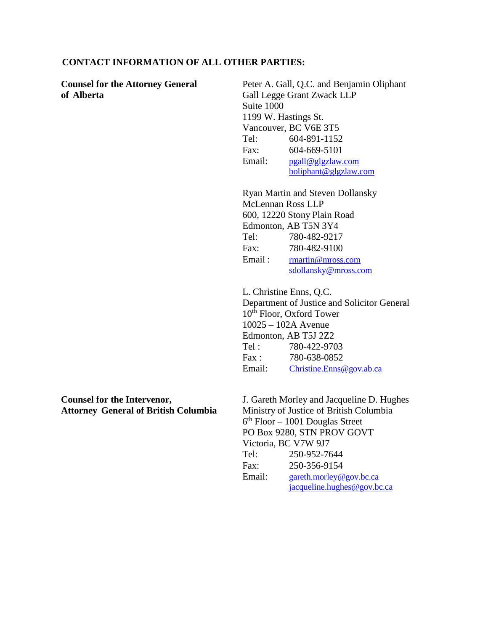### **CONTACT INFORMATION OF ALL OTHER PARTIES:**

**Counsel for the Attorney General of Alberta** Peter A. Gall, Q.C. and Benjamin Oliphant Gall Legge Grant Zwack LLP Suite 1000 1199 W. Hastings St. Vancouver, BC V6E 3T5 Tel: 604-891-1152 Fax: 604-669-5101 Email: [pgall@glgzlaw.com](mailto:pgall@glgzlaw.com) [boliphant@glgzlaw.com](mailto:boliphant@glgzlaw.com) Ryan Martin and Steven Dollansky McLennan Ross LLP 600, 12220 Stony Plain Road Edmonton, AB T5N 3Y4 Tel: 780-482-9217 Fax: 780-482-9100 Email: [rmartin@mross.com](mailto:rmartin@mross.com) [sdollansky@mross.com](mailto:sdollansky@mross.com) L. Christine Enns, Q.C. Department of Justice and Solicitor General  $10^{th}$  Floor, Oxford Tower 10025 – 102A Avenue Edmonton, AB T5J 2Z2 Tel : 780-422-9703 Fax : 780-638-0852 Email: [Christine.Enns@gov.ab.ca](mailto:Christine.Enns@gov.ab.ca) **Counsel for the Intervenor, Attorney General of British Columbia** J. Gareth Morley and Jacqueline D. Hughes Ministry of Justice of British Columbia  $6<sup>th</sup>$  Floor – 1001 Douglas Street PO Box 9280, STN PROV GOVT Victoria, BC V7W 9J7

Tel: 250-952-7644 Fax: 250-356-9154 Email: [gareth.morley@gov.bc.ca](mailto:gareth.morley@gov.bc.ca) [jacqueline.hughes@gov.bc.ca](mailto:jacqueline.hughes@gov.bc.ca)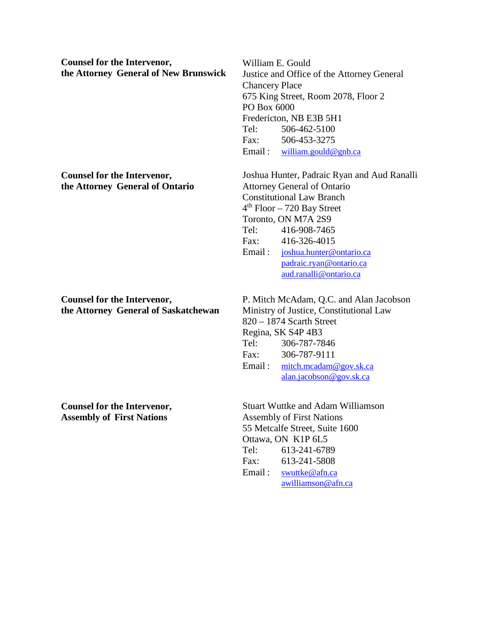**Counsel for the Intervenor, the Attorney General of New Brunswick**

**Counsel for the Intervenor, the Attorney General of Ontario**

**Counsel for the Intervenor, the Attorney General of Saskatchewan** William E. Gould Justice and Office of the Attorney General Chancery Place 675 King Street, Room 2078, Floor 2 PO Box 6000 Fredericton, NB E3B 5H1 Tel: 506-462-5100 Fax: 506-453-3275 Email : [william.gould@gnb.ca](mailto:william.gould@gnb.ca)

Joshua Hunter, Padraic Ryan and Aud Ranalli Attorney General of Ontario Constitutional Law Branch  $4<sup>th</sup>$  Floor – 720 Bay Street Toronto, ON M7A 2S9 Tel: 416-908-7465 Fax: 416-326-4015 Email : [joshua.hunter@ontario.ca](mailto:joshua.hunter@ontario.ca) [padraic.ryan@ontario.ca](mailto:padraic.ryan@ontario.ca) [aud.ranalli@ontario.ca](mailto:aud.ranalli@ontario.ca)

P. Mitch McAdam, Q.C. and Alan Jacobson Ministry of Justice, Constitutional Law 820 – 1874 Scarth Street Regina, SK S4P 4B3 Tel: 306-787-7846 Fax: 306-787-9111 Email: [mitch.mcadam@gov.sk.ca](mailto:mitch.mcadam@gov.sk.ca) [alan.jacobson@gov.sk.ca](mailto:alan.jacobson@gov.sk.ca)

Stuart Wuttke and Adam Williamson Assembly of First Nations 55 Metcalfe Street, Suite 1600 Ottawa, ON K1P 6L5 Tel: 613-241-6789 Fax: 613-241-5808 Email: [swuttke@afn.ca](mailto:swuttke@afn.ca) [awilliamson@afn.ca](mailto:awilliamson@afn.ca)

**Counsel for the Intervenor, Assembly of First Nations**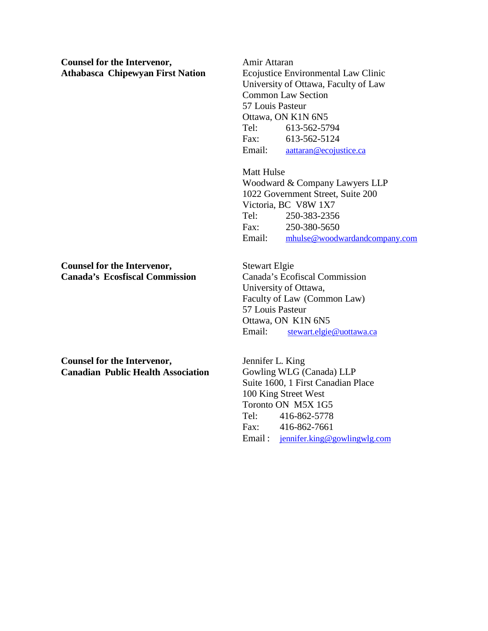**Counsel for the Intervenor, Athabasca Chipewyan First Nation**

**Counsel for the Intervenor, Canada's Ecosfiscal Commission**

**Counsel for the Intervenor, Canadian Public Health Association** Amir Attaran

Ecojustice Environmental Law Clinic University of Ottawa, Faculty of Law Common Law Section 57 Louis Pasteur Ottawa, ON K1N 6N5 Tel: 613-562-5794 Fax: 613-562-5124 Email: [aattaran@ecojustice.ca](mailto:aattaran@ecojustice.ca)

Matt Hulse Woodward & Company Lawyers LLP 1022 Government Street, Suite 200 Victoria, BC V8W 1X7 Tel: 250-383-2356 Fax: 250-380-5650 Email: [mhulse@woodwardandcompany.com](mailto:mhulse@woodwardandcompany.com)

Stewart Elgie Canada's Ecofiscal Commission University of Ottawa, Faculty of Law (Common Law) 57 Louis Pasteur Ottawa, ON K1N 6N5 Email: [stewart.elgie@uottawa.ca](mailto:stewart.elgie@uottawa.ca)

Jennifer L. King Gowling WLG (Canada) LLP Suite 1600, 1 First Canadian Place 100 King Street West Toronto ON M5X 1G5 Tel: 416-862-5778 Fax: 416-862-7661 Email : [jennifer.king@gowlingwlg.com](mailto:jennifer.king@gowlingwlg.com)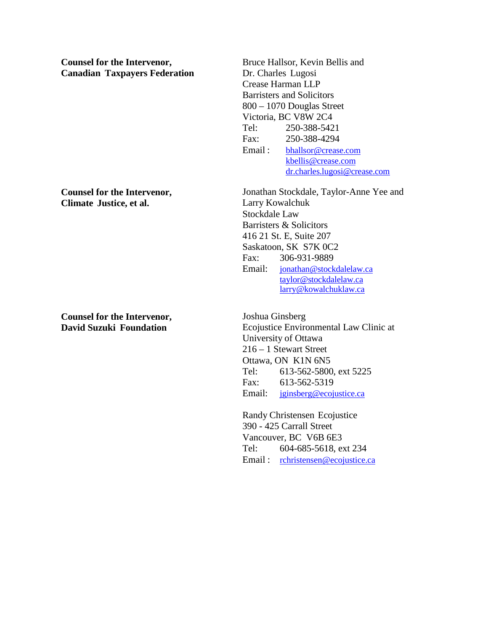**Counsel for the Intervenor, Canadian Taxpayers Federation**

**Counsel for the Intervenor, Climate Justice, et al.**

**Counsel for the Intervenor, David Suzuki Foundation**

Bruce Hallsor, Kevin Bellis and Dr. Charles Lugosi Crease Harman LLP Barristers and Solicitors 800 – 1070 Douglas Street Victoria, BC V8W 2C4 Tel: 250-388-5421 Fax: 250-388-4294 Email : [bhallsor@crease.com](mailto:bhallsor@crease.com) [kbellis@crease.com](mailto:kbellis@crease.com) [dr.charles.lugosi@crease.com](mailto:dr.charles.lugosi@crease.com)

Jonathan Stockdale, Taylor-Anne Yee and Larry Kowalchuk Stockdale Law Barristers & Solicitors 416 21 St. E, Suite 207 Saskatoon, SK S7K 0C2 Fax: 306-931-9889 Email: [jonathan@stockdalelaw.ca](mailto:jonathan@stockdalelaw.ca) [taylor@stockdalelaw.ca](mailto:taylor@stockdalelaw.ca) [larry@kowalchuklaw.ca](mailto:larry@kowalchuklaw.ca)

Joshua Ginsberg Ecojustice Environmental Law Clinic at University of Ottawa 216 – 1 Stewart Street Ottawa, ON K1N 6N5 Tel: 613-562-5800, ext 5225 Fax: 613-562-5319 Email: [jginsberg@ecojustice.ca](mailto:jginsberg@ecojustice.ca)

Randy Christensen Ecojustice 390 - 425 Carrall Street Vancouver, BC V6B 6E3 Tel: 604-685-5618, ext 234 Email : [rchristensen@ecojustice.ca](mailto:rchristensen@ecojustice.ca)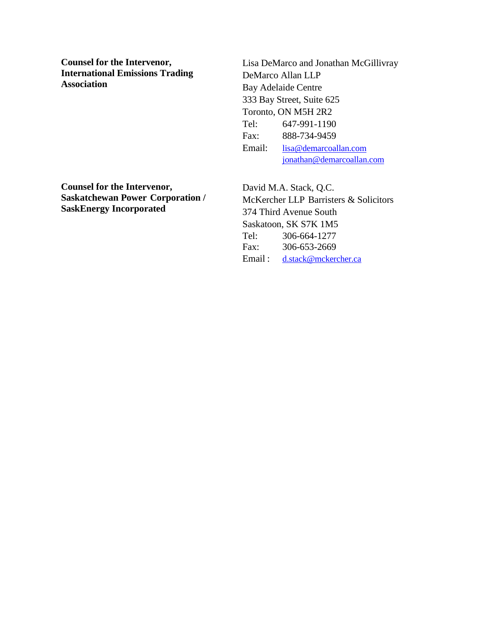**Counsel for the Intervenor, International Emissions Trading Association**

Lisa DeMarco and Jonathan McGillivray DeMarco Allan LLP Bay Adelaide Centre 333 Bay Street, Suite 625 Toronto, ON M5H 2R2 Tel: 647-991-1190 Fax: 888-734-9459 Email: [lisa@demarcoallan.com](mailto:lisa@demarcoallan.com) [jonathan@demarcoallan.com](mailto:jonathan@demarcoallan.com)

**Counsel for the Intervenor, Saskatchewan Power Corporation / SaskEnergy Incorporated**

David M.A. Stack, Q.C. McKercher LLP Barristers & Solicitors 374 Third Avenue South Saskatoon, SK S7K 1M5 Tel: 306-664-1277 Fax: 306-653-2669 Email : [d.stack@mckercher.ca](mailto:d.stack@mckercher.ca)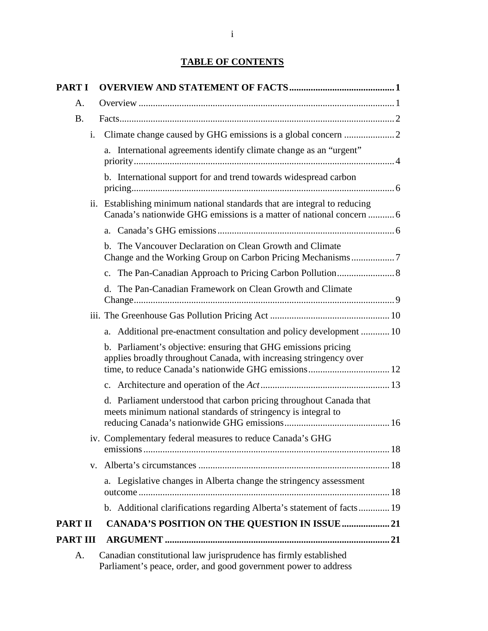# **TABLE OF CONTENTS**

| <b>PART I</b>   |                                                                                                                                                   |
|-----------------|---------------------------------------------------------------------------------------------------------------------------------------------------|
| А.              |                                                                                                                                                   |
| <b>B.</b>       |                                                                                                                                                   |
| i.              |                                                                                                                                                   |
|                 | a. International agreements identify climate change as an "urgent"                                                                                |
|                 | b. International support for and trend towards widespread carbon                                                                                  |
|                 | ii. Establishing minimum national standards that are integral to reducing<br>Canada's nationwide GHG emissions is a matter of national concern  6 |
|                 |                                                                                                                                                   |
|                 | b. The Vancouver Declaration on Clean Growth and Climate<br>Change and the Working Group on Carbon Pricing Mechanisms7                            |
|                 |                                                                                                                                                   |
|                 | d. The Pan-Canadian Framework on Clean Growth and Climate                                                                                         |
|                 |                                                                                                                                                   |
|                 | a. Additional pre-enactment consultation and policy development  10                                                                               |
|                 | b. Parliament's objective: ensuring that GHG emissions pricing<br>applies broadly throughout Canada, with increasing stringency over              |
|                 |                                                                                                                                                   |
|                 | d. Parliament understood that carbon pricing throughout Canada that<br>meets minimum national standards of stringency is integral to              |
|                 | iv. Complementary federal measures to reduce Canada's GHG                                                                                         |
|                 |                                                                                                                                                   |
|                 | a. Legislative changes in Alberta change the stringency assessment                                                                                |
|                 | b. Additional clarifications regarding Alberta's statement of facts 19                                                                            |
| <b>PART II</b>  | <b>CANADA'S POSITION ON THE QUESTION IN ISSUE  21</b>                                                                                             |
| <b>PART III</b> |                                                                                                                                                   |
| A.              | Canadian constitutional law jurisprudence has firmly established<br>Parliament's peace, order, and good government power to address               |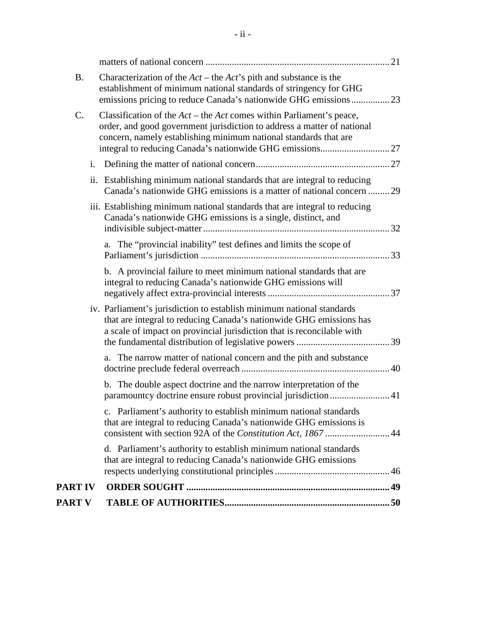| <b>B.</b>      |                | Characterization of the $Act$ – the $Act'$ s pith and substance is the<br>establishment of minimum national standards of stringency for GHG<br>emissions pricing to reduce Canada's nationwide GHG emissions23         |  |
|----------------|----------------|------------------------------------------------------------------------------------------------------------------------------------------------------------------------------------------------------------------------|--|
| C.             |                | Classification of the $Act$ – the Act comes within Parliament's peace,<br>order, and good government jurisdiction to address a matter of national<br>concern, namely establishing minimum national standards that are  |  |
|                | $\mathbf{i}$ . |                                                                                                                                                                                                                        |  |
|                |                | ii. Establishing minimum national standards that are integral to reducing<br>Canada's nationwide GHG emissions is a matter of national concern  29                                                                     |  |
|                |                | iii. Establishing minimum national standards that are integral to reducing<br>Canada's nationwide GHG emissions is a single, distinct, and                                                                             |  |
|                |                | a. The "provincial inability" test defines and limits the scope of                                                                                                                                                     |  |
|                |                | b. A provincial failure to meet minimum national standards that are<br>integral to reducing Canada's nationwide GHG emissions will                                                                                     |  |
|                |                | iv. Parliament's jurisdiction to establish minimum national standards<br>that are integral to reducing Canada's nationwide GHG emissions has<br>a scale of impact on provincial jurisdiction that is reconcilable with |  |
|                |                | a. The narrow matter of national concern and the pith and substance                                                                                                                                                    |  |
|                |                | b. The double aspect doctrine and the narrow interpretation of the<br>paramountcy doctrine ensure robust provincial jurisdiction 41                                                                                    |  |
|                |                | c. Parliament's authority to establish minimum national standards<br>that are integral to reducing Canada's nationwide GHG emissions is                                                                                |  |
|                |                | d. Parliament's authority to establish minimum national standards<br>that are integral to reducing Canada's nationwide GHG emissions                                                                                   |  |
| <b>PART IV</b> |                |                                                                                                                                                                                                                        |  |
| <b>PART V</b>  |                |                                                                                                                                                                                                                        |  |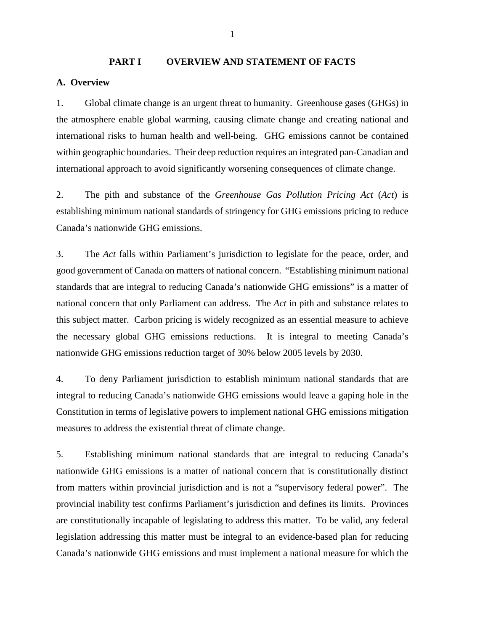## <span id="page-8-1"></span><span id="page-8-0"></span>**PART I OVERVIEW AND STATEMENT OF FACTS A. Overview**

1. Global climate change is an urgent threat to humanity. Greenhouse gases (GHGs) in the atmosphere enable global warming, causing climate change and creating national and international risks to human health and well-being. GHG emissions cannot be contained within geographic boundaries. Their deep reduction requires an integrated pan-Canadian and international approach to avoid significantly worsening consequences of climate change.

2. The pith and substance of the *Greenhouse Gas Pollution Pricing Act* (*Act*) is establishing minimum national standards of stringency for GHG emissions pricing to reduce Canada's nationwide GHG emissions.

3. The *Act* falls within Parliament's jurisdiction to legislate for the peace, order, and good government of Canada on matters of national concern. "Establishing minimum national standards that are integral to reducing Canada's nationwide GHG emissions" is a matter of national concern that only Parliament can address. The *Act* in pith and substance relates to this subject matter. Carbon pricing is widely recognized as an essential measure to achieve the necessary global GHG emissions reductions. It is integral to meeting Canada's nationwide GHG emissions reduction target of 30% below 2005 levels by 2030.

4. To deny Parliament jurisdiction to establish minimum national standards that are integral to reducing Canada's nationwide GHG emissions would leave a gaping hole in the Constitution in terms of legislative powers to implement national GHG emissions mitigation measures to address the existential threat of climate change.

5. Establishing minimum national standards that are integral to reducing Canada's nationwide GHG emissions is a matter of national concern that is constitutionally distinct from matters within provincial jurisdiction and is not a "supervisory federal power". The provincial inability test confirms Parliament's jurisdiction and defines its limits. Provinces are constitutionally incapable of legislating to address this matter. To be valid, any federal legislation addressing this matter must be integral to an evidence-based plan for reducing Canada's nationwide GHG emissions and must implement a national measure for which the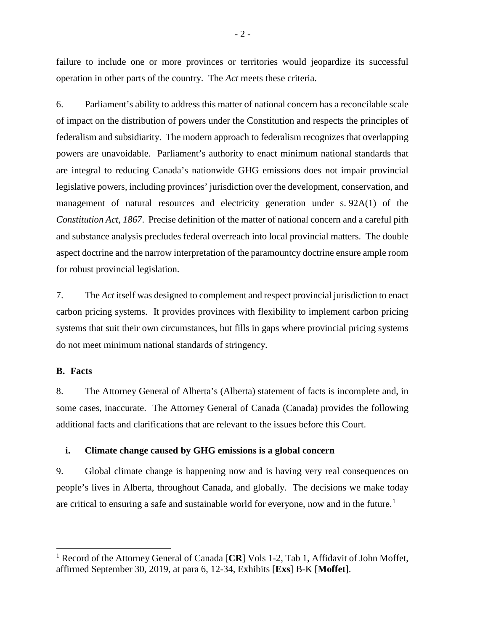failure to include one or more provinces or territories would jeopardize its successful operation in other parts of the country. The *Act* meets these criteria.

6. Parliament's ability to address this matter of national concern has a reconcilable scale of impact on the distribution of powers under the Constitution and respects the principles of federalism and subsidiarity. The modern approach to federalism recognizes that overlapping powers are unavoidable. Parliament's authority to enact minimum national standards that are integral to reducing Canada's nationwide GHG emissions does not impair provincial legislative powers, including provinces' jurisdiction over the development, conservation, and management of natural resources and electricity generation under s. 92A(1) of the *Constitution Act, 1867*. Precise definition of the matter of national concern and a careful pith and substance analysis precludes federal overreach into local provincial matters. The double aspect doctrine and the narrow interpretation of the paramountcy doctrine ensure ample room for robust provincial legislation.

7. The *Act* itself was designed to complement and respect provincial jurisdiction to enact carbon pricing systems. It provides provinces with flexibility to implement carbon pricing systems that suit their own circumstances, but fills in gaps where provincial pricing systems do not meet minimum national standards of stringency.

#### <span id="page-9-0"></span>**B. Facts**

8. The Attorney General of Alberta's (Alberta) statement of facts is incomplete and, in some cases, inaccurate. The Attorney General of Canada (Canada) provides the following additional facts and clarifications that are relevant to the issues before this Court.

#### <span id="page-9-1"></span>**i. Climate change caused by GHG emissions is a global concern**

9. Global climate change is happening now and is having very real consequences on people's lives in Alberta, throughout Canada, and globally. The decisions we make today are critical to ensuring a safe and sustainable world for everyone, now and in the future. [1](#page-9-2)

<span id="page-9-2"></span><sup>&</sup>lt;sup>1</sup> Record of the Attorney General of Canada [CR] Vols 1-2, Tab 1, Affidavit of John Moffet, affirmed September 30, 2019, at para 6, 12-34, Exhibits [**Exs**] B-K [**Moffet**].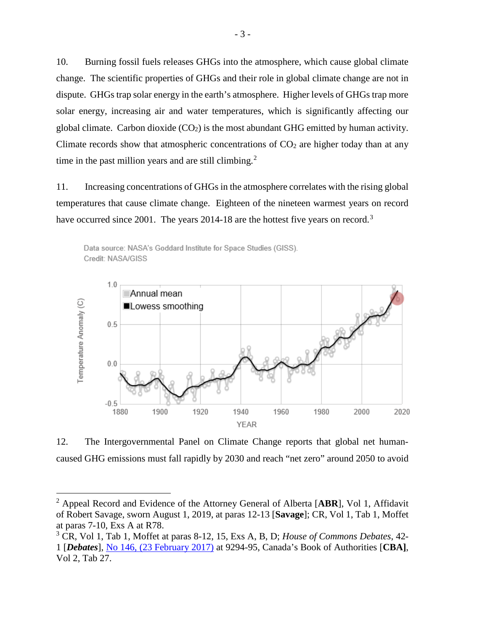10. Burning fossil fuels releases GHGs into the atmosphere, which cause global climate change. The scientific properties of GHGs and their role in global climate change are not in dispute. GHGs trap solar energy in the earth's atmosphere. Higher levels of GHGs trap more solar energy, increasing air and water temperatures, which is significantly affecting our global climate. Carbon dioxide  $(CO_2)$  is the most abundant GHG emitted by human activity. Climate records show that atmospheric concentrations of  $CO<sub>2</sub>$  are higher today than at any time in the past million years and are still climbing.<sup>[2](#page-10-0)</sup>

11. Increasing concentrations of GHGs in the atmosphere correlates with the rising global temperatures that cause climate change. Eighteen of the nineteen warmest years on record have occurred since 2001. The years 2014-18 are the hottest five years on record.<sup>[3](#page-10-1)</sup>





12. The Intergovernmental Panel on Climate Change reports that global net humancaused GHG emissions must fall rapidly by 2030 and reach "net zero" around 2050 to avoid

<span id="page-10-0"></span> <sup>2</sup> Appeal Record and Evidence of the Attorney General of Alberta [**ABR**], Vol 1, Affidavit of Robert Savage, sworn August 1, 2019, at paras 12-13 [**Savage**]; CR, Vol 1, Tab 1, Moffet at paras 7-10, Exs A at R78.

<span id="page-10-1"></span><sup>3</sup> CR, Vol 1, Tab 1, Moffet at paras 8-12, 15, Exs A, B, D; *House of Commons Debates*, 42- 1 [*Debates*], No 146, [\(23 February 2017\)](http://www.ourcommons.ca/Content/House/421/Debates/146/HAN146-E.PDF) at 9294-95, Canada's Book of Authorities [**CBA]**, Vol 2, Tab 27.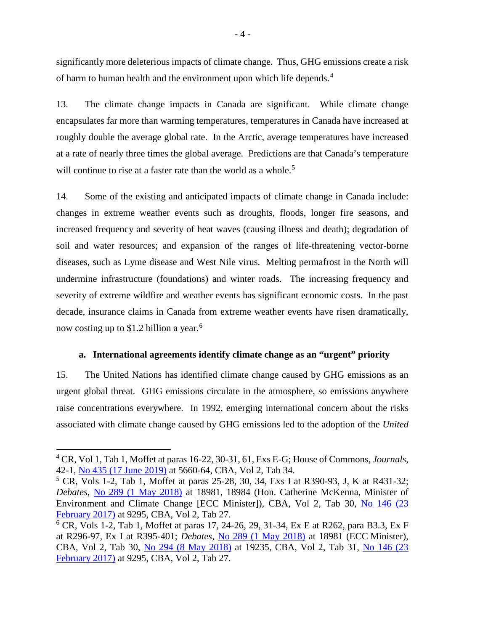significantly more deleterious impacts of climate change. Thus, GHG emissions create a risk of harm to human health and the environment upon which life depends.[4](#page-11-1)

13. The climate change impacts in Canada are significant. While climate change encapsulates far more than warming temperatures, temperatures in Canada have increased at roughly double the average global rate. In the Arctic, average temperatures have increased at a rate of nearly three times the global average. Predictions are that Canada's temperature will continue to rise at a faster rate than the world as a whole.<sup>[5](#page-11-2)</sup>

14. Some of the existing and anticipated impacts of climate change in Canada include: changes in extreme weather events such as droughts, floods, longer fire seasons, and increased frequency and severity of heat waves (causing illness and death); degradation of soil and water resources; and expansion of the ranges of life-threatening vector-borne diseases, such as Lyme disease and West Nile virus. Melting permafrost in the North will undermine infrastructure (foundations) and winter roads. The increasing frequency and severity of extreme wildfire and weather events has significant economic costs. In the past decade, insurance claims in Canada from extreme weather events have risen dramatically, now costing up to \$1.2 billion a year.<sup>[6](#page-11-3)</sup>

## **a. International agreements identify climate change as an "urgent" priority**

<span id="page-11-0"></span>15. The United Nations has identified climate change caused by GHG emissions as an urgent global threat. GHG emissions circulate in the atmosphere, so emissions anywhere raise concentrations everywhere. In 1992, emerging international concern about the risks associated with climate change caused by GHG emissions led to the adoption of the *United* 

<span id="page-11-1"></span> <sup>4</sup> CR, Vol 1, Tab 1, Moffet at paras 16-22, 30-31, 61, Exs E-G; House of Commons, *Journals*, 42-1, [No 435 \(17 June 2019\)](hhttps://www.ourcommons.ca/Content/House/421/Journals/435/Journal435.PDF) at 5660-64, CBA, Vol 2, Tab 34.

<span id="page-11-2"></span><sup>5</sup> CR, Vols 1-2, Tab 1, Moffet at paras 25-28, 30, 34, Exs I at R390-93, J, K at R431-32; *Debates*, No 289 [\(1 May 2018\)](http://www.ourcommons.ca/Content/House/421/Debates/289/HAN289-E.PDF) at 18981, 18984 (Hon. Catherine McKenna, Minister of Environment and Climate Change [ECC Minister]), CBA, Vol 2, Tab 30, [No 146 \(23](http://www.ourcommons.ca/Content/House/421/Debates/146/HAN146-E.PDF)  [February 2017\)](http://www.ourcommons.ca/Content/House/421/Debates/146/HAN146-E.PDF) at 9295, CBA, Vol 2, Tab 27.

<span id="page-11-3"></span><sup>6</sup> CR, Vols 1-2, Tab 1, Moffet at paras 17, 24-26, 29, 31-34, Ex E at R262, para B3.3, Ex F at R296-97, Ex I at R395-401; *Debates*, [No 289 \(1 May 2018\)](http://www.ourcommons.ca/Content/House/421/Debates/289/HAN289-E.PDF) at 18981 (ECC Minister), CBA, Vol 2, Tab 30, [No 294 \(8 May 2018\)](http://www.ourcommons.ca/Content/House/421/Debates/294/HAN294-E.PDF) at 19235, CBA, Vol 2, Tab 31, [No 146 \(23](http://www.ourcommons.ca/Content/House/421/Debates/146/HAN146-E.PDF)  [February 2017\)](http://www.ourcommons.ca/Content/House/421/Debates/146/HAN146-E.PDF) at 9295, CBA, Vol 2, Tab 27.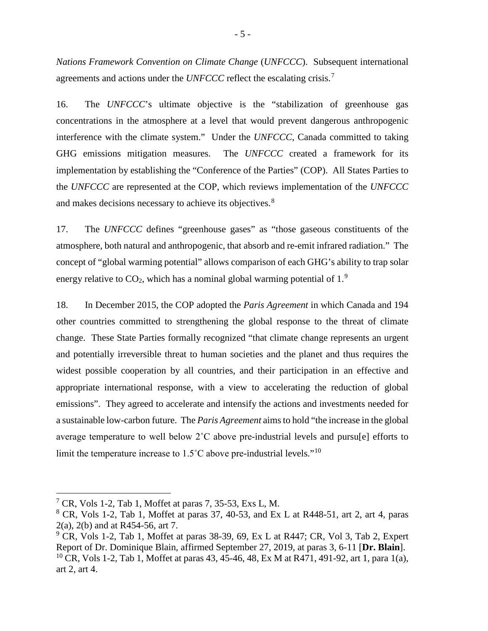*Nations Framework Convention on Climate Change* (*UNFCCC*). Subsequent international agreements and actions under the *UNFCCC* reflect the escalating crisis.<sup>[7](#page-12-0)</sup>

16. The *UNFCCC*'s ultimate objective is the "stabilization of greenhouse gas concentrations in the atmosphere at a level that would prevent dangerous anthropogenic interference with the climate system." Under the *UNFCCC*, Canada committed to taking GHG emissions mitigation measures. The *UNFCCC* created a framework for its implementation by establishing the "Conference of the Parties" (COP). All States Parties to the *UNFCCC* are represented at the COP, which reviews implementation of the *UNFCCC*  and makes decisions necessary to achieve its objectives.<sup>[8](#page-12-1)</sup>

17. The *UNFCCC* defines "greenhouse gases" as "those gaseous constituents of the atmosphere, both natural and anthropogenic, that absorb and re-emit infrared radiation." The concept of "global warming potential" allows comparison of each GHG's ability to trap solar energy relative to  $CO<sub>2</sub>$ , which has a nominal global warming potential of 1.<sup>[9](#page-12-2)</sup>

18. In December 2015, the COP adopted the *Paris Agreement* in which Canada and 194 other countries committed to strengthening the global response to the threat of climate change. These State Parties formally recognized "that climate change represents an urgent and potentially irreversible threat to human societies and the planet and thus requires the widest possible cooperation by all countries, and their participation in an effective and appropriate international response, with a view to accelerating the reduction of global emissions". They agreed to accelerate and intensify the actions and investments needed for a sustainable low-carbon future. The *Paris Agreement* aims to hold "the increase in the global average temperature to well below 2˚C above pre-industrial levels and pursu[e] efforts to limit the temperature increase to  $1.5^{\circ}$ C above pre-industrial levels."<sup>[10](#page-12-3)</sup>

<span id="page-12-0"></span> $7$  CR, Vols 1-2, Tab 1, Moffet at paras 7, 35-53, Exs L, M.

<span id="page-12-1"></span> $8$  CR, Vols 1-2, Tab 1, Moffet at paras 37, 40-53, and Ex L at R448-51, art 2, art 4, paras 2(a), 2(b) and at R454-56, art 7.

<span id="page-12-3"></span><span id="page-12-2"></span> $9^\circ$  CR, Vols 1-2, Tab 1, Moffet at paras 38-39, 69, Ex L at R447; CR, Vol 3, Tab 2, Expert Report of Dr. Dominique Blain, affirmed September 27, 2019, at paras 3, 6-11 [**Dr. Blain**]. <sup>10</sup> CR, Vols 1-2, Tab 1, Moffet at paras 43, 45-46, 48, Ex M at R471, 491-92, art 1, para 1(a), art 2, art 4.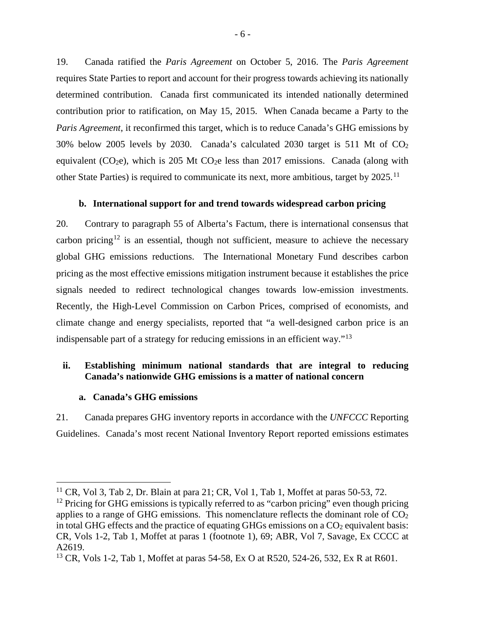19. Canada ratified the *Paris Agreement* on October 5, 2016. The *Paris Agreement* requires State Parties to report and account for their progress towards achieving its nationally determined contribution. Canada first communicated its intended nationally determined contribution prior to ratification, on May 15, 2015. When Canada became a Party to the *Paris Agreement*, it reconfirmed this target, which is to reduce Canada's GHG emissions by 30% below 2005 levels by 2030. Canada's calculated 2030 target is 511 Mt of CO2 equivalent ( $CO<sub>2</sub>e$ ), which is 205 Mt  $CO<sub>2</sub>e$  less than 2017 emissions. Canada (along with other State Parties) is required to communicate its next, more ambitious, target by 2025.<sup>[11](#page-13-3)</sup>

#### **b. International support for and trend towards widespread carbon pricing**

<span id="page-13-0"></span>20. Contrary to paragraph 55 of Alberta's Factum, there is international consensus that carbon pricing<sup>[12](#page-13-4)</sup> is an essential, though not sufficient, measure to achieve the necessary global GHG emissions reductions. The International Monetary Fund describes carbon pricing as the most effective emissions mitigation instrument because it establishes the price signals needed to redirect technological changes towards low-emission investments. Recently, the High-Level Commission on Carbon Prices, comprised of economists, and climate change and energy specialists, reported that "a well-designed carbon price is an indispensable part of a strategy for reducing emissions in an efficient way."<sup>[13](#page-13-5)</sup>

## <span id="page-13-1"></span>**ii. Establishing minimum national standards that are integral to reducing Canada's nationwide GHG emissions is a matter of national concern**

#### **a. Canada's GHG emissions**

<span id="page-13-2"></span>21. Canada prepares GHG inventory reports in accordance with the *UNFCCC* Reporting Guidelines. Canada's most recent National Inventory Report reported emissions estimates

<span id="page-13-3"></span> $11$  CR, Vol 3, Tab 2, Dr. Blain at para 21; CR, Vol 1, Tab 1, Moffet at paras 50-53, 72.

<span id="page-13-4"></span> $12$  Pricing for GHG emissions is typically referred to as "carbon pricing" even though pricing applies to a range of GHG emissions. This nomenclature reflects the dominant role of  $CO<sub>2</sub>$ in total GHG effects and the practice of equating GHGs emissions on a  $CO<sub>2</sub>$  equivalent basis: CR, Vols 1-2, Tab 1, Moffet at paras 1 (footnote 1), 69; ABR, Vol 7, Savage, Ex CCCC at A2619.

<span id="page-13-5"></span><sup>&</sup>lt;sup>13</sup> CR, Vols 1-2, Tab 1, Moffet at paras 54-58, Ex O at R520, 524-26, 532, Ex R at R601.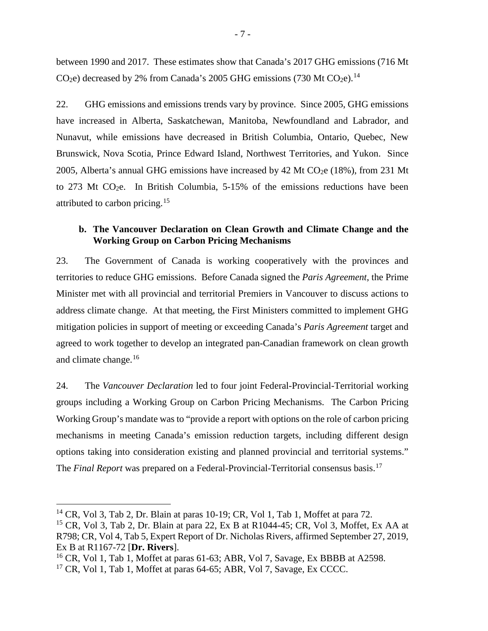between 1990 and 2017. These estimates show that Canada's 2017 GHG emissions (716 Mt CO<sub>2</sub>e) decreased by 2% from Canada's 2005 GHG emissions (730 Mt CO<sub>2</sub>e).<sup>[14](#page-14-1)</sup>

22. GHG emissions and emissions trends vary by province. Since 2005, GHG emissions have increased in Alberta, Saskatchewan, Manitoba, Newfoundland and Labrador, and Nunavut, while emissions have decreased in British Columbia, Ontario, Quebec, New Brunswick, Nova Scotia, Prince Edward Island, Northwest Territories, and Yukon. Since 2005, Alberta's annual GHG emissions have increased by 42 Mt  $CO<sub>2</sub>e$  (18%), from 231 Mt to 273 Mt CO<sub>2</sub>e. In British Columbia,  $5{\text -}15\%$  of the emissions reductions have been attributed to carbon pricing.<sup>[15](#page-14-2)</sup>

## <span id="page-14-0"></span>**b. The Vancouver Declaration on Clean Growth and Climate Change and the Working Group on Carbon Pricing Mechanisms**

23. The Government of Canada is working cooperatively with the provinces and territories to reduce GHG emissions. Before Canada signed the *Paris Agreement*, the Prime Minister met with all provincial and territorial Premiers in Vancouver to discuss actions to address climate change. At that meeting, the First Ministers committed to implement GHG mitigation policies in support of meeting or exceeding Canada's *Paris Agreement* target and agreed to work together to develop an integrated pan-Canadian framework on clean growth and climate change.<sup>[16](#page-14-3)</sup>

24. The *Vancouver Declaration* led to four joint Federal-Provincial-Territorial working groups including a Working Group on Carbon Pricing Mechanisms. The Carbon Pricing Working Group's mandate was to "provide a report with options on the role of carbon pricing mechanisms in meeting Canada's emission reduction targets, including different design options taking into consideration existing and planned provincial and territorial systems." The *Final Report* was prepared on a Federal-Provincial-Territorial consensus basis.<sup>[17](#page-14-4)</sup>

<span id="page-14-1"></span> $14$  CR, Vol 3, Tab 2, Dr. Blain at paras 10-19; CR, Vol 1, Tab 1, Moffet at para 72.

<span id="page-14-2"></span> $15$  CR, Vol 3, Tab 2, Dr. Blain at para 22, Ex B at R1044-45; CR, Vol 3, Moffet, Ex AA at R798; CR, Vol 4, Tab 5, Expert Report of Dr. Nicholas Rivers, affirmed September 27, 2019, Ex B at R1167-72 [**Dr. Rivers**].

<span id="page-14-3"></span> $^{16}$  CR, Vol 1, Tab 1, Moffet at paras 61-63; ABR, Vol 7, Savage, Ex BBBB at A2598.

<span id="page-14-4"></span><sup>&</sup>lt;sup>17</sup> CR, Vol 1, Tab 1, Moffet at paras 64-65; ABR, Vol 7, Savage, Ex CCCC.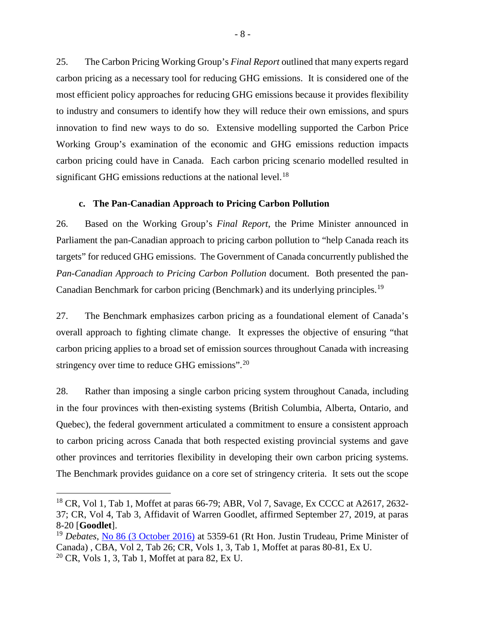25. The Carbon Pricing Working Group's *Final Report* outlined that many experts regard carbon pricing as a necessary tool for reducing GHG emissions. It is considered one of the most efficient policy approaches for reducing GHG emissions because it provides flexibility to industry and consumers to identify how they will reduce their own emissions, and spurs innovation to find new ways to do so. Extensive modelling supported the Carbon Price Working Group's examination of the economic and GHG emissions reduction impacts carbon pricing could have in Canada. Each carbon pricing scenario modelled resulted in significant GHG emissions reductions at the national level.<sup>[18](#page-15-1)</sup>

## **c. The Pan-Canadian Approach to Pricing Carbon Pollution**

<span id="page-15-0"></span>26. Based on the Working Group's *Final Report*, the Prime Minister announced in Parliament the pan-Canadian approach to pricing carbon pollution to "help Canada reach its targets" for reduced GHG emissions. The Government of Canada concurrently published the *Pan-Canadian Approach to Pricing Carbon Pollution* document. Both presented the pan-Canadian Benchmark for carbon pricing (Benchmark) and its underlying principles.[19](#page-15-2)

27. The Benchmark emphasizes carbon pricing as a foundational element of Canada's overall approach to fighting climate change. It expresses the objective of ensuring "that carbon pricing applies to a broad set of emission sources throughout Canada with increasing stringency over time to reduce GHG emissions". $20$ 

28. Rather than imposing a single carbon pricing system throughout Canada, including in the four provinces with then-existing systems (British Columbia, Alberta, Ontario, and Quebec), the federal government articulated a commitment to ensure a consistent approach to carbon pricing across Canada that both respected existing provincial systems and gave other provinces and territories flexibility in developing their own carbon pricing systems. The Benchmark provides guidance on a core set of stringency criteria. It sets out the scope

<span id="page-15-1"></span> $18$  CR, Vol 1, Tab 1, Moffet at paras 66-79; ABR, Vol 7, Savage, Ex CCCC at A2617, 2632-37; CR, Vol 4, Tab 3, Affidavit of Warren Goodlet, affirmed September 27, 2019, at paras 8-20 [**Goodlet**].

<span id="page-15-3"></span><span id="page-15-2"></span><sup>19</sup> *Debates*, [No 86 \(3 October 2016\)](http://www.ourcommons.ca/Content/House/421/Debates/086/HAN086-E.PDF) at 5359-61 (Rt Hon. Justin Trudeau, Prime Minister of Canada) , CBA, Vol 2, Tab 26; CR, Vols 1, 3, Tab 1, Moffet at paras 80-81, Ex U.  $20$  CR, Vols 1, 3, Tab 1, Moffet at para 82, Ex U.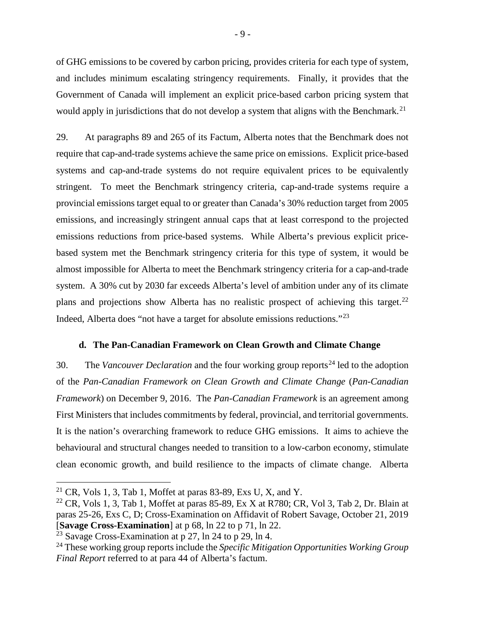of GHG emissions to be covered by carbon pricing, provides criteria for each type of system, and includes minimum escalating stringency requirements. Finally, it provides that the Government of Canada will implement an explicit price-based carbon pricing system that would apply in jurisdictions that do not develop a system that aligns with the Benchmark.<sup>[21](#page-16-1)</sup>

29. At paragraphs 89 and 265 of its Factum, Alberta notes that the Benchmark does not require that cap-and-trade systems achieve the same price on emissions. Explicit price-based systems and cap-and-trade systems do not require equivalent prices to be equivalently stringent. To meet the Benchmark stringency criteria, cap-and-trade systems require a provincial emissions target equal to or greater than Canada's 30% reduction target from 2005 emissions, and increasingly stringent annual caps that at least correspond to the projected emissions reductions from price-based systems. While Alberta's previous explicit pricebased system met the Benchmark stringency criteria for this type of system, it would be almost impossible for Alberta to meet the Benchmark stringency criteria for a cap-and-trade system. A 30% cut by 2030 far exceeds Alberta's level of ambition under any of its climate plans and projections show Alberta has no realistic prospect of achieving this target.<sup>[22](#page-16-2)</sup> Indeed, Alberta does "not have a target for absolute emissions reductions."[23](#page-16-3)

#### **d. The Pan-Canadian Framework on Clean Growth and Climate Change**

<span id="page-16-0"></span>30. The *Vancouver Declaration* and the four working group reports<sup>[24](#page-16-4)</sup> led to the adoption of the *Pan-Canadian Framework on Clean Growth and Climate Change* (*Pan-Canadian Framework*) on December 9, 2016. The *Pan-Canadian Framework* is an agreement among First Ministers that includes commitments by federal, provincial, and territorial governments. It is the nation's overarching framework to reduce GHG emissions. It aims to achieve the behavioural and structural changes needed to transition to a low-carbon economy, stimulate clean economic growth, and build resilience to the impacts of climate change. Alberta

<span id="page-16-1"></span><sup>&</sup>lt;sup>21</sup> CR, Vols 1, 3, Tab 1, Moffet at paras 83-89, Exs U, X, and Y.

<span id="page-16-2"></span> $22$  CR, Vols 1, 3, Tab 1, Moffet at paras 85-89, Ex X at R780; CR, Vol 3, Tab 2, Dr. Blain at paras 25-26, Exs C, D; Cross-Examination on Affidavit of Robert Savage, October 21, 2019 [**Savage Cross-Examination**] at p 68, ln 22 to p 71, ln 22.

<span id="page-16-3"></span><sup>&</sup>lt;sup>23</sup> Savage Cross-Examination at p 27, ln 24 to p 29, ln 4.

<span id="page-16-4"></span><sup>24</sup> These working group reports include the *Specific Mitigation Opportunities Working Group Final Report* referred to at para 44 of Alberta's factum.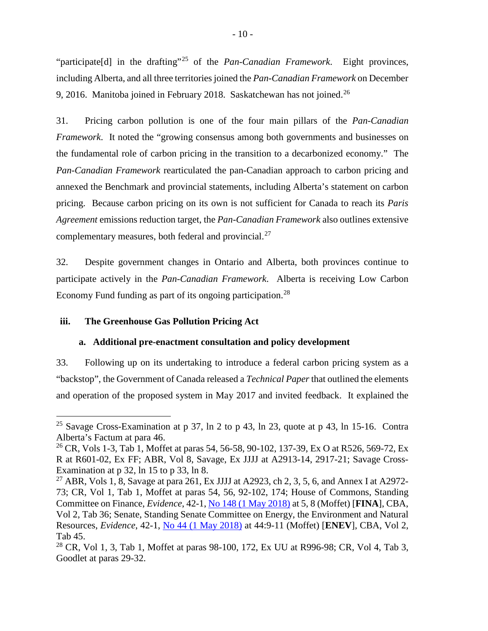"participate<sup>[d]</sup> in the drafting"<sup>[25](#page-17-2)</sup> of the *Pan-Canadian Framework*. Eight provinces, including Alberta, and all three territories joined the *Pan-Canadian Framework* on December 9, 2016. Manitoba joined in February 2018. Saskatchewan has not joined. $^{26}$  $^{26}$  $^{26}$ 

31. Pricing carbon pollution is one of the four main pillars of the *Pan-Canadian Framework*. It noted the "growing consensus among both governments and businesses on the fundamental role of carbon pricing in the transition to a decarbonized economy." The *Pan-Canadian Framework* rearticulated the pan-Canadian approach to carbon pricing and annexed the Benchmark and provincial statements, including Alberta's statement on carbon pricing. Because carbon pricing on its own is not sufficient for Canada to reach its *Paris Agreement* emissions reduction target, the *Pan-Canadian Framework* also outlines extensive complementary measures, both federal and provincial.<sup>[27](#page-17-4)</sup>

32. Despite government changes in Ontario and Alberta, both provinces continue to participate actively in the *Pan-Canadian Framework*. Alberta is receiving Low Carbon Economy Fund funding as part of its ongoing participation.<sup>[28](#page-17-5)</sup>

## <span id="page-17-1"></span><span id="page-17-0"></span>**iii. The Greenhouse Gas Pollution Pricing Act**

#### **a. Additional pre-enactment consultation and policy development**

33. Following up on its undertaking to introduce a federal carbon pricing system as a "backstop", the Government of Canada released a *Technical Paper* that outlined the elements and operation of the proposed system in May 2017 and invited feedback. It explained the

<span id="page-17-2"></span><sup>&</sup>lt;sup>25</sup> Savage Cross-Examination at p 37, ln 2 to p 43, ln 23, quote at p 43, ln 15-16. Contra Alberta's Factum at para 46.

<span id="page-17-3"></span><sup>&</sup>lt;sup>26</sup> CR, Vols 1-3, Tab 1, Moffet at paras 54, 56-58, 90-102, 137-39, Ex O at R526, 569-72, Ex R at R601-02, Ex FF; ABR, Vol 8, Savage, Ex JJJJ at A2913-14, 2917-21; Savage Cross-Examination at p 32, ln 15 to p 33, ln 8.

<span id="page-17-4"></span><sup>&</sup>lt;sup>27</sup> ABR, Vols 1, 8, Savage at para 261, Ex JJJJ at A2923, ch 2, 3, 5, 6, and Annex I at A2972-73; CR, Vol 1, Tab 1, Moffet at paras 54, 56, 92-102, 174; House of Commons, Standing Committee on Finance, *Evidence*, 42-1, [No 148 \(1 May 2018\)](http://www.ourcommons.ca/Content/Committee/421/FINA/Evidence/EV9824416/FINAEV148-E.PDF) at 5, 8 (Moffet) [**FINA**], CBA, Vol 2, Tab 36; Senate, Standing Senate Committee on Energy, the Environment and Natural Resources, *Evidence*, 42-1, [No 44 \(1 May 2018\)](https://sencanada.ca/Content/SEN/Committee/421/enev/pdf/44issue.pdf) at 44:9-11 (Moffet) [**ENEV**], CBA, Vol 2, Tab 45.

<span id="page-17-5"></span><sup>&</sup>lt;sup>28</sup> CR, Vol 1, 3, Tab 1, Moffet at paras 98-100, 172, Ex UU at R996-98; CR, Vol 4, Tab 3, Goodlet at paras 29-32.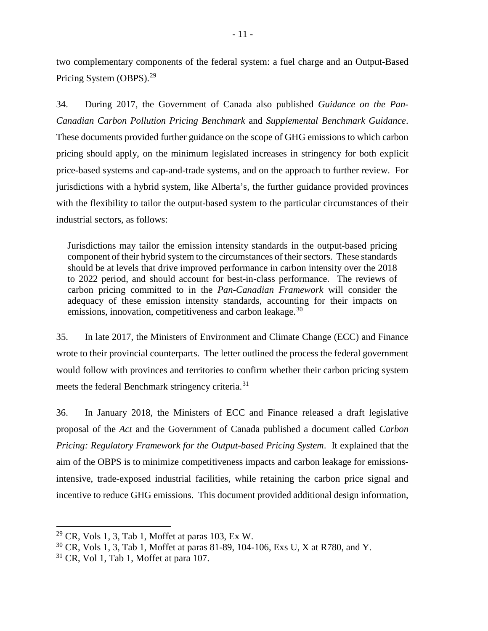two complementary components of the federal system: a fuel charge and an Output-Based Pricing System (OBPS).<sup>[29](#page-18-0)</sup>

34. During 2017, the Government of Canada also published *Guidance on the Pan-Canadian Carbon Pollution Pricing Benchmark* and *Supplemental Benchmark Guidance*. These documents provided further guidance on the scope of GHG emissions to which carbon pricing should apply, on the minimum legislated increases in stringency for both explicit price-based systems and cap-and-trade systems, and on the approach to further review. For jurisdictions with a hybrid system, like Alberta's, the further guidance provided provinces with the flexibility to tailor the output-based system to the particular circumstances of their industrial sectors, as follows:

Jurisdictions may tailor the emission intensity standards in the output-based pricing component of their hybrid system to the circumstances of their sectors. These standards should be at levels that drive improved performance in carbon intensity over the 2018 to 2022 period, and should account for best-in-class performance. The reviews of carbon pricing committed to in the *Pan-Canadian Framework* will consider the adequacy of these emission intensity standards, accounting for their impacts on emissions, innovation, competitiveness and carbon leakage.<sup>[30](#page-18-1)</sup>

35. In late 2017, the Ministers of Environment and Climate Change (ECC) and Finance wrote to their provincial counterparts. The letter outlined the process the federal government would follow with provinces and territories to confirm whether their carbon pricing system meets the federal Benchmark stringency criteria.<sup>[31](#page-18-2)</sup>

36. In January 2018, the Ministers of ECC and Finance released a draft legislative proposal of the *Act* and the Government of Canada published a document called *Carbon Pricing: Regulatory Framework for the Output-based Pricing System*. It explained that the aim of the OBPS is to minimize competitiveness impacts and carbon leakage for emissionsintensive, trade-exposed industrial facilities, while retaining the carbon price signal and incentive to reduce GHG emissions. This document provided additional design information,

<span id="page-18-0"></span> $29$  CR, Vols 1, 3, Tab 1, Moffet at paras 103, Ex W.

<span id="page-18-1"></span> $30$  CR, Vols 1, 3, Tab 1, Moffet at paras 81-89, 104-106, Exs U, X at R780, and Y.

<span id="page-18-2"></span> $31$  CR, Vol 1, Tab 1, Moffet at para 107.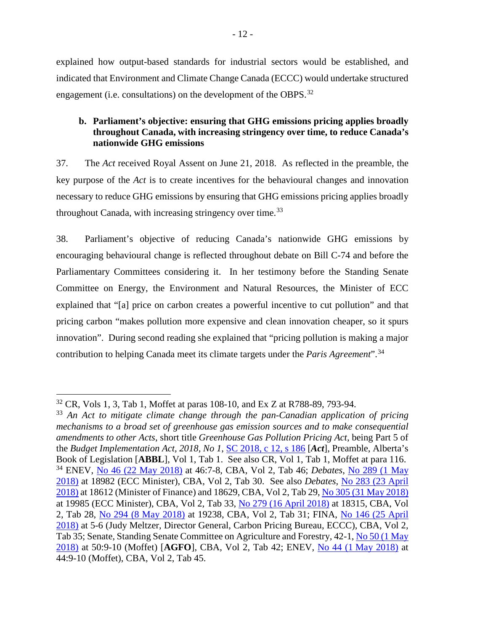explained how output-based standards for industrial sectors would be established, and indicated that Environment and Climate Change Canada (ECCC) would undertake structured engagement (i.e. consultations) on the development of the OBPS.<sup>[32](#page-19-1)</sup>

## <span id="page-19-0"></span>**b. Parliament's objective: ensuring that GHG emissions pricing applies broadly throughout Canada, with increasing stringency over time, to reduce Canada's nationwide GHG emissions**

37. The *Act* received Royal Assent on June 21, 2018. As reflected in the preamble, the key purpose of the *Act* is to create incentives for the behavioural changes and innovation necessary to reduce GHG emissions by ensuring that GHG emissions pricing applies broadly throughout Canada, with increasing stringency over time.<sup>[33](#page-19-2)</sup>

38. Parliament's objective of reducing Canada's nationwide GHG emissions by encouraging behavioural change is reflected throughout debate on Bill C-74 and before the Parliamentary Committees considering it. In her testimony before the Standing Senate Committee on Energy, the Environment and Natural Resources, the Minister of ECC explained that "[a] price on carbon creates a powerful incentive to cut pollution" and that pricing carbon "makes pollution more expensive and clean innovation cheaper, so it spurs innovation". During second reading she explained that "pricing pollution is making a major contribution to helping Canada meet its climate targets under the *Paris Agreement*".[34](#page-19-3)

<span id="page-19-1"></span> <sup>32</sup> CR, Vols 1, 3, Tab 1, Moffet at paras 108-10, and Ex <sup>Z</sup> at R788-89, 793-94.

<span id="page-19-3"></span><span id="page-19-2"></span><sup>33</sup> *An Act to mitigate climate change through the pan-Canadian application of pricing mechanisms to a broad set of greenhouse gas emission sources and to make consequential amendments to other Acts*, short title *Greenhouse Gas Pollution Pricing Act*, being Part 5 of the *Budget Implementation Act, 2018, No 1*, [SC 2018, c](https://laws.justice.gc.ca/eng/acts/G-11.55/index.html) 12, s 186 [*Act*], Preamble, Alberta's Book of Legislation [**ABBL**], Vol 1, Tab 1. See also CR, Vol 1, Tab 1, Moffet at para 116. <sup>34</sup> ENEV, [No 46 \(22 May 2018\)](https://sencanada.ca/Content/SEN/Committee/421/enev/pdf/46issue.pdf) at 46:7-8, CBA, Vol 2, Tab 46; *Debates*, [No 289 \(1](http://www.ourcommons.ca/Content/House/421/Debates/289/HAN289-E.PDF) May [2018\)](http://www.ourcommons.ca/Content/House/421/Debates/289/HAN289-E.PDF) at 18982 (ECC Minister), CBA, Vol 2, Tab 30. See also *Debates*, [No 283 \(23 April](http://www.ourcommons.ca/Content/House/421/Debates/283/HAN283-E.PDF)  [2018\)](http://www.ourcommons.ca/Content/House/421/Debates/283/HAN283-E.PDF) at 18612 (Minister of Finance) and 18629, CBA, Vol 2, Tab 29, [No 305 \(31 May 2018\)](http://www.ourcommons.ca/Content/House/421/Debates/305/HAN305-E.PDF) at 19985 (ECC Minister), CBA, Vol 2, Tab 33, [No 279 \(16 April 2018\)](http://www.ourcommons.ca/Content/House/421/Debates/279/HAN279-E.PDF) at 18315, CBA, Vol 2, Tab 28, [No 294 \(8 May 2018\)](http://www.ourcommons.ca/Content/House/421/Debates/294/HAN294-E.PDF) at 19238, CBA, Vol 2, Tab 31; FINA, [No 146 \(25 April](http://www.ourcommons.ca/Content/Committee/421/FINA/Evidence/EV9803498/FINAEV146-E.PDF)  [2018\)](http://www.ourcommons.ca/Content/Committee/421/FINA/Evidence/EV9803498/FINAEV146-E.PDF) at 5-6 (Judy Meltzer, Director General, Carbon Pricing Bureau, ECCC), CBA, Vol 2, Tab 35; Senate, Standing Senate Committee on Agriculture and Forestry*,* 42-1[, No 50 \(1 May](https://sencanada.ca/Content/SEN/Committee/421/agfo/pdf/50issue.pdf)  [2018\)](https://sencanada.ca/Content/SEN/Committee/421/agfo/pdf/50issue.pdf) at 50:9-10 (Moffet) [**AGFO**], CBA, Vol 2, Tab 42; ENEV, No 44 (1 [May 2018\)](https://sencanada.ca/Content/SEN/Committee/421/enev/pdf/44issue.pdf) at 44:9-10 (Moffet), CBA, Vol 2, Tab 45.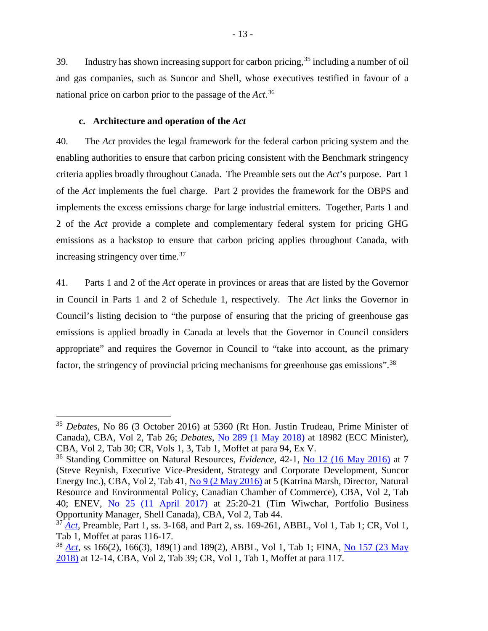39. Industry has shown increasing support for carbon pricing,<sup>[35](#page-20-1)</sup> including a number of oil and gas companies, such as Suncor and Shell, whose executives testified in favour of a national price on carbon prior to the passage of the *Act*. [36](#page-20-2)

#### **c. Architecture and operation of the** *Act*

<span id="page-20-0"></span>40. The *Act* provides the legal framework for the federal carbon pricing system and the enabling authorities to ensure that carbon pricing consistent with the Benchmark stringency criteria applies broadly throughout Canada. The Preamble sets out the *Act*'s purpose. Part 1 of the *Act* implements the fuel charge. Part 2 provides the framework for the OBPS and implements the excess emissions charge for large industrial emitters. Together, Parts 1 and 2 of the *Act* provide a complete and complementary federal system for pricing GHG emissions as a backstop to ensure that carbon pricing applies throughout Canada, with increasing stringency over time.<sup>[37](#page-20-3)</sup>

41. Parts 1 and 2 of the *Act* operate in provinces or areas that are listed by the Governor in Council in Parts 1 and 2 of Schedule 1, respectively. The *Act* links the Governor in Council's listing decision to "the purpose of ensuring that the pricing of greenhouse gas emissions is applied broadly in Canada at levels that the Governor in Council considers appropriate" and requires the Governor in Council to "take into account, as the primary factor, the stringency of provincial pricing mechanisms for greenhouse gas emissions".<sup>[38](#page-20-4)</sup>

<span id="page-20-1"></span> <sup>35</sup> *Debates*, No 86 (3 October 2016) at 5360 (Rt Hon. Justin Trudeau, Prime Minister of Canada), CBA, Vol 2, Tab 26; *Debates*, [No 289 \(1 May 2018\)](http://www.ourcommons.ca/Content/House/421/Debates/289/HAN289-E.PDF) at 18982 (ECC Minister), CBA, Vol 2, Tab 30; CR, Vols 1, 3, Tab 1, Moffet at para 94, Ex V.

<span id="page-20-2"></span><sup>36</sup> Standing Committee on Natural Resources, *Evidence*, 42-1, [No 12 \(16 May 2016\)](https://www.ourcommons.ca/Content/Committee/421/RNNR/Evidence/EV8281416/RNNREV12-E.PDF) at 7 (Steve Reynish, Executive Vice-President, Strategy and Corporate Development, Suncor Energy Inc.), CBA, Vol 2, Tab 41, [No 9 \(2 May 2016\)](https://www.ourcommons.ca/Content/Committee/421/RNNR/Evidence/EV8225314/RNNREV09-E.PDF) at 5 (Katrina Marsh, Director, Natural Resource and Environmental Policy, Canadian Chamber of Commerce), CBA, Vol 2, Tab 40; ENEV, [No 25 \(11 April 2017\)](https://sencanada.ca/Content/SEN/Committee/421/enev/pdf/25issue.pdf) at 25:20-21 (Tim Wiwchar, Portfolio Business Opportunity Manager, Shell Canada), CBA, Vol 2, Tab 44.

<span id="page-20-3"></span><sup>37</sup> *[Act](https://laws.justice.gc.ca/eng/acts/G-11.55/index.html)*, Preamble, Part 1, ss. 3-168, and Part 2, ss. 169-261, ABBL, Vol 1, Tab 1; CR, Vol 1, Tab 1, Moffet at paras 116-17.

<span id="page-20-4"></span><sup>38</sup> *[Act](https://laws.justice.gc.ca/eng/acts/G-11.55/index.html)*, ss 166(2), 166(3), 189(1) and 189(2), ABBL, Vol 1, Tab 1; FINA, [No 157 \(23 May](http://www.ourcommons.ca/Content/Committee/421/FINA/Evidence/EV9883290/FINAEV157-E.PDF)  [2018\)](http://www.ourcommons.ca/Content/Committee/421/FINA/Evidence/EV9883290/FINAEV157-E.PDF) at 12-14, CBA, Vol 2, Tab 39; CR, Vol 1, Tab 1, Moffet at para 117.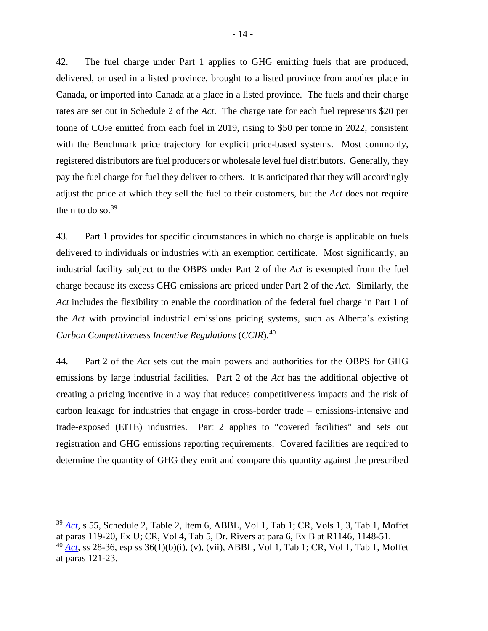42. The fuel charge under Part 1 applies to GHG emitting fuels that are produced, delivered, or used in a listed province, brought to a listed province from another place in Canada, or imported into Canada at a place in a listed province. The fuels and their charge rates are set out in Schedule 2 of the *Act*. The charge rate for each fuel represents \$20 per tonne of  $CO<sub>2</sub>e$  emitted from each fuel in 2019, rising to \$50 per tonne in 2022, consistent with the Benchmark price trajectory for explicit price-based systems. Most commonly, registered distributors are fuel producers or wholesale level fuel distributors. Generally, they pay the fuel charge for fuel they deliver to others. It is anticipated that they will accordingly adjust the price at which they sell the fuel to their customers, but the *Act* does not require them to do so. $^{39}$  $^{39}$  $^{39}$ 

43. Part 1 provides for specific circumstances in which no charge is applicable on fuels delivered to individuals or industries with an exemption certificate. Most significantly, an industrial facility subject to the OBPS under Part 2 of the *Act* is exempted from the fuel charge because its excess GHG emissions are priced under Part 2 of the *Act*. Similarly, the *Act* includes the flexibility to enable the coordination of the federal fuel charge in Part 1 of the *Act* with provincial industrial emissions pricing systems, such as Alberta's existing *Carbon Competitiveness Incentive Regulations* (*CCIR*).[40](#page-21-1)

44. Part 2 of the *Act* sets out the main powers and authorities for the OBPS for GHG emissions by large industrial facilities. Part 2 of the *Act* has the additional objective of creating a pricing incentive in a way that reduces competitiveness impacts and the risk of carbon leakage for industries that engage in cross-border trade – emissions-intensive and trade-exposed (EITE) industries. Part 2 applies to "covered facilities" and sets out registration and GHG emissions reporting requirements. Covered facilities are required to determine the quantity of GHG they emit and compare this quantity against the prescribed

<span id="page-21-0"></span> <sup>39</sup> *[Act](https://laws.justice.gc.ca/eng/acts/G-11.55/index.html)*, s 55, Schedule 2, Table 2, Item 6, ABBL, Vol 1, Tab 1; CR, Vols 1, 3, Tab 1, Moffet at paras 119-20, Ex U; CR, Vol 4, Tab 5, Dr. Rivers at para 6, Ex B at R1146, 1148-51.

<span id="page-21-1"></span><sup>40</sup> *[Act](https://laws.justice.gc.ca/eng/acts/G-11.55/index.html)*, ss 28-36, esp ss 36(1)(b)(i), (v), (vii), ABBL, Vol 1, Tab 1; CR, Vol 1, Tab 1, Moffet at paras 121-23.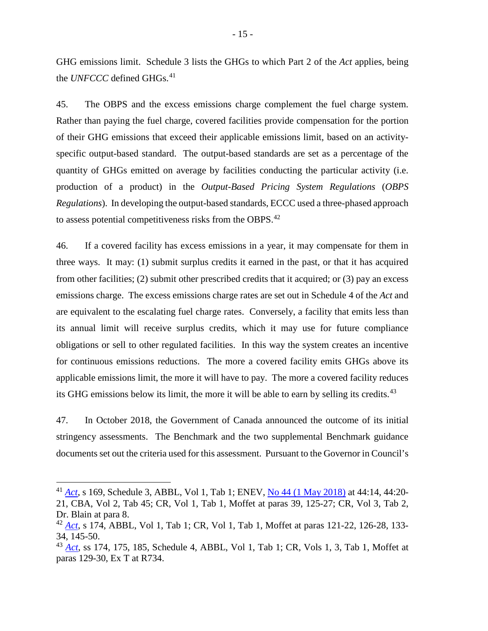GHG emissions limit. Schedule 3 lists the GHGs to which Part 2 of the *Act* applies, being the *UNFCCC* defined GHGs. [41](#page-22-0)

45. The OBPS and the excess emissions charge complement the fuel charge system. Rather than paying the fuel charge, covered facilities provide compensation for the portion of their GHG emissions that exceed their applicable emissions limit, based on an activityspecific output-based standard. The output-based standards are set as a percentage of the quantity of GHGs emitted on average by facilities conducting the particular activity (i.e. production of a product) in the *Output-Based Pricing System Regulations* (*OBPS Regulations*). In developing the output-based standards, ECCC used a three-phased approach to assess potential competitiveness risks from the OBPS.<sup>[42](#page-22-1)</sup>

46. If a covered facility has excess emissions in a year, it may compensate for them in three ways. It may: (1) submit surplus credits it earned in the past, or that it has acquired from other facilities; (2) submit other prescribed credits that it acquired; or (3) pay an excess emissions charge. The excess emissions charge rates are set out in Schedule 4 of the *Act* and are equivalent to the escalating fuel charge rates. Conversely, a facility that emits less than its annual limit will receive surplus credits, which it may use for future compliance obligations or sell to other regulated facilities. In this way the system creates an incentive for continuous emissions reductions. The more a covered facility emits GHGs above its applicable emissions limit, the more it will have to pay. The more a covered facility reduces its GHG emissions below its limit, the more it will be able to earn by selling its credits.<sup>[43](#page-22-2)</sup>

47. In October 2018, the Government of Canada announced the outcome of its initial stringency assessments. The Benchmark and the two supplemental Benchmark guidance documents set out the criteria used for this assessment. Pursuant to the Governor in Council's

<span id="page-22-0"></span> <sup>41</sup> *[Act](https://laws.justice.gc.ca/eng/acts/G-11.55/index.html)*, s 169, Schedule 3, ABBL, Vol 1, Tab 1; ENEV, [No 44 \(1 May 2018\)](https://sencanada.ca/Content/SEN/Committee/421/enev/pdf/44issue.pdf) at 44:14, 44:20- 21, CBA, Vol 2, Tab 45; CR, Vol 1, Tab 1, Moffet at paras 39, 125-27; CR, Vol 3, Tab 2, Dr. Blain at para 8.

<span id="page-22-1"></span><sup>42</sup> *[Act](https://laws.justice.gc.ca/eng/acts/G-11.55/index.html)*, s 174, ABBL, Vol 1, Tab 1; CR, Vol 1, Tab 1, Moffet at paras 121-22, 126-28, 133- 34, 145-50.

<span id="page-22-2"></span><sup>43</sup> *[Act](https://laws.justice.gc.ca/eng/acts/G-11.55/index.html)*, ss 174, 175, 185, Schedule 4, ABBL, Vol 1, Tab 1; CR, Vols 1, 3, Tab 1, Moffet at paras 129-30, Ex T at R734.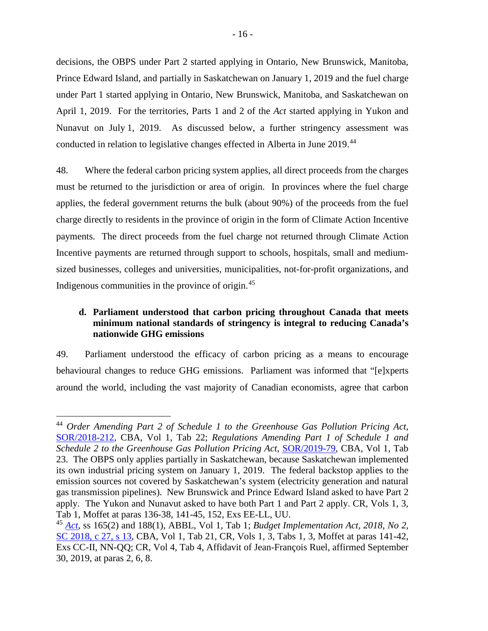decisions, the OBPS under Part 2 started applying in Ontario, New Brunswick, Manitoba, Prince Edward Island, and partially in Saskatchewan on January 1, 2019 and the fuel charge under Part 1 started applying in Ontario, New Brunswick, Manitoba, and Saskatchewan on April 1, 2019. For the territories, Parts 1 and 2 of the *Act* started applying in Yukon and Nunavut on July 1, 2019. As discussed below, a further stringency assessment was conducted in relation to legislative changes effected in Alberta in June 2019.[44](#page-23-1)

48. Where the federal carbon pricing system applies, all direct proceeds from the charges must be returned to the jurisdiction or area of origin. In provinces where the fuel charge applies, the federal government returns the bulk (about 90%) of the proceeds from the fuel charge directly to residents in the province of origin in the form of Climate Action Incentive payments. The direct proceeds from the fuel charge not returned through Climate Action Incentive payments are returned through support to schools, hospitals, small and mediumsized businesses, colleges and universities, municipalities, not-for-profit organizations, and Indigenous communities in the province of origin.[45](#page-23-2)

## <span id="page-23-0"></span>**d. Parliament understood that carbon pricing throughout Canada that meets minimum national standards of stringency is integral to reducing Canada's nationwide GHG emissions**

49. Parliament understood the efficacy of carbon pricing as a means to encourage behavioural changes to reduce GHG emissions. Parliament was informed that "[e]xperts around the world, including the vast majority of Canadian economists, agree that carbon

<span id="page-23-1"></span> <sup>44</sup> *Order Amending Part 2 of Schedule 1 to the Greenhouse Gas Pollution Pricing Act*, [SOR/2018-212,](http://gazette.gc.ca/rp-pr/p2/2018/2018-10-31/html/sor-dors212-eng.html) CBA, Vol 1, Tab 22; *Regulations Amending Part 1 of Schedule 1 and Schedule 2 to the Greenhouse Gas Pollution Pricing Act*, [SOR/2019-79,](http://gazette.gc.ca/rp-pr/p2/2019/2019-04-03/html/sor-dors79-eng.html) CBA, Vol 1, Tab 23. The OBPS only applies partially in Saskatchewan, because Saskatchewan implemented its own industrial pricing system on January 1, 2019. The federal backstop applies to the emission sources not covered by Saskatchewan's system (electricity generation and natural gas transmission pipelines). New Brunswick and Prince Edward Island asked to have Part 2 apply. The Yukon and Nunavut asked to have both Part 1 and Part 2 apply. CR, Vols 1, 3, Tab 1, Moffet at paras 136-38, 141-45, 152, Exs EE-LL, UU.

<span id="page-23-2"></span><sup>45</sup> *[Act](https://laws.justice.gc.ca/eng/acts/G-11.55/index.html)*, ss 165(2) and 188(1), ABBL, Vol 1, Tab 1; *Budget Implementation Act, 2018, No 2,*  [SC 2018, c 27, s](https://laws.justice.gc.ca/eng/AnnualStatutes/2018_27/page-3.html#docCont) 13, CBA, Vol 1, Tab 21, CR, Vols 1, 3, Tabs 1, 3, Moffet at paras 141-42, Exs CC-II, NN-QQ; CR, Vol 4, Tab 4, Affidavit of Jean-François Ruel, affirmed September 30, 2019, at paras 2, 6, 8.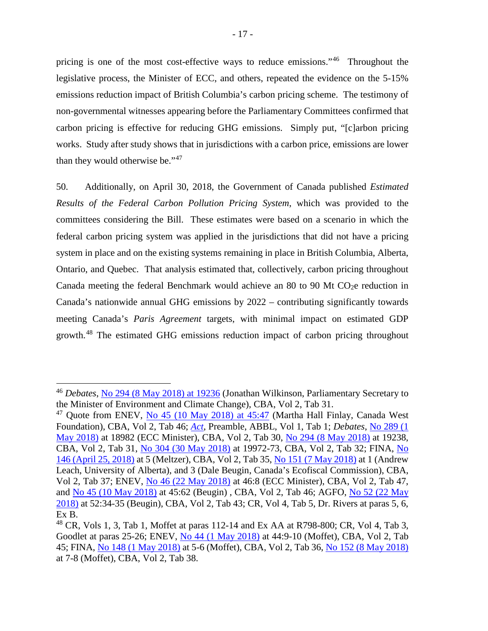pricing is one of the most cost-effective ways to reduce emissions."[46](#page-24-0) Throughout the legislative process, the Minister of ECC, and others, repeated the evidence on the 5-15% emissions reduction impact of British Columbia's carbon pricing scheme. The testimony of non-governmental witnesses appearing before the Parliamentary Committees confirmed that carbon pricing is effective for reducing GHG emissions. Simply put, "[c]arbon pricing works. Study after study shows that in jurisdictions with a carbon price, emissions are lower than they would otherwise be."[47](#page-24-1)

50. Additionally, on April 30, 2018, the Government of Canada published *Estimated Results of the Federal Carbon Pollution Pricing System*, which was provided to the committees considering the Bill. These estimates were based on a scenario in which the federal carbon pricing system was applied in the jurisdictions that did not have a pricing system in place and on the existing systems remaining in place in British Columbia, Alberta, Ontario, and Quebec. That analysis estimated that, collectively, carbon pricing throughout Canada meeting the federal Benchmark would achieve an 80 to 90 Mt CO<sub>2</sub>e reduction in Canada's nationwide annual GHG emissions by 2022 – contributing significantly towards meeting Canada's *Paris Agreement* targets, with minimal impact on estimated GDP growth.[48](#page-24-2) The estimated GHG emissions reduction impact of carbon pricing throughout

<span id="page-24-0"></span> <sup>46</sup> *Debates*, No 294 [\(8 May 2018\) at 19236](http://www.ourcommons.ca/Content/House/421/Debates/294/HAN294-E.PDF) (Jonathan Wilkinson, Parliamentary Secretary to the Minister of Environment and Climate Change), CBA, Vol 2, Tab 31.

<span id="page-24-1"></span><sup>&</sup>lt;sup>47</sup> Quote from ENEV, No 45 (10 May 2018) at  $45:47$  (Martha Hall Finlay, Canada West Foundation), CBA, Vol 2, Tab 46; *[Act](https://laws.justice.gc.ca/eng/acts/G-11.55/index.html)*, Preamble, ABBL, Vol 1, Tab 1; *Debates*, [No 289 \(1](http://www.ourcommons.ca/Content/House/421/Debates/289/HAN289-E.PDF)  [May 2018\)](http://www.ourcommons.ca/Content/House/421/Debates/289/HAN289-E.PDF) at 18982 (ECC Minister), CBA, Vol 2, Tab 30, [No 294 \(8 May 2018\)](http://www.ourcommons.ca/Content/House/421/Debates/294/HAN294-E.PDF) at 19238, CBA, Vol 2, Tab 31, [No 304 \(30 May 2018\)](http://www.ourcommons.ca/Content/House/421/Debates/304/HAN304-E.PDF) at 19972-73, CBA, Vol 2, Tab 32; FINA, [No](http://www.ourcommons.ca/Content/Committee/421/FINA/Evidence/EV9803498/FINAEV146-E.PDF)  [146 \(April 25, 2018\)](http://www.ourcommons.ca/Content/Committee/421/FINA/Evidence/EV9803498/FINAEV146-E.PDF) at 5 (Meltzer), CBA, Vol 2, Tab 35, [No 151 \(7 May 2018\)](http://www.ourcommons.ca/Content/Committee/421/FINA/Evidence/EV9846959/FINAEV151-E.PDF) at 1 (Andrew Leach, University of Alberta), and 3 (Dale Beugin, Canada's Ecofiscal Commission), CBA, Vol 2, Tab 37; ENEV, [No 46 \(22 May 2018\)](https://sencanada.ca/Content/SEN/Committee/421/enev/pdf/46issue.pdf) at 46:8 (ECC Minister), CBA, Vol 2, Tab 47, and [No 45 \(10 May 2018\)](https://sencanada.ca/Content/SEN/Committee/421/enev/pdf/45issue.pdf) at 45:62 (Beugin) , CBA, Vol 2, Tab 46; AGFO, [No 52 \(22 May](https://sencanada.ca/Content/SEN/Committee/421/agfo/pdf/52issue.pdf)  [2018\)](https://sencanada.ca/Content/SEN/Committee/421/agfo/pdf/52issue.pdf) at 52:34-35 (Beugin), CBA, Vol 2, Tab 43; CR, Vol 4, Tab 5, Dr. Rivers at paras 5, 6, Ex B.

<span id="page-24-2"></span> $^{48}$  CR, Vols 1, 3, Tab 1, Moffet at paras 112-14 and Ex AA at R798-800; CR, Vol 4, Tab 3, Goodlet at paras 25-26; ENEV, [No 44 \(1 May 2018\)](https://sencanada.ca/Content/SEN/Committee/421/enev/pdf/44issue.pdf) at 44:9-10 (Moffet), CBA, Vol 2, Tab 45; FINA, [No 148 \(1 May 2018\)](http://www.ourcommons.ca/Content/Committee/421/FINA/Evidence/EV9824416/FINAEV148-E.PDF) at 5-6 (Moffet), CBA, Vol 2, Tab 36, [No 152 \(8 May 2018\)](http://www.ourcommons.ca/Content/Committee/421/FINA/Evidence/EV9852772/FINAEV152-E.PDF) at 7-8 (Moffet), CBA, Vol 2, Tab 38.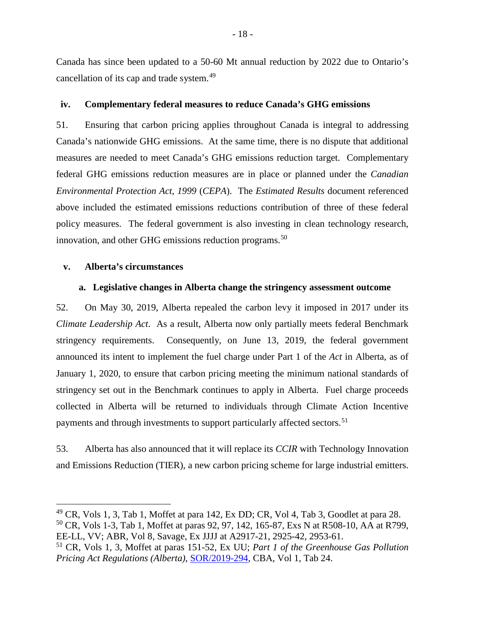Canada has since been updated to a 50-60 Mt annual reduction by 2022 due to Ontario's cancellation of its cap and trade system.<sup>[49](#page-25-3)</sup>

#### <span id="page-25-0"></span>**iv. Complementary federal measures to reduce Canada's GHG emissions**

51. Ensuring that carbon pricing applies throughout Canada is integral to addressing Canada's nationwide GHG emissions. At the same time, there is no dispute that additional measures are needed to meet Canada's GHG emissions reduction target. Complementary federal GHG emissions reduction measures are in place or planned under the *Canadian Environmental Protection Act, 1999* (*CEPA*). The *Estimated Results* document referenced above included the estimated emissions reductions contribution of three of these federal policy measures. The federal government is also investing in clean technology research, innovation, and other GHG emissions reduction programs.<sup>[50](#page-25-4)</sup>

#### <span id="page-25-2"></span><span id="page-25-1"></span>**v. Alberta's circumstances**

#### **a. Legislative changes in Alberta change the stringency assessment outcome**

52. On May 30, 2019, Alberta repealed the carbon levy it imposed in 2017 under its *Climate Leadership Act*. As a result, Alberta now only partially meets federal Benchmark stringency requirements. Consequently, on June 13, 2019, the federal government announced its intent to implement the fuel charge under Part 1 of the *Act* in Alberta, as of January 1, 2020, to ensure that carbon pricing meeting the minimum national standards of stringency set out in the Benchmark continues to apply in Alberta. Fuel charge proceeds collected in Alberta will be returned to individuals through Climate Action Incentive payments and through investments to support particularly affected sectors.<sup>[51](#page-25-5)</sup>

53. Alberta has also announced that it will replace its *CCIR* with Technology Innovation and Emissions Reduction (TIER), a new carbon pricing scheme for large industrial emitters.

<span id="page-25-4"></span><span id="page-25-3"></span> $^{49}$  CR, Vols 1, 3, Tab 1, Moffet at para 142, Ex DD; CR, Vol 4, Tab 3, Goodlet at para 28. <sup>50</sup> CR, Vols 1-3, Tab 1, Moffet at paras 92, 97, 142, 165-87, Exs N at R508-10, AA at R799,

EE-LL, VV; ABR, Vol 8, Savage, Ex JJJJ at A2917-21, 2925-42, 2953-61.

<span id="page-25-5"></span><sup>51</sup> CR, Vols 1, 3, Moffet at paras 151-52, Ex UU; *Part 1 of the Greenhouse Gas Pollution Pricing Act Regulations (Alberta)*, [SOR/2019-294,](http://gazette.gc.ca/rp-pr/p2/2019/2019-08-21/html/sor-dors294-eng.html) CBA, Vol 1, Tab 24.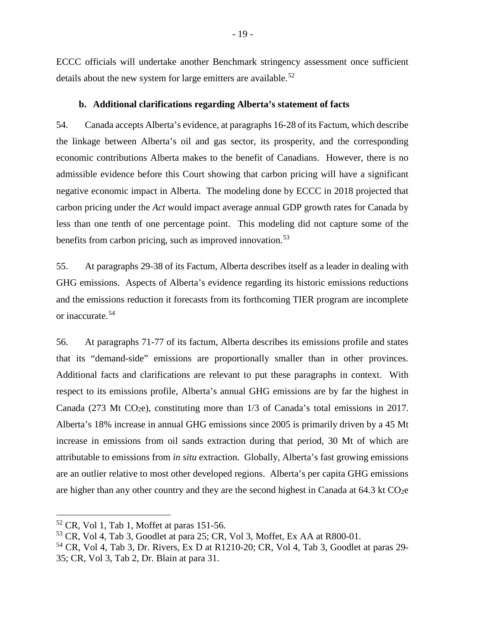ECCC officials will undertake another Benchmark stringency assessment once sufficient details about the new system for large emitters are available.<sup>[52](#page-26-1)</sup>

#### **b. Additional clarifications regarding Alberta's statement of facts**

<span id="page-26-0"></span>54. Canada accepts Alberta's evidence, at paragraphs 16-28 of its Factum, which describe the linkage between Alberta's oil and gas sector, its prosperity, and the corresponding economic contributions Alberta makes to the benefit of Canadians. However, there is no admissible evidence before this Court showing that carbon pricing will have a significant negative economic impact in Alberta. The modeling done by ECCC in 2018 projected that carbon pricing under the *Act* would impact average annual GDP growth rates for Canada by less than one tenth of one percentage point. This modeling did not capture some of the benefits from carbon pricing, such as improved innovation.<sup>[53](#page-26-2)</sup>

55. At paragraphs 29-38 of its Factum, Alberta describes itself as a leader in dealing with GHG emissions. Aspects of Alberta's evidence regarding its historic emissions reductions and the emissions reduction it forecasts from its forthcoming TIER program are incomplete or inaccurate.[54](#page-26-3)

56. At paragraphs 71-77 of its factum, Alberta describes its emissions profile and states that its "demand-side" emissions are proportionally smaller than in other provinces. Additional facts and clarifications are relevant to put these paragraphs in context. With respect to its emissions profile, Alberta's annual GHG emissions are by far the highest in Canada (273 Mt CO<sub>2</sub>e), constituting more than  $1/3$  of Canada's total emissions in 2017. Alberta's 18% increase in annual GHG emissions since 2005 is primarily driven by a 45 Mt increase in emissions from oil sands extraction during that period, 30 Mt of which are attributable to emissions from *in situ* extraction. Globally, Alberta's fast growing emissions are an outlier relative to most other developed regions. Alberta's per capita GHG emissions are higher than any other country and they are the second highest in Canada at  $64.3 \text{ kt CO}_2$ e

<span id="page-26-1"></span> $52$  CR, Vol 1, Tab 1, Moffet at paras 151-56.

<span id="page-26-2"></span><sup>53</sup> CR, Vol 4, Tab 3, Goodlet at para 25; CR, Vol 3, Moffet, Ex AA at R800-01.

<span id="page-26-3"></span> $54$  CR, Vol 4, Tab 3, Dr. Rivers, Ex D at R1210-20; CR, Vol 4, Tab 3, Goodlet at paras 29-35; CR, Vol 3, Tab 2, Dr. Blain at para 31.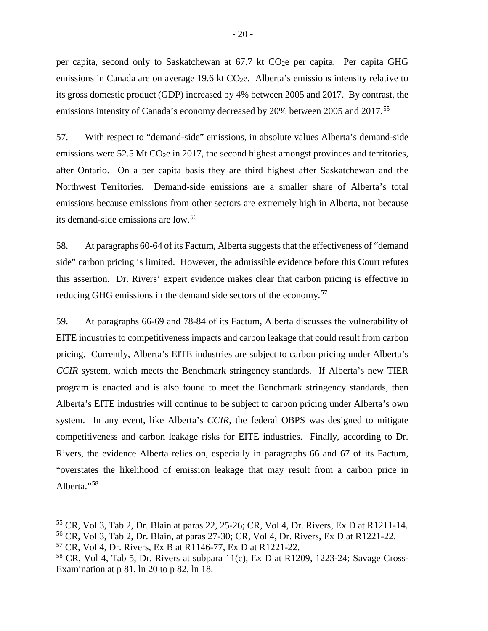per capita, second only to Saskatchewan at  $67.7$  kt  $CO<sub>2</sub>e$  per capita. Per capita GHG emissions in Canada are on average 19.6 kt  $CO<sub>2</sub>e$ . Alberta's emissions intensity relative to its gross domestic product (GDP) increased by 4% between 2005 and 2017. By contrast, the emissions intensity of Canada's economy decreased by 20% between 2005 and 2017.<sup>[55](#page-27-0)</sup>

57. With respect to "demand-side" emissions, in absolute values Alberta's demand-side emissions were  $52.5$  Mt CO<sub>2</sub>e in 2017, the second highest amongst provinces and territories, after Ontario. On a per capita basis they are third highest after Saskatchewan and the Northwest Territories. Demand-side emissions are a smaller share of Alberta's total emissions because emissions from other sectors are extremely high in Alberta, not because its demand-side emissions are low.<sup>[56](#page-27-1)</sup>

58. At paragraphs 60-64 of its Factum, Alberta suggests that the effectiveness of "demand side" carbon pricing is limited. However, the admissible evidence before this Court refutes this assertion. Dr. Rivers' expert evidence makes clear that carbon pricing is effective in reducing GHG emissions in the demand side sectors of the economy.[57](#page-27-2)

59. At paragraphs 66-69 and 78-84 of its Factum, Alberta discusses the vulnerability of EITE industries to competitiveness impacts and carbon leakage that could result from carbon pricing. Currently, Alberta's EITE industries are subject to carbon pricing under Alberta's *CCIR* system, which meets the Benchmark stringency standards. If Alberta's new TIER program is enacted and is also found to meet the Benchmark stringency standards, then Alberta's EITE industries will continue to be subject to carbon pricing under Alberta's own system. In any event, like Alberta's *CCIR*, the federal OBPS was designed to mitigate competitiveness and carbon leakage risks for EITE industries. Finally, according to Dr. Rivers, the evidence Alberta relies on, especially in paragraphs 66 and 67 of its Factum, "overstates the likelihood of emission leakage that may result from a carbon price in Alberta."<sup>[58](#page-27-3)</sup>

<span id="page-27-0"></span> <sup>55</sup> CR, Vol 3, Tab 2, Dr. Blain at paras 22, 25-26; CR, Vol 4, Dr. Rivers, Ex D at R1211-14.

<span id="page-27-1"></span><sup>56</sup> CR, Vol 3, Tab 2, Dr. Blain, at paras 27-30; CR, Vol 4, Dr. Rivers, Ex D at R1221-22.

<span id="page-27-2"></span><sup>57</sup> CR, Vol 4, Dr. Rivers, Ex B at R1146-77, Ex D at R1221-22.

<span id="page-27-3"></span><sup>&</sup>lt;sup>58</sup> CR, Vol 4, Tab 5, Dr. Rivers at subpara  $11(c)$ , Ex D at R1209, 1223-24; Savage Cross-Examination at p 81, ln 20 to p 82, ln 18.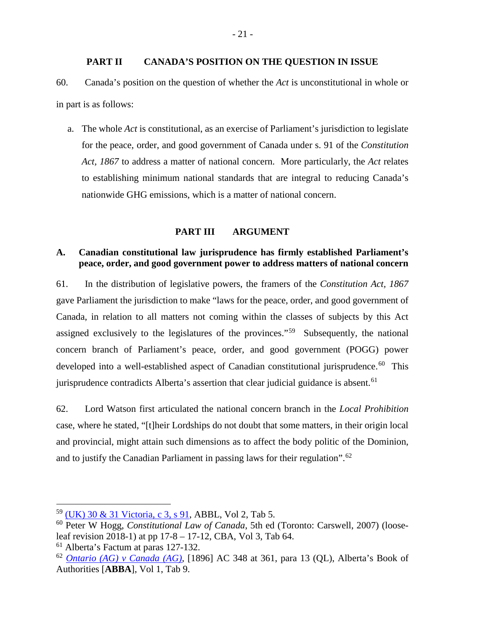## **PART II CANADA'S POSITION ON THE QUESTION IN ISSUE**

<span id="page-28-0"></span>60. Canada's position on the question of whether the *Act* is unconstitutional in whole or in part is as follows:

a. The whole *Act* is constitutional, as an exercise of Parliament's jurisdiction to legislate for the peace, order, and good government of Canada under s. 91 of the *Constitution Act, 1867* to address a matter of national concern. More particularly, the *Act* relates to establishing minimum national standards that are integral to reducing Canada's nationwide GHG emissions, which is a matter of national concern.

#### **PART III ARGUMENT**

## <span id="page-28-2"></span><span id="page-28-1"></span>**A. Canadian constitutional law jurisprudence has firmly established Parliament's peace, order, and good government power to address matters of national concern**

61. In the distribution of legislative powers, the framers of the *Constitution Act, 1867* gave Parliament the jurisdiction to make "laws for the peace, order, and good government of Canada, in relation to all matters not coming within the classes of subjects by this Act assigned exclusively to the legislatures of the provinces."[59](#page-28-3) Subsequently, the national concern branch of Parliament's peace, order, and good government (POGG) power developed into a well-established aspect of Canadian constitutional jurisprudence.<sup>[60](#page-28-4)</sup> This jurisprudence contradicts Alberta's assertion that clear judicial guidance is absent.  $61$ 

62. Lord Watson first articulated the national concern branch in the *Local Prohibition*  case, where he stated, "[t]heir Lordships do not doubt that some matters, in their origin local and provincial, might attain such dimensions as to affect the body politic of the Dominion, and to justify the Canadian Parliament in passing laws for their regulation".[62](#page-28-6)

<span id="page-28-3"></span> <sup>59</sup> [\(UK\) 30 & 31 Victoria, c 3, s 91,](https://laws.justice.gc.ca/eng/Const/page-4.html#h-17) ABBL, Vol 2, Tab 5.

<span id="page-28-4"></span><sup>60</sup> Peter W Hogg, *Constitutional Law of Canada*, 5th ed (Toronto: Carswell, 2007) (looseleaf revision 2018-1) at pp 17-8 – 17-12, CBA, Vol 3, Tab 64.

<span id="page-28-5"></span><sup>61</sup> Alberta's Factum at paras 127-132.

<span id="page-28-6"></span><sup>62</sup> *[Ontario \(AG\) v](http://www.bailii.org/uk/cases/UKPC/1896/1896_20.html) Canada (AG)*, [1896] AC 348 at 361, para 13 (QL), Alberta's Book of Authorities [**ABBA**], Vol 1, Tab 9.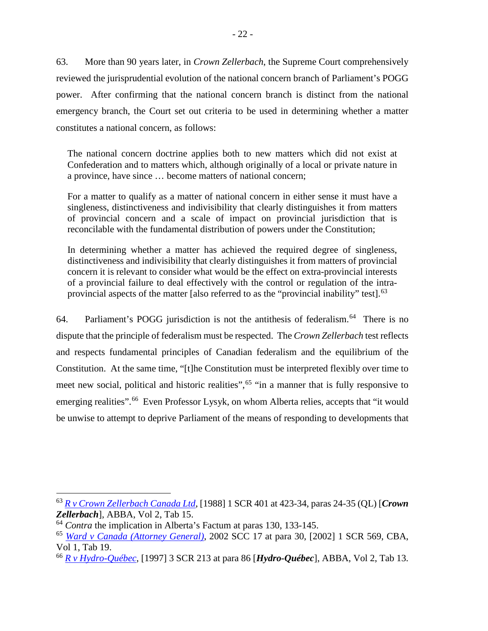63. More than 90 years later, in *Crown Zellerbach*, the Supreme Court comprehensively reviewed the jurisprudential evolution of the national concern branch of Parliament's POGG power. After confirming that the national concern branch is distinct from the national emergency branch, the Court set out criteria to be used in determining whether a matter constitutes a national concern, as follows:

The national concern doctrine applies both to new matters which did not exist at Confederation and to matters which, although originally of a local or private nature in a province, have since … become matters of national concern;

For a matter to qualify as a matter of national concern in either sense it must have a singleness, distinctiveness and indivisibility that clearly distinguishes it from matters of provincial concern and a scale of impact on provincial jurisdiction that is reconcilable with the fundamental distribution of powers under the Constitution;

In determining whether a matter has achieved the required degree of singleness, distinctiveness and indivisibility that clearly distinguishes it from matters of provincial concern it is relevant to consider what would be the effect on extra-provincial interests of a provincial failure to deal effectively with the control or regulation of the intraprovincial aspects of the matter [also referred to as the "provincial inability" test].[63](#page-29-0)

[64](#page-29-1). Parliament's POGG jurisdiction is not the antithesis of federalism.<sup>64</sup> There is no dispute that the principle of federalism must be respected. The *Crown Zellerbach* test reflects and respects fundamental principles of Canadian federalism and the equilibrium of the Constitution. At the same time, "[t]he Constitution must be interpreted flexibly over time to meet new social, political and historic realities",<sup>[65](#page-29-2)</sup> "in a manner that is fully responsive to emerging realities".<sup>66</sup> Even Professor Lysyk, on whom Alberta relies, accepts that "it would be unwise to attempt to deprive Parliament of the means of responding to developments that

<span id="page-29-0"></span> <sup>63</sup> *R v [Crown Zellerbach Canada Ltd](https://scc-csc.lexum.com/scc-csc/scc-csc/en/item/306/index.do)*, [1988] 1 SCR 401 at 423-34, paras 24-35 (QL) [*Crown Zellerbach*], ABBA, Vol 2, Tab 15.

<span id="page-29-1"></span><sup>&</sup>lt;sup>64</sup> *Contra* the implication in Alberta's Factum at paras 130, 133-145.

<span id="page-29-2"></span><sup>65</sup> *[Ward v Canada \(Attorney General\)](https://decisions.scc-csc.ca/scc-csc/scc-csc/en/item/1955/index.do)*, 2002 SCC 17 at para 30, [2002] 1 SCR 569, CBA, Vol 1, Tab 19.

<span id="page-29-3"></span><sup>66</sup> *[R v Hydro-Québec](https://scc-csc.lexum.com/scc-csc/scc-csc/en/item/1542/index.do)*, [1997] 3 SCR 213 at para 86 [*Hydro-Québec*], ABBA, Vol 2, Tab 13.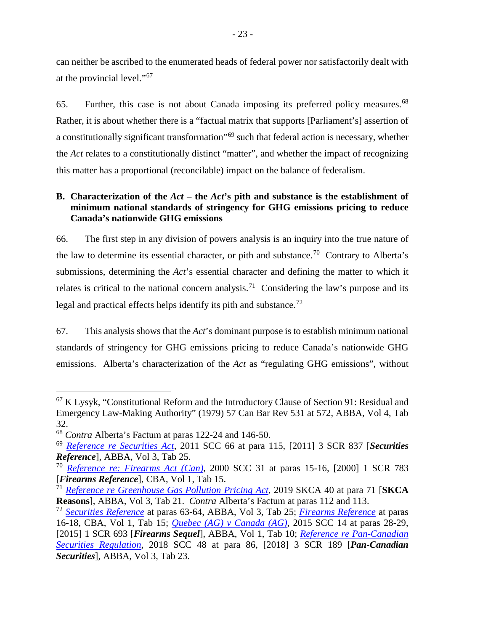can neither be ascribed to the enumerated heads of federal power nor satisfactorily dealt with at the provincial level."[67](#page-30-1)

65. Further, this case is not about Canada imposing its preferred policy measures. [68](#page-30-2)  Rather, it is about whether there is a "factual matrix that supports [Parliament's] assertion of a constitutionally significant transformation"[69](#page-30-3) such that federal action is necessary, whether the *Act* relates to a constitutionally distinct "matter", and whether the impact of recognizing this matter has a proportional (reconcilable) impact on the balance of federalism.

## <span id="page-30-0"></span>**B. Characterization of the** *Act –* **the** *Act***'s pith and substance is the establishment of minimum national standards of stringency for GHG emissions pricing to reduce Canada's nationwide GHG emissions**

66. The first step in any division of powers analysis is an inquiry into the true nature of the law to determine its essential character, or pith and substance.<sup>[70](#page-30-4)</sup> Contrary to Alberta's submissions, determining the *Act*'s essential character and defining the matter to which it relates is critical to the national concern analysis.<sup>[71](#page-30-5)</sup> Considering the law's purpose and its legal and practical effects helps identify its pith and substance.<sup>72</sup>

67. This analysis shows that the *Act*'s dominant purpose is to establish minimum national standards of stringency for GHG emissions pricing to reduce Canada's nationwide GHG emissions. Alberta's characterization of the *Act* as "regulating GHG emissions", without

<span id="page-30-1"></span> <sup>67</sup> <sup>K</sup> Lysyk, "Constitutional Reform and the Introductory Clause of Section 91: Residual and Emergency Law-Making Authority" (1979) 57 Can Bar Rev 531 at 572, ABBA, Vol 4, Tab 32.

<span id="page-30-2"></span><sup>68</sup> *Contra* Alberta's Factum at paras 122-24 and 146-50.

<span id="page-30-3"></span><sup>69</sup> *[Reference re Securities Act](https://scc-csc.lexum.com/scc-csc/scc-csc/en/item/7984/index.do)*, 2011 SCC 66 at para 115, [2011] 3 SCR 837 [*Securities Reference*], ABBA, Vol 3, Tab 25.

<span id="page-30-4"></span><sup>70</sup> *[Reference re: Firearms Act \(Can\)](https://scc-csc.lexum.com/scc-csc/scc-csc/en/item/1794/index.do)*, 2000 SCC 31 at paras 15-16, [2000] 1 SCR 783 [*Firearms Reference*], CBA, Vol 1, Tab 15.

<span id="page-30-5"></span><sup>71</sup> *Reference re [Greenhouse Gas Pollution Pricing Act](https://sasklawcourts.ca/images/documents/CA_2019SKCA040.pdf)*, 2019 SKCA 40 at para 71 [**SKCA Reasons**], ABBA, Vol 3, Tab 21. *Contra* Alberta's Factum at paras 112 and 113.

<span id="page-30-6"></span><sup>72</sup> *[Securities Reference](https://scc-csc.lexum.com/scc-csc/scc-csc/en/item/7984/index.do)* at paras 63-64, ABBA, Vol 3, Tab 25; *[Firearms Reference](https://scc-csc.lexum.com/scc-csc/scc-csc/en/item/1794/index.do)* at paras 16-18, CBA, Vol 1, Tab 15; *[Quebec \(AG\) v](https://scc-csc.lexum.com/scc-csc/scc-csc/en/item/14713/index.do) Canada (AG)*, 2015 SCC 14 at paras 28-29, [2015] 1 SCR 693 [*Firearms Sequel*], ABBA, Vol 1, Tab 10; *[Reference re Pan-Canadian](https://scc-csc.lexum.com/scc-csc/scc-csc/en/item/17355/index.do)  [Securities Regulation](https://scc-csc.lexum.com/scc-csc/scc-csc/en/item/17355/index.do)*, 2018 SCC 48 at para 86, [2018] 3 SCR 189 [*Pan-Canadian Securities*], ABBA, Vol 3, Tab 23.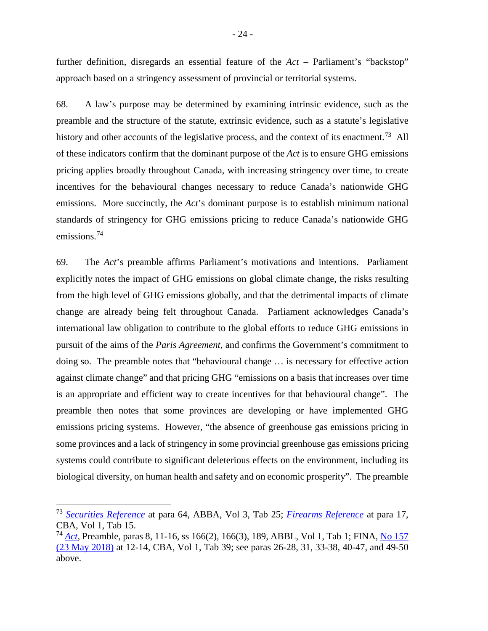further definition, disregards an essential feature of the *Act* – Parliament's "backstop" approach based on a stringency assessment of provincial or territorial systems.

68. A law's purpose may be determined by examining intrinsic evidence, such as the preamble and the structure of the statute, extrinsic evidence, such as a statute's legislative history and other accounts of the legislative process, and the context of its enactment.<sup>[73](#page-31-0)</sup> All of these indicators confirm that the dominant purpose of the *Act* is to ensure GHG emissions pricing applies broadly throughout Canada, with increasing stringency over time, to create incentives for the behavioural changes necessary to reduce Canada's nationwide GHG emissions. More succinctly, the *Act*'s dominant purpose is to establish minimum national standards of stringency for GHG emissions pricing to reduce Canada's nationwide GHG emissions. [74](#page-31-1)

69. The *Act*'s preamble affirms Parliament's motivations and intentions. Parliament explicitly notes the impact of GHG emissions on global climate change, the risks resulting from the high level of GHG emissions globally, and that the detrimental impacts of climate change are already being felt throughout Canada. Parliament acknowledges Canada's international law obligation to contribute to the global efforts to reduce GHG emissions in pursuit of the aims of the *Paris Agreement*, and confirms the Government's commitment to doing so. The preamble notes that "behavioural change … is necessary for effective action against climate change" and that pricing GHG "emissions on a basis that increases over time is an appropriate and efficient way to create incentives for that behavioural change". The preamble then notes that some provinces are developing or have implemented GHG emissions pricing systems. However, "the absence of greenhouse gas emissions pricing in some provinces and a lack of stringency in some provincial greenhouse gas emissions pricing systems could contribute to significant deleterious effects on the environment, including its biological diversity, on human health and safety and on economic prosperity". The preamble

<span id="page-31-0"></span> <sup>73</sup> *[Securities Reference](https://scc-csc.lexum.com/scc-csc/scc-csc/en/item/7984/index.do)* at para 64, ABBA, Vol 3, Tab 25; *[Firearms Reference](https://scc-csc.lexum.com/scc-csc/scc-csc/en/item/1794/index.do)* at para 17, CBA, Vol 1, Tab 15.

<span id="page-31-1"></span><sup>74</sup> *[Act](https://laws.justice.gc.ca/eng/acts/G-11.55/index.html)*, Preamble, paras 8, 11-16, ss 166(2), 166(3), 189, ABBL, Vol 1, Tab 1; FINA, [No 157](http://www.ourcommons.ca/Content/Committee/421/FINA/Evidence/EV9883290/FINAEV157-E.PDF)  [\(23 May 2018\)](http://www.ourcommons.ca/Content/Committee/421/FINA/Evidence/EV9883290/FINAEV157-E.PDF) at 12-14, CBA, Vol 1, Tab 39; see paras 26-28, 31, 33-38, 40-47, and 49-50 above.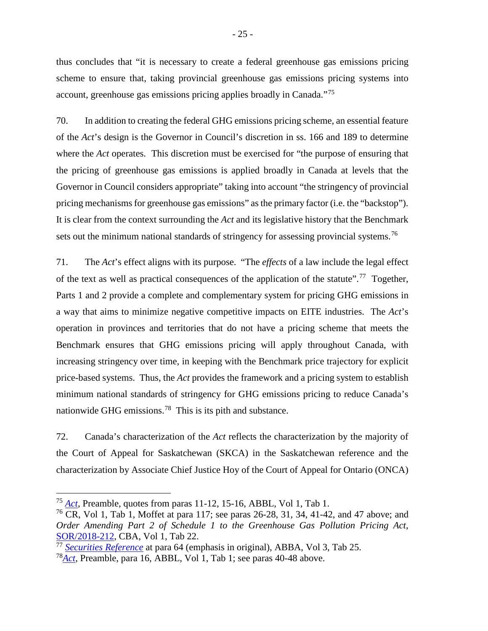thus concludes that "it is necessary to create a federal greenhouse gas emissions pricing scheme to ensure that, taking provincial greenhouse gas emissions pricing systems into account, greenhouse gas emissions pricing applies broadly in Canada."[75](#page-32-0)

70. In addition to creating the federal GHG emissions pricing scheme, an essential feature of the *Act*'s design is the Governor in Council's discretion in ss. 166 and 189 to determine where the *Act* operates. This discretion must be exercised for "the purpose of ensuring that the pricing of greenhouse gas emissions is applied broadly in Canada at levels that the Governor in Council considers appropriate" taking into account "the stringency of provincial pricing mechanisms for greenhouse gas emissions" as the primary factor (i.e. the "backstop"). It is clear from the context surrounding the *Act* and its legislative history that the Benchmark sets out the minimum national standards of stringency for assessing provincial systems.<sup>[76](#page-32-1)</sup>

71. The *Act*'s effect aligns with its purpose. "The *effects* of a law include the legal effect of the text as well as practical consequences of the application of the statute".<sup>[77](#page-32-2)</sup> Together, Parts 1 and 2 provide a complete and complementary system for pricing GHG emissions in a way that aims to minimize negative competitive impacts on EITE industries. The *Act*'s operation in provinces and territories that do not have a pricing scheme that meets the Benchmark ensures that GHG emissions pricing will apply throughout Canada, with increasing stringency over time, in keeping with the Benchmark price trajectory for explicit price-based systems. Thus, the *Act* provides the framework and a pricing system to establish minimum national standards of stringency for GHG emissions pricing to reduce Canada's nationwide GHG emissions.<sup>78</sup> This is its pith and substance.

72. Canada's characterization of the *Act* reflects the characterization by the majority of the Court of Appeal for Saskatchewan (SKCA) in the Saskatchewan reference and the characterization by Associate Chief Justice Hoy of the Court of Appeal for Ontario (ONCA)

<span id="page-32-0"></span> <sup>75</sup> *[Act](https://laws.justice.gc.ca/eng/acts/G-11.55/index.html)*, Preamble, quotes from paras 11-12, 15-16, ABBL, Vol 1, Tab 1.

<span id="page-32-1"></span><sup>76</sup> CR, Vol 1, Tab 1, Moffet at para 117; see paras 26-28, 31, 34, 41-42, and 47 above; and *Order Amending Part 2 of Schedule 1 to the Greenhouse Gas Pollution Pricing Act*, [SOR/2018-212,](http://gazette.gc.ca/rp-pr/p2/2018/2018-10-31/html/sor-dors212-eng.html) CBA, Vol 1, Tab 22.

<span id="page-32-2"></span><sup>77</sup> *[Securities Reference](https://scc-csc.lexum.com/scc-csc/scc-csc/en/item/7984/index.do)* at para 64 (emphasis in original), ABBA, Vol 3, Tab 25.

<span id="page-32-3"></span><sup>78</sup>*[Act](https://laws.justice.gc.ca/eng/acts/G-11.55/index.html)*, Preamble, para 16, ABBL, Vol 1, Tab 1; see paras 40-48 above.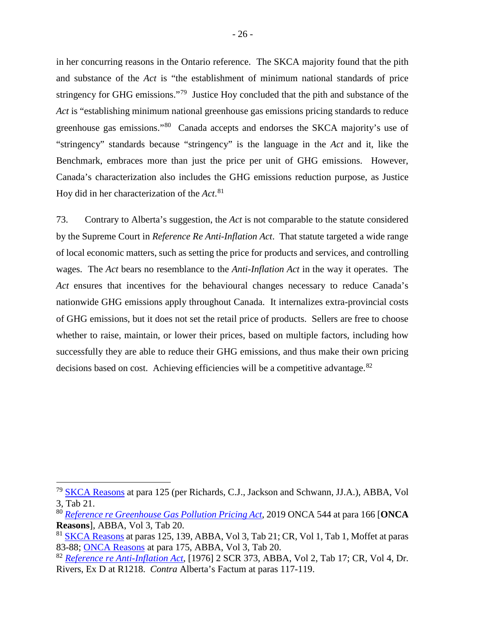in her concurring reasons in the Ontario reference. The SKCA majority found that the pith and substance of the *Act* is "the establishment of minimum national standards of price stringency for GHG emissions."[79](#page-33-1) Justice Hoy concluded that the pith and substance of the *Act* is "establishing minimum national greenhouse gas emissions pricing standards to reduce greenhouse gas emissions."[80](#page-33-2) Canada accepts and endorses the SKCA majority's use of "stringency" standards because "stringency" is the language in the *Act* and it, like the Benchmark, embraces more than just the price per unit of GHG emissions. However, Canada's characterization also includes the GHG emissions reduction purpose, as Justice Hoy did in her characterization of the *Act*. [81](#page-33-3)

73. Contrary to Alberta's suggestion, the *Act* is not comparable to the statute considered by the Supreme Court in *Reference Re Anti-Inflation Act*. That statute targeted a wide range of local economic matters, such as setting the price for products and services, and controlling wages. The *Act* bears no resemblance to the *Anti-Inflation Act* in the way it operates. The Act ensures that incentives for the behavioural changes necessary to reduce Canada's nationwide GHG emissions apply throughout Canada. It internalizes extra-provincial costs of GHG emissions, but it does not set the retail price of products. Sellers are free to choose whether to raise, maintain, or lower their prices, based on multiple factors, including how successfully they are able to reduce their GHG emissions, and thus make their own pricing decisions based on cost. Achieving efficiencies will be a competitive advantage.<sup>[82](#page-33-4)</sup>

<span id="page-33-1"></span><span id="page-33-0"></span> <sup>79</sup> [SKCA Reasons](https://sasklawcourts.ca/images/documents/CA_2019SKCA040.pdf) at para 125 (per Richards, C.J., Jackson and Schwann, JJ.A.), ABBA, Vol 3, Tab 21.

<span id="page-33-2"></span><sup>80</sup> *Reference re [Greenhouse Gas Pollution Pricing Act](http://www.ontariocourts.ca/decisions/2019/2019ONCA0544.htm)*, 2019 ONCA 544 at para 166 [**ONCA Reasons**], ABBA, Vol 3, Tab 20.

<span id="page-33-3"></span><sup>&</sup>lt;sup>81</sup> [SKCA Reasons](https://sasklawcourts.ca/images/documents/CA_2019SKCA040.pdf) at paras 125, 139, ABBA, Vol 3, Tab 21; CR, Vol 1, Tab 1, Moffet at paras 83-88; [ONCA Reasons](http://www.ontariocourts.ca/decisions/2019/2019ONCA0544.htm) at para 175, ABBA, Vol 3, Tab 20.

<span id="page-33-4"></span><sup>82</sup> *[Reference re Anti-Inflation Act](https://scc-csc.lexum.com/scc-csc/scc-csc/en/item/2696/index.do)*, [1976] 2 SCR 373, ABBA, Vol 2, Tab 17; CR, Vol 4, Dr. Rivers, Ex D at R1218. *Contra* Alberta's Factum at paras 117-119.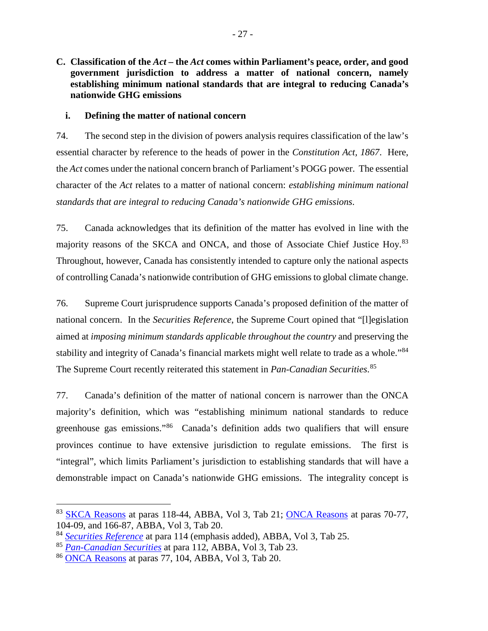**C. Classification of the** *Act* **– the** *Act* **comes within Parliament's peace, order, and good government jurisdiction to address a matter of national concern, namely establishing minimum national standards that are integral to reducing Canada's nationwide GHG emissions**

## <span id="page-34-0"></span>**i. Defining the matter of national concern**

74. The second step in the division of powers analysis requires classification of the law's essential character by reference to the heads of power in the *Constitution Act, 1867*. Here, the *Act* comes under the national concern branch of Parliament's POGG power. The essential character of the *Act* relates to a matter of national concern: *establishing minimum national standards that are integral to reducing Canada's nationwide GHG emissions*.

75. Canada acknowledges that its definition of the matter has evolved in line with the majority reasons of the SKCA and ONCA, and those of Associate Chief Justice Hoy.<sup>83</sup> Throughout, however, Canada has consistently intended to capture only the national aspects of controlling Canada's nationwide contribution of GHG emissions to global climate change.

76. Supreme Court jurisprudence supports Canada's proposed definition of the matter of national concern. In the *Securities Reference*, the Supreme Court opined that "[l]egislation aimed at *imposing minimum standards applicable throughout the country* and preserving the stability and integrity of Canada's financial markets might well relate to trade as a whole."[84](#page-34-2)  The Supreme Court recently reiterated this statement in *Pan-Canadian Securities*. [85](#page-34-3)

77. Canada's definition of the matter of national concern is narrower than the ONCA majority's definition, which was "establishing minimum national standards to reduce greenhouse gas emissions."[86](#page-34-4) Canada's definition adds two qualifiers that will ensure provinces continue to have extensive jurisdiction to regulate emissions. The first is "integral", which limits Parliament's jurisdiction to establishing standards that will have a demonstrable impact on Canada's nationwide GHG emissions. The integrality concept is

<span id="page-34-1"></span> <sup>83</sup> [SKCA Reasons](https://sasklawcourts.ca/images/documents/CA_2019SKCA040.pdf) at paras 118-44, ABBA, Vol 3, Tab 21; [ONCA Reasons](http://www.ontariocourts.ca/decisions/2019/2019ONCA0544.htm) at paras 70-77, 104-09, and 166-87, ABBA, Vol 3, Tab 20.

<span id="page-34-2"></span><sup>84</sup> *[Securities Reference](https://scc-csc.lexum.com/scc-csc/scc-csc/en/item/7984/index.do)* at para 114 (emphasis added), ABBA, Vol 3, Tab 25.

<span id="page-34-3"></span><sup>85</sup> *[Pan-Canadian Securities](https://scc-csc.lexum.com/scc-csc/scc-csc/en/item/17355/index.do)* at para 112, ABBA, Vol 3, Tab 23.

<span id="page-34-4"></span><sup>86</sup> [ONCA Reasons](http://www.ontariocourts.ca/decisions/2019/2019ONCA0544.htm) at paras 77, 104, ABBA, Vol 3, Tab 20.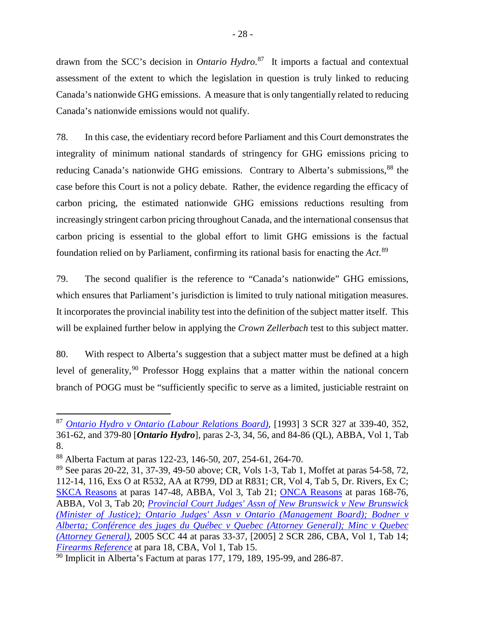drawn from the SCC's decision in *Ontario Hydro*. [87](#page-35-0) It imports a factual and contextual assessment of the extent to which the legislation in question is truly linked to reducing Canada's nationwide GHG emissions. A measure that is only tangentially related to reducing Canada's nationwide emissions would not qualify.

78. In this case, the evidentiary record before Parliament and this Court demonstrates the integrality of minimum national standards of stringency for GHG emissions pricing to reducing Canada's nationwide GHG emissions. Contrary to Alberta's submissions,<sup>[88](#page-35-1)</sup> the case before this Court is not a policy debate. Rather, the evidence regarding the efficacy of carbon pricing, the estimated nationwide GHG emissions reductions resulting from increasingly stringent carbon pricing throughout Canada, and the international consensus that carbon pricing is essential to the global effort to limit GHG emissions is the factual foundation relied on by Parliament, confirming its rational basis for enacting the *Act*. [89](#page-35-2)

79. The second qualifier is the reference to "Canada's nationwide" GHG emissions, which ensures that Parliament's jurisdiction is limited to truly national mitigation measures. It incorporates the provincial inability test into the definition of the subject matter itself. This will be explained further below in applying the *Crown Zellerbach* test to this subject matter.

80. With respect to Alberta's suggestion that a subject matter must be defined at a high level of generality,  $90$  Professor Hogg explains that a matter within the national concern branch of POGG must be "sufficiently specific to serve as a limited, justiciable restraint on

<span id="page-35-0"></span> <sup>87</sup> *[Ontario Hydro v Ontario \(Labour Relations Board\)](https://scc-csc.lexum.com/scc-csc/scc-csc/en/1051/1/document.do)*, [1993] 3 SCR 327 at 339-40, 352, 361-62, and 379-80 [*Ontario Hydro*], paras 2-3, 34, 56, and 84-86 (QL), ABBA, Vol 1, Tab 8.

<span id="page-35-1"></span><sup>88</sup> Alberta Factum at paras 122-23, 146-50, 207, 254-61, 264-70.

<span id="page-35-2"></span><sup>89</sup> See paras 20-22, 31, 37-39, 49-50 above; CR, Vols 1-3, Tab 1, Moffet at paras 54-58, 72, 112-14, 116, Exs O at R532, AA at R799, DD at R831; CR, Vol 4, Tab 5, Dr. Rivers, Ex C; [SKCA Reasons](https://sasklawcourts.ca/images/documents/CA_2019SKCA040.pdf) at paras 147-48, ABBA, Vol 3, Tab 21; [ONCA Reasons](http://www.ontariocourts.ca/decisions/2019/2019ONCA0544.htm) at paras 168-76, ABBA, Vol 3, Tab 20; *[Provincial Court Judges' Assn of New Brunswick v New Brunswick](https://decisions.scc-csc.ca/scc-csc/scc-csc/en/item/2277/index.do)  [\(Minister of Justice\); Ontario Judges' Assn v Ontario \(Management Board\); Bodner v](https://decisions.scc-csc.ca/scc-csc/scc-csc/en/item/2277/index.do)  [Alberta; Conférence des juges du Québec v Quebec \(Attorney General\); Minc v Quebec](https://decisions.scc-csc.ca/scc-csc/scc-csc/en/item/2277/index.do)  [\(Attorney General\)](https://decisions.scc-csc.ca/scc-csc/scc-csc/en/item/2277/index.do)*, 2005 SCC 44 at paras 33-37, [2005] 2 SCR 286, CBA, Vol 1, Tab 14; *[Firearms Reference](https://scc-csc.lexum.com/scc-csc/scc-csc/en/item/1794/index.do)* at para 18, CBA, Vol 1, Tab 15.

<span id="page-35-3"></span> $90$  Implicit in Alberta's Factum at paras 177, 179, 189, 195-99, and 286-87.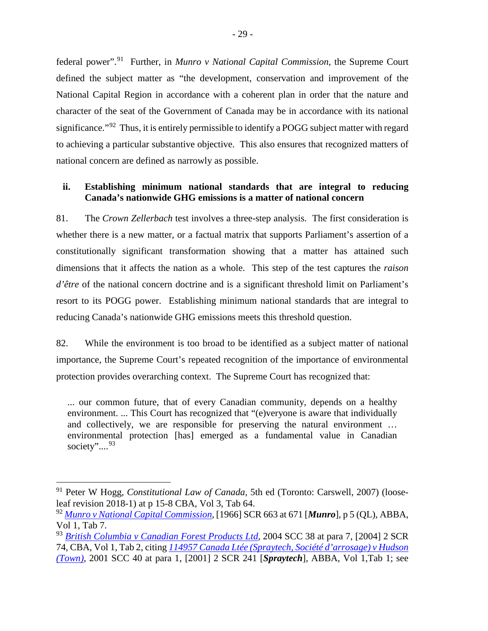federal power".[91](#page-36-1) Further, in *Munro v National Capital Commission*, the Supreme Court defined the subject matter as "the development, conservation and improvement of the National Capital Region in accordance with a coherent plan in order that the nature and character of the seat of the Government of Canada may be in accordance with its national significance."<sup>[92](#page-36-2)</sup> Thus, it is entirely permissible to identify a POGG subject matter with regard to achieving a particular substantive objective. This also ensures that recognized matters of national concern are defined as narrowly as possible.

## <span id="page-36-0"></span>**ii. Establishing minimum national standards that are integral to reducing Canada's nationwide GHG emissions is a matter of national concern**

81. The *Crown Zellerbach* test involves a three-step analysis. The first consideration is whether there is a new matter, or a factual matrix that supports Parliament's assertion of a constitutionally significant transformation showing that a matter has attained such dimensions that it affects the nation as a whole. This step of the test captures the *raison d'être* of the national concern doctrine and is a significant threshold limit on Parliament's resort to its POGG power. Establishing minimum national standards that are integral to reducing Canada's nationwide GHG emissions meets this threshold question.

82. While the environment is too broad to be identified as a subject matter of national importance, the Supreme Court's repeated recognition of the importance of environmental protection provides overarching context. The Supreme Court has recognized that:

... our common future, that of every Canadian community, depends on a healthy environment. ... This Court has recognized that "(e)veryone is aware that individually and collectively, we are responsible for preserving the natural environment … environmental protection [has] emerged as a fundamental value in Canadian society"....<sup>[93](#page-36-3)</sup>

<span id="page-36-1"></span> <sup>91</sup> Peter W Hogg, *Constitutional Law of Canada*, 5th ed (Toronto: Carswell, 2007) (looseleaf revision 2018-1) at p 15-8 CBA, Vol 3, Tab 64.

<span id="page-36-2"></span><sup>92</sup> *[Munro v National Capital Commission](https://decisions.scc-csc.ca/scc-csc/scc-csc/en/item/6893/index.do)*, [1966] SCR 663 at 671 [*Munro*], p 5 (QL), ABBA, Vol 1, Tab 7.

<span id="page-36-3"></span><sup>93</sup> *British Columbia v [Canadian Forest Products Ltd](https://scc-csc.lexum.com/scc-csc/scc-csc/en/item/2152/index.do)*, 2004 SCC 38 at para 7, [2004] 2 SCR 74, CBA, Vol 1, Tab 2, citing *[114957 Canada Ltée \(Spraytech, Société d'arrosage\) v](https://scc-csc.lexum.com/scc-csc/scc-csc/en/item/1878/index.do) Hudson [\(Town\)](https://scc-csc.lexum.com/scc-csc/scc-csc/en/item/1878/index.do)*, 2001 SCC 40 at para 1, [2001] 2 SCR 241 [*Spraytech*], ABBA, Vol 1,Tab 1; see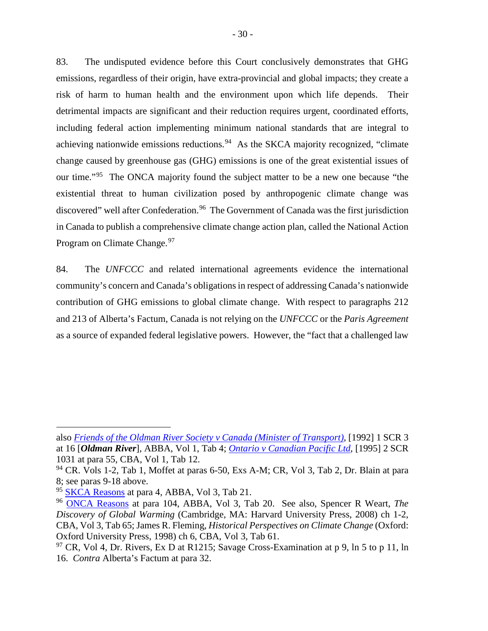83. The undisputed evidence before this Court conclusively demonstrates that GHG emissions, regardless of their origin, have extra-provincial and global impacts; they create a risk of harm to human health and the environment upon which life depends. Their detrimental impacts are significant and their reduction requires urgent, coordinated efforts, including federal action implementing minimum national standards that are integral to achieving nationwide emissions reductions.<sup>[94](#page-37-0)</sup> As the SKCA majority recognized, "climate change caused by greenhouse gas (GHG) emissions is one of the great existential issues of our time."[95](#page-37-1) The ONCA majority found the subject matter to be a new one because "the existential threat to human civilization posed by anthropogenic climate change was discovered" well after Confederation.<sup>[96](#page-37-2)</sup> The Government of Canada was the first jurisdiction in Canada to publish a comprehensive climate change action plan, called the National Action Program on Climate Change.<sup>[97](#page-37-3)</sup>

84. The *UNFCCC* and related international agreements evidence the international community's concern and Canada's obligations in respect of addressing Canada's nationwide contribution of GHG emissions to global climate change. With respect to paragraphs 212 and 213 of Alberta's Factum, Canada is not relying on the *UNFCCC* or the *Paris Agreement* as a source of expanded federal legislative powers. However, the "fact that a challenged law

 $\overline{a}$ 

also *[Friends of the Oldman River Society v](https://scc-csc.lexum.com/scc-csc/scc-csc/en/item/829/index.do) Canada (Minister of Transport)*, [1992] 1 SCR 3 at 16 [*Oldman River*], ABBA, Vol 1, Tab 4; *Ontario v [Canadian Pacific Ltd](https://scc-csc.lexum.com/scc-csc/scc-csc/en/item/1280/index.do)*, [1995] 2 SCR 1031 at para 55, CBA, Vol 1, Tab 12.

<span id="page-37-0"></span> $94$  CR. Vols 1-2, Tab 1, Moffet at paras 6-50, Exs A-M; CR, Vol 3, Tab 2, Dr. Blain at para 8; see paras 9-18 above.

<span id="page-37-1"></span><sup>&</sup>lt;sup>95</sup> [SKCA Reasons](https://sasklawcourts.ca/images/documents/CA_2019SKCA040.pdf) at para 4, ABBA, Vol 3, Tab 21.

<span id="page-37-2"></span><sup>96</sup> [ONCA Reasons](http://www.ontariocourts.ca/decisions/2019/2019ONCA0544.htm) at para 104, ABBA, Vol 3, Tab 20. See also, Spencer R Weart, *The Discovery of Global Warming* (Cambridge, MA: Harvard University Press, 2008) ch 1-2, CBA, Vol 3, Tab 65; James R. Fleming, *Historical Perspectives on Climate Change* (Oxford: Oxford University Press, 1998) ch 6, CBA, Vol 3, Tab 61.

<span id="page-37-3"></span> $97$  CR, Vol 4, Dr. Rivers, Ex D at R1215; Savage Cross-Examination at p 9, ln 5 to p 11, ln 16. *Contra* Alberta's Factum at para 32.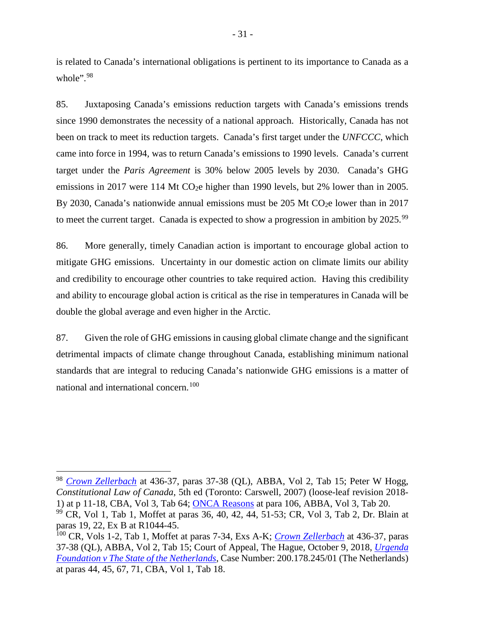is related to Canada's international obligations is pertinent to its importance to Canada as a whole".<sup>[98](#page-38-1)</sup>

85. Juxtaposing Canada's emissions reduction targets with Canada's emissions trends since 1990 demonstrates the necessity of a national approach. Historically, Canada has not been on track to meet its reduction targets. Canada's first target under the *UNFCCC*, which came into force in 1994, was to return Canada's emissions to 1990 levels. Canada's current target under the *Paris Agreement* is 30% below 2005 levels by 2030. Canada's GHG emissions in 2017 were 114 Mt CO<sub>2</sub>e higher than 1990 levels, but 2% lower than in 2005. By 2030, Canada's nationwide annual emissions must be 205 Mt CO<sub>2</sub>e lower than in 2017 to meet the current target. Canada is expected to show a progression in ambition by 2025.<sup>[99](#page-38-2)</sup>

86. More generally, timely Canadian action is important to encourage global action to mitigate GHG emissions. Uncertainty in our domestic action on climate limits our ability and credibility to encourage other countries to take required action. Having this credibility and ability to encourage global action is critical as the rise in temperatures in Canada will be double the global average and even higher in the Arctic.

87. Given the role of GHG emissions in causing global climate change and the significant detrimental impacts of climate change throughout Canada, establishing minimum national standards that are integral to reducing Canada's nationwide GHG emissions is a matter of national and international concern.<sup>[100](#page-38-3)</sup>

<span id="page-38-1"></span><span id="page-38-0"></span> 98 *[Crown Zellerbach](https://scc-csc.lexum.com/scc-csc/scc-csc/en/item/306/index.do)* at 436-37, paras 37-38 (QL), ABBA, Vol 2, Tab 15; Peter W Hogg, *Constitutional Law of Canada*, 5th ed (Toronto: Carswell, 2007) (loose-leaf revision 2018- 1) at p 11-18, CBA, Vol 3, Tab 64; [ONCA Reasons](http://www.ontariocourts.ca/decisions/2019/2019ONCA0544.htm) at para 106, ABBA, Vol 3, Tab 20.

<span id="page-38-2"></span> $99$  CR, Vol 1, Tab 1, Moffet at paras 36, 40, 42, 44, 51-53; CR, Vol 3, Tab 2, Dr. Blain at paras 19, 22, Ex B at R1044-45.

<span id="page-38-3"></span><sup>100</sup> CR, Vols 1-2, Tab 1, Moffet at paras 7-34, Exs A-K; *[Crown Zellerbach](https://scc-csc.lexum.com/scc-csc/scc-csc/en/item/306/index.do)* at 436-37, paras 37-38 (QL), ABBA, Vol 2, Tab 15; Court of Appeal, The Hague, October 9, 2018, *[Urgenda](https://uitspraken.rechtspraak.nl/inziendocument?id=ECLI:NL:GHDHA:2018:2610)  Foundation v [The State of the Netherlands](https://uitspraken.rechtspraak.nl/inziendocument?id=ECLI:NL:GHDHA:2018:2610)*, Case Number: 200.178.245/01 (The Netherlands) at paras 44, 45, 67, 71, CBA, Vol 1, Tab 18.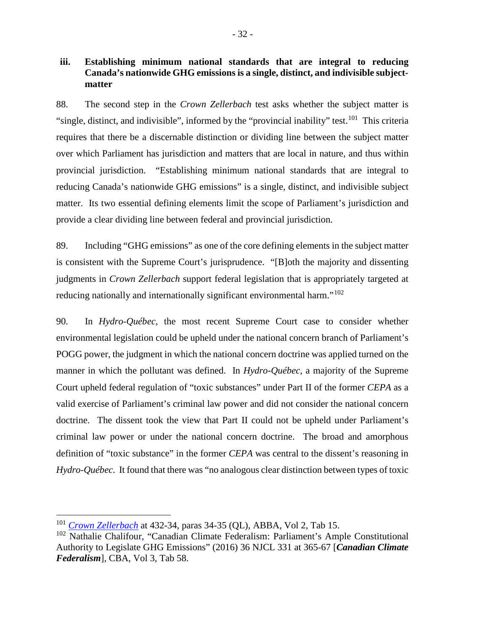## **iii. Establishing minimum national standards that are integral to reducing Canada's nationwide GHG emissions is a single, distinct, and indivisible subjectmatter**

88. The second step in the *Crown Zellerbach* test asks whether the subject matter is "single, distinct, and indivisible", informed by the "provincial inability" test.<sup>[101](#page-39-0)</sup> This criteria requires that there be a discernable distinction or dividing line between the subject matter over which Parliament has jurisdiction and matters that are local in nature, and thus within provincial jurisdiction. "Establishing minimum national standards that are integral to reducing Canada's nationwide GHG emissions" is a single, distinct, and indivisible subject matter. Its two essential defining elements limit the scope of Parliament's jurisdiction and provide a clear dividing line between federal and provincial jurisdiction.

89. Including "GHG emissions" as one of the core defining elements in the subject matter is consistent with the Supreme Court's jurisprudence. "[B]oth the majority and dissenting judgments in *Crown Zellerbach* support federal legislation that is appropriately targeted at reducing nationally and internationally significant environmental harm."<sup>[102](#page-39-1)</sup>

90. In *Hydro-Québec*, the most recent Supreme Court case to consider whether environmental legislation could be upheld under the national concern branch of Parliament's POGG power, the judgment in which the national concern doctrine was applied turned on the manner in which the pollutant was defined. In *Hydro-Québec*, a majority of the Supreme Court upheld federal regulation of "toxic substances" under Part II of the former *CEPA* as a valid exercise of Parliament's criminal law power and did not consider the national concern doctrine. The dissent took the view that Part II could not be upheld under Parliament's criminal law power or under the national concern doctrine. The broad and amorphous definition of "toxic substance" in the former *CEPA* was central to the dissent's reasoning in *Hydro-Québec*. It found that there was "no analogous clear distinction between types of toxic

<span id="page-39-0"></span> <sup>101</sup> *[Crown Zellerbach](https://scc-csc.lexum.com/scc-csc/scc-csc/en/item/306/index.do)* at 432-34, paras 34-35 (QL), ABBA, Vol 2, Tab 15.

<span id="page-39-1"></span><sup>102</sup> Nathalie Chalifour, "Canadian Climate Federalism: Parliament's Ample Constitutional Authority to Legislate GHG Emissions" (2016) 36 NJCL 331 at 365-67 [*Canadian Climate Federalism*], CBA, Vol 3, Tab 58.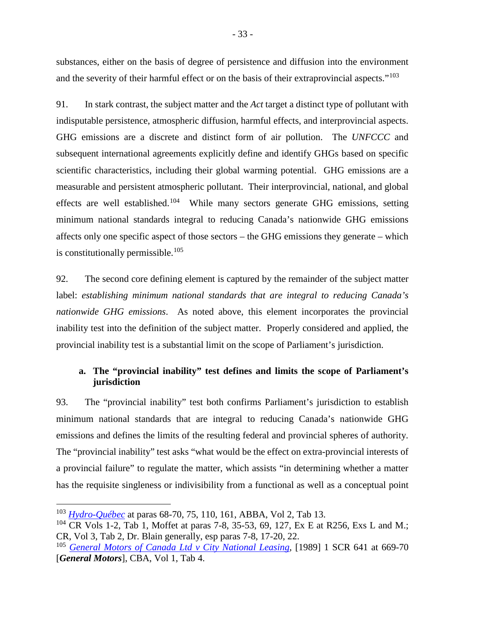substances, either on the basis of degree of persistence and diffusion into the environment and the severity of their harmful effect or on the basis of their extraprovincial aspects."<sup>[103](#page-40-1)</sup>

91. In stark contrast, the subject matter and the *Act* target a distinct type of pollutant with indisputable persistence, atmospheric diffusion, harmful effects, and interprovincial aspects. GHG emissions are a discrete and distinct form of air pollution. The *UNFCCC* and subsequent international agreements explicitly define and identify GHGs based on specific scientific characteristics, including their global warming potential. GHG emissions are a measurable and persistent atmospheric pollutant. Their interprovincial, national, and global effects are well established.[104](#page-40-2) While many sectors generate GHG emissions, setting minimum national standards integral to reducing Canada's nationwide GHG emissions affects only one specific aspect of those sectors – the GHG emissions they generate – which is constitutionally permissible. [105](#page-40-3)

92. The second core defining element is captured by the remainder of the subject matter label: *establishing minimum national standards that are integral to reducing Canada's nationwide GHG emissions*. As noted above, this element incorporates the provincial inability test into the definition of the subject matter. Properly considered and applied, the provincial inability test is a substantial limit on the scope of Parliament's jurisdiction.

## <span id="page-40-0"></span>**a. The "provincial inability" test defines and limits the scope of Parliament's jurisdiction**

93. The "provincial inability" test both confirms Parliament's jurisdiction to establish minimum national standards that are integral to reducing Canada's nationwide GHG emissions and defines the limits of the resulting federal and provincial spheres of authority. The "provincial inability" test asks "what would be the effect on extra-provincial interests of a provincial failure" to regulate the matter, which assists "in determining whether a matter has the requisite singleness or indivisibility from a functional as well as a conceptual point

<span id="page-40-1"></span> <sup>103</sup> *[Hydro-Québec](https://scc-csc.lexum.com/scc-csc/scc-csc/en/item/1542/index.do)* at paras 68-70, 75, 110, 161, ABBA, Vol 2, Tab 13.

<span id="page-40-2"></span><sup>&</sup>lt;sup>104</sup> CR Vols 1-2, Tab 1, Moffet at paras 7-8, 35-53, 69, 127, Ex E at R256, Exs L and M.; CR, Vol 3, Tab 2, Dr. Blain generally, esp paras 7-8, 17-20, 22.

<span id="page-40-3"></span><sup>105</sup> *[General Motors of Canada Ltd v](https://scc-csc.lexum.com/scc-csc/scc-csc/en/item/433/index.do) City National Leasing*, [1989] 1 SCR 641 at 669-70 [*General Motors*], CBA, Vol 1, Tab 4.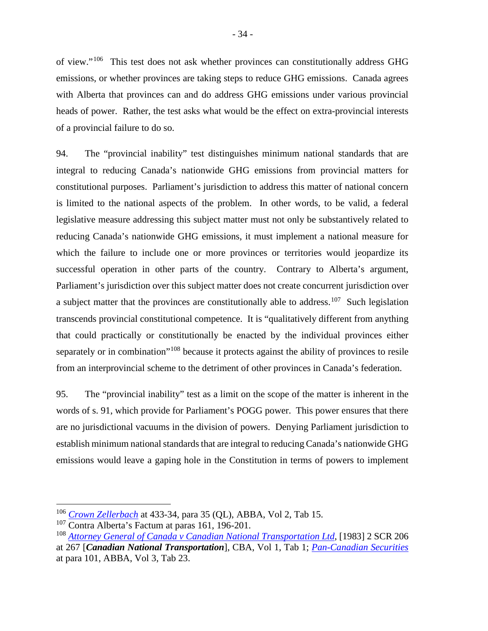of view."[106](#page-41-0) This test does not ask whether provinces can constitutionally address GHG emissions, or whether provinces are taking steps to reduce GHG emissions. Canada agrees with Alberta that provinces can and do address GHG emissions under various provincial heads of power. Rather, the test asks what would be the effect on extra-provincial interests of a provincial failure to do so.

94. The "provincial inability" test distinguishes minimum national standards that are integral to reducing Canada's nationwide GHG emissions from provincial matters for constitutional purposes. Parliament's jurisdiction to address this matter of national concern is limited to the national aspects of the problem. In other words, to be valid, a federal legislative measure addressing this subject matter must not only be substantively related to reducing Canada's nationwide GHG emissions, it must implement a national measure for which the failure to include one or more provinces or territories would jeopardize its successful operation in other parts of the country. Contrary to Alberta's argument, Parliament's jurisdiction over this subject matter does not create concurrent jurisdiction over a subject matter that the provinces are constitutionally able to address.<sup>107</sup> Such legislation transcends provincial constitutional competence. It is "qualitatively different from anything that could practically or constitutionally be enacted by the individual provinces either separately or in combination<sup>"[108](#page-41-2)</sup> because it protects against the ability of provinces to resile from an interprovincial scheme to the detriment of other provinces in Canada's federation.

95. The "provincial inability" test as a limit on the scope of the matter is inherent in the words of s. 91, which provide for Parliament's POGG power. This power ensures that there are no jurisdictional vacuums in the division of powers. Denying Parliament jurisdiction to establish minimum national standards that are integral to reducing Canada's nationwide GHG emissions would leave a gaping hole in the Constitution in terms of powers to implement

<span id="page-41-0"></span> <sup>106</sup> *[Crown Zellerbach](https://scc-csc.lexum.com/scc-csc/scc-csc/en/item/306/index.do)* at 433-34, para 35 (QL), ABBA, Vol 2, Tab 15.

<span id="page-41-1"></span> $107$  Contra Alberta's Factum at paras 161, 196-201.

<span id="page-41-2"></span><sup>108</sup> *Attorney General of Canada v [Canadian National Transportation Ltd](https://scc-csc.lexum.com/scc-csc/scc-csc/en/item/2512/index.do)*, [1983] 2 SCR 206 at 267 [*Canadian National Transportation*], CBA, Vol 1, Tab 1; *[Pan-Canadian Securities](https://scc-csc.lexum.com/scc-csc/scc-csc/en/item/17355/index.do)* at para 101, ABBA, Vol 3, Tab 23.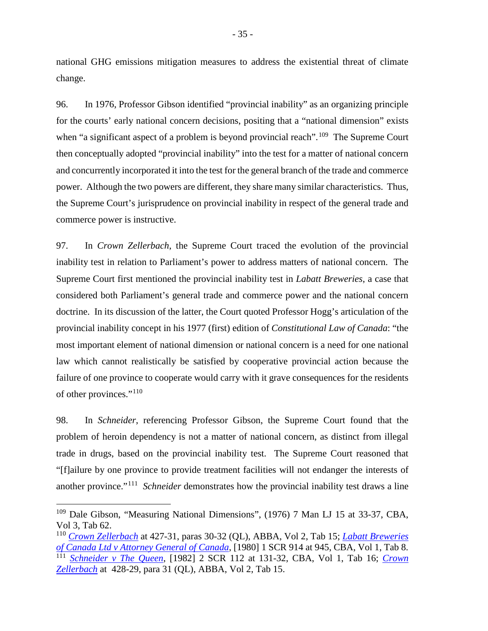national GHG emissions mitigation measures to address the existential threat of climate change.

96. In 1976, Professor Gibson identified "provincial inability" as an organizing principle for the courts' early national concern decisions, positing that a "national dimension" exists when "a significant aspect of a problem is beyond provincial reach".<sup>[109](#page-42-0)</sup> The Supreme Court then conceptually adopted "provincial inability" into the test for a matter of national concern and concurrently incorporated it into the test for the general branch of the trade and commerce power. Although the two powers are different, they share many similar characteristics. Thus, the Supreme Court's jurisprudence on provincial inability in respect of the general trade and commerce power is instructive.

97. In *Crown Zellerbach*, the Supreme Court traced the evolution of the provincial inability test in relation to Parliament's power to address matters of national concern. The Supreme Court first mentioned the provincial inability test in *Labatt Breweries*, a case that considered both Parliament's general trade and commerce power and the national concern doctrine. In its discussion of the latter, the Court quoted Professor Hogg's articulation of the provincial inability concept in his 1977 (first) edition of *Constitutional Law of Canada*: "the most important element of national dimension or national concern is a need for one national law which cannot realistically be satisfied by cooperative provincial action because the failure of one province to cooperate would carry with it grave consequences for the residents of other provinces."[110](#page-42-1)

98. In *Schneider*, referencing Professor Gibson, the Supreme Court found that the problem of heroin dependency is not a matter of national concern, as distinct from illegal trade in drugs, based on the provincial inability test. The Supreme Court reasoned that "[f]ailure by one province to provide treatment facilities will not endanger the interests of another province."[111](#page-42-2) *Schneider* demonstrates how the provincial inability test draws a line

<span id="page-42-0"></span> <sup>109</sup> Dale Gibson, "Measuring National Dimensions", (1976) 7 Man LJ 15 at 33-37, CBA, Vol 3, Tab 62.

<span id="page-42-2"></span><span id="page-42-1"></span><sup>110</sup> *[Crown Zellerbach](https://scc-csc.lexum.com/scc-csc/scc-csc/en/item/306/index.do)* at 427-31, paras 30-32 (QL), ABBA, Vol 2, Tab 15; *[Labatt Breweries](https://scc-csc.lexum.com/scc-csc/scc-csc/en/item/5687/index.do)  of Canada Ltd v [Attorney General of Canada](https://scc-csc.lexum.com/scc-csc/scc-csc/en/item/5687/index.do)*, [1980] 1 SCR 914 at 945, CBA, Vol 1, Tab 8. <sup>111</sup> *[Schneider v](https://scc-csc.lexum.com/scc-csc/scc-csc/en/item/2449/index.do) The Queen*, [1982] 2 SCR 112 at 131-32, CBA, Vol 1, Tab 16; *[Crown](https://scc-csc.lexum.com/scc-csc/scc-csc/en/item/306/index.do)  [Zellerbach](https://scc-csc.lexum.com/scc-csc/scc-csc/en/item/306/index.do)* at 428-29, para 31 (QL), ABBA, Vol 2, Tab 15.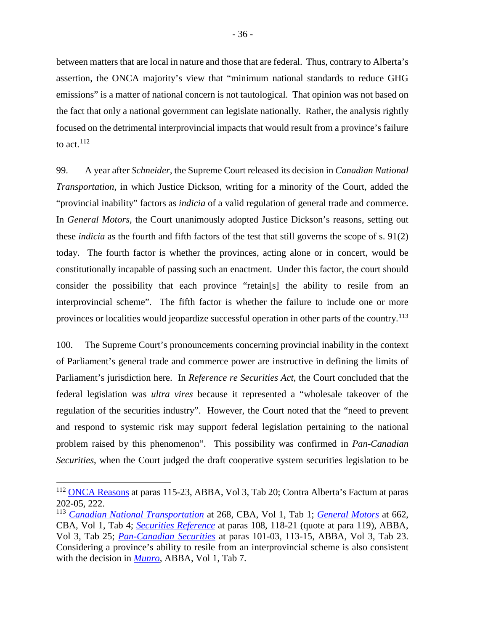between matters that are local in nature and those that are federal. Thus, contrary to Alberta's assertion, the ONCA majority's view that "minimum national standards to reduce GHG emissions" is a matter of national concern is not tautological. That opinion was not based on the fact that only a national government can legislate nationally. Rather, the analysis rightly focused on the detrimental interprovincial impacts that would result from a province's failure to act.<sup>[112](#page-43-0)</sup>

99. A year after *Schneider*, the Supreme Court released its decision in *Canadian National Transportation*, in which Justice Dickson, writing for a minority of the Court, added the "provincial inability" factors as *indicia* of a valid regulation of general trade and commerce. In *General Motors*, the Court unanimously adopted Justice Dickson's reasons, setting out these *indicia* as the fourth and fifth factors of the test that still governs the scope of s. 91(2) today. The fourth factor is whether the provinces, acting alone or in concert, would be constitutionally incapable of passing such an enactment. Under this factor, the court should consider the possibility that each province "retain[s] the ability to resile from an interprovincial scheme". The fifth factor is whether the failure to include one or more provinces or localities would jeopardize successful operation in other parts of the country.<sup>[113](#page-43-1)</sup>

100. The Supreme Court's pronouncements concerning provincial inability in the context of Parliament's general trade and commerce power are instructive in defining the limits of Parliament's jurisdiction here. In *Reference re Securities Act*, the Court concluded that the federal legislation was *ultra vires* because it represented a "wholesale takeover of the regulation of the securities industry". However, the Court noted that the "need to prevent and respond to systemic risk may support federal legislation pertaining to the national problem raised by this phenomenon". This possibility was confirmed in *Pan-Canadian Securities*, when the Court judged the draft cooperative system securities legislation to be

<span id="page-43-0"></span> <sup>112</sup> [ONCA Reasons](http://www.ontariocourts.ca/decisions/2019/2019ONCA0544.htm) at paras 115-23, ABBA, Vol 3, Tab 20; Contra Alberta's Factum at paras 202-05, 222.

<span id="page-43-1"></span><sup>113</sup> *[Canadian National Transportation](https://scc-csc.lexum.com/scc-csc/scc-csc/en/item/2512/index.do)* at 268, CBA, Vol 1, Tab 1; *[General Motors](https://scc-csc.lexum.com/scc-csc/scc-csc/en/item/433/index.do)* at 662, CBA, Vol 1, Tab 4; *[Securities Reference](https://scc-csc.lexum.com/scc-csc/scc-csc/en/item/7984/index.do)* at paras 108, 118-21 (quote at para 119), ABBA, Vol 3, Tab 25; *[Pan-Canadian Securities](https://scc-csc.lexum.com/scc-csc/scc-csc/en/item/17355/index.do)* at paras 101-03, 113-15, ABBA, Vol 3, Tab 23. Considering a province's ability to resile from an interprovincial scheme is also consistent with the decision in *[Munro](https://decisions.scc-csc.ca/scc-csc/scc-csc/en/item/6893/index.do)*, ABBA, Vol 1, Tab 7.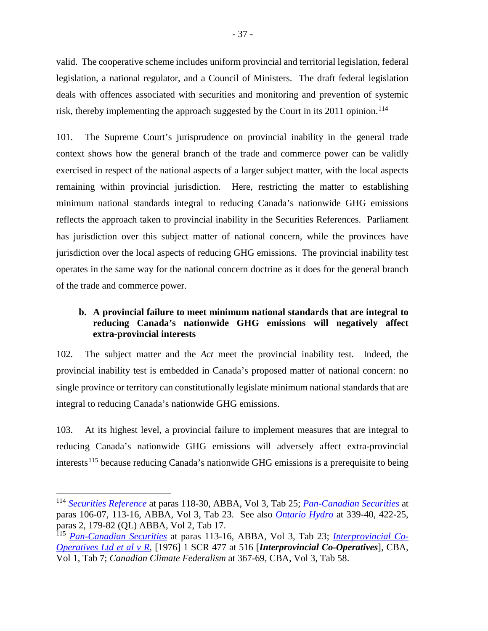valid. The cooperative scheme includes uniform provincial and territorial legislation, federal legislation, a national regulator, and a Council of Ministers. The draft federal legislation deals with offences associated with securities and monitoring and prevention of systemic risk, thereby implementing the approach suggested by the Court in its  $2011$  opinion.<sup>[114](#page-44-1)</sup>

101. The Supreme Court's jurisprudence on provincial inability in the general trade context shows how the general branch of the trade and commerce power can be validly exercised in respect of the national aspects of a larger subject matter, with the local aspects remaining within provincial jurisdiction. Here, restricting the matter to establishing minimum national standards integral to reducing Canada's nationwide GHG emissions reflects the approach taken to provincial inability in the Securities References. Parliament has jurisdiction over this subject matter of national concern, while the provinces have jurisdiction over the local aspects of reducing GHG emissions. The provincial inability test operates in the same way for the national concern doctrine as it does for the general branch of the trade and commerce power.

## <span id="page-44-0"></span>**b. A provincial failure to meet minimum national standards that are integral to reducing Canada's nationwide GHG emissions will negatively affect extra-provincial interests**

102. The subject matter and the *Act* meet the provincial inability test. Indeed, the provincial inability test is embedded in Canada's proposed matter of national concern: no single province or territory can constitutionally legislate minimum national standards that are integral to reducing Canada's nationwide GHG emissions.

103. At its highest level, a provincial failure to implement measures that are integral to reducing Canada's nationwide GHG emissions will adversely affect extra-provincial interests<sup>[115](#page-44-2)</sup> because reducing Canada's nationwide GHG emissions is a prerequisite to being

<span id="page-44-1"></span> <sup>114</sup> *[Securities Reference](https://scc-csc.lexum.com/scc-csc/scc-csc/en/item/7984/index.do)* at paras 118-30, ABBA, Vol 3, Tab 25; *[Pan-Canadian Securities](https://scc-csc.lexum.com/scc-csc/scc-csc/en/item/17355/index.do)* at paras 106-07, 113-16, ABBA, Vol 3, Tab 23. See also *[Ontario Hydro](https://scc-csc.lexum.com/scc-csc/scc-csc/en/1051/1/document.do)* at 339-40, 422-25, paras 2, 179-82 (QL) ABBA, Vol 2, Tab 17.

<span id="page-44-2"></span><sup>115</sup> *[Pan-Canadian Securities](https://scc-csc.lexum.com/scc-csc/scc-csc/en/item/17355/index.do)* at paras 113-16, ABBA, Vol 3, Tab 23; *[Interprovincial Co-](https://scc-csc.lexum.com/scc-csc/scc-csc/en/item/5932/index.do)[Operatives Ltd et al v R](https://scc-csc.lexum.com/scc-csc/scc-csc/en/item/5932/index.do)*, [1976] 1 SCR 477 at 516 [*Interprovincial Co-Operatives*], CBA, Vol 1, Tab 7; *Canadian Climate Federalism* at 367-69, CBA, Vol 3, Tab 58.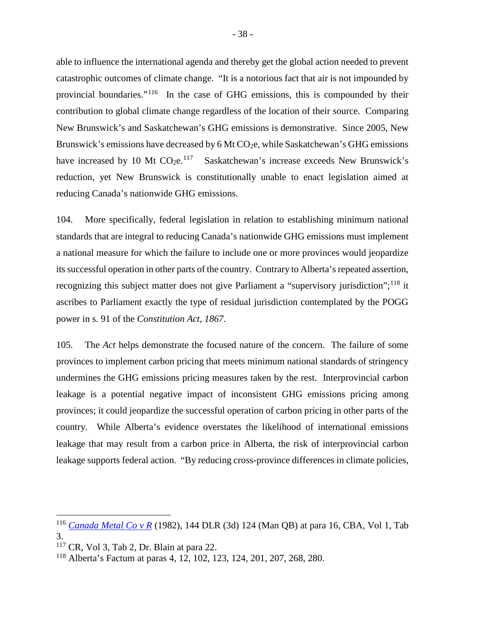able to influence the international agenda and thereby get the global action needed to prevent catastrophic outcomes of climate change. "It is a notorious fact that air is not impounded by provincial boundaries."[116](#page-45-0) In the case of GHG emissions, this is compounded by their contribution to global climate change regardless of the location of their source. Comparing New Brunswick's and Saskatchewan's GHG emissions is demonstrative. Since 2005, New Brunswick's emissions have decreased by 6 Mt CO<sub>2</sub>e, while Saskatchewan's GHG emissions have increased by 10 Mt  $CO<sub>2</sub>e<sup>.117</sup>$  $CO<sub>2</sub>e<sup>.117</sup>$  $CO<sub>2</sub>e<sup>.117</sup>$  Saskatchewan's increase exceeds New Brunswick's reduction, yet New Brunswick is constitutionally unable to enact legislation aimed at reducing Canada's nationwide GHG emissions.

104. More specifically, federal legislation in relation to establishing minimum national standards that are integral to reducing Canada's nationwide GHG emissions must implement a national measure for which the failure to include one or more provinces would jeopardize its successful operation in other parts of the country. Contrary to Alberta's repeated assertion, recognizing this subject matter does not give Parliament a "supervisory jurisdiction";<sup>[118](#page-45-2)</sup> it ascribes to Parliament exactly the type of residual jurisdiction contemplated by the POGG power in s. 91 of the *Constitution Act, 1867*.

105. The *Act* helps demonstrate the focused nature of the concern. The failure of some provinces to implement carbon pricing that meets minimum national standards of stringency undermines the GHG emissions pricing measures taken by the rest. Interprovincial carbon leakage is a potential negative impact of inconsistent GHG emissions pricing among provinces; it could jeopardize the successful operation of carbon pricing in other parts of the country. While Alberta's evidence overstates the likelihood of international emissions leakage that may result from a carbon price in Alberta, the risk of interprovincial carbon leakage supports federal action. "By reducing cross-province differences in climate policies,

<span id="page-45-0"></span> <sup>116</sup> *[Canada Metal Co v](https://www.canlii.org/en/mb/mbqb/doc/1982/1982canlii2994/1982canlii2994.html) <sup>R</sup>* (1982), 144 DLR (3d) 124 (Man QB) at para 16, CBA, Vol 1, Tab 3.

<span id="page-45-1"></span> $117$  CR, Vol 3, Tab 2, Dr. Blain at para 22.

<span id="page-45-2"></span><sup>118</sup> Alberta's Factum at paras 4, 12, 102, 123, 124, 201, 207, 268, 280.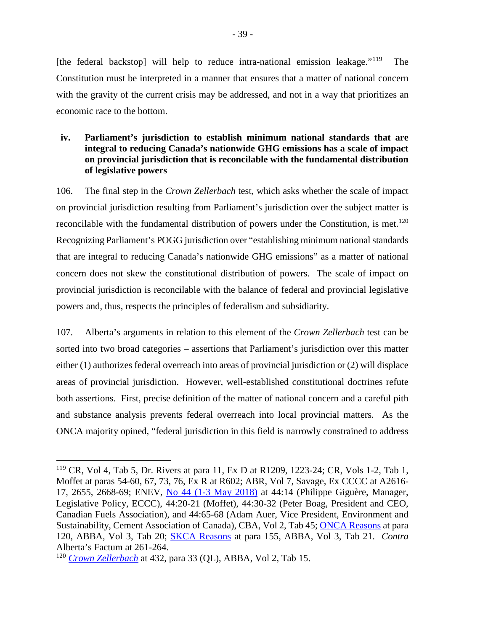[the federal backstop] will help to reduce intra-national emission leakage."<sup>[119](#page-46-1)</sup> The Constitution must be interpreted in a manner that ensures that a matter of national concern with the gravity of the current crisis may be addressed, and not in a way that prioritizes an economic race to the bottom.

## <span id="page-46-0"></span>**iv. Parliament's jurisdiction to establish minimum national standards that are integral to reducing Canada's nationwide GHG emissions has a scale of impact on provincial jurisdiction that is reconcilable with the fundamental distribution of legislative powers**

106. The final step in the *Crown Zellerbach* test, which asks whether the scale of impact on provincial jurisdiction resulting from Parliament's jurisdiction over the subject matter is reconcilable with the fundamental distribution of powers under the Constitution, is met.<sup>[120](#page-46-2)</sup> Recognizing Parliament's POGG jurisdiction over "establishing minimum national standards that are integral to reducing Canada's nationwide GHG emissions" as a matter of national concern does not skew the constitutional distribution of powers. The scale of impact on provincial jurisdiction is reconcilable with the balance of federal and provincial legislative powers and, thus, respects the principles of federalism and subsidiarity.

107. Alberta's arguments in relation to this element of the *Crown Zellerbach* test can be sorted into two broad categories – assertions that Parliament's jurisdiction over this matter either (1) authorizes federal overreach into areas of provincial jurisdiction or (2) will displace areas of provincial jurisdiction. However, well-established constitutional doctrines refute both assertions. First, precise definition of the matter of national concern and a careful pith and substance analysis prevents federal overreach into local provincial matters. As the ONCA majority opined, "federal jurisdiction in this field is narrowly constrained to address

<span id="page-46-1"></span><sup>&</sup>lt;sup>119</sup> CR, Vol 4, Tab 5, Dr. Rivers at para 11, Ex D at R1209, 1223-24; CR, Vols 1-2, Tab 1, Moffet at paras 54-60, 67, 73, 76, Ex R at R602; ABR, Vol 7, Savage, Ex CCCC at A2616- 17, 2655, 2668-69; ENEV, [No 44 \(1-3 May 2018\)](https://sencanada.ca/Content/SEN/Committee/421/enev/pdf/44issue.pdf) at 44:14 (Philippe Giguère, Manager, Legislative Policy, ECCC), 44:20-21 (Moffet), 44:30-32 (Peter Boag, President and CEO, Canadian Fuels Association), and 44:65-68 (Adam Auer, Vice President, Environment and Sustainability, Cement Association of Canada), CBA, Vol 2, Tab 45; [ONCA Reasons](http://www.ontariocourts.ca/decisions/2019/2019ONCA0544.htm) at para 120, ABBA, Vol 3, Tab 20; [SKCA Reasons](https://sasklawcourts.ca/images/documents/CA_2019SKCA040.pdf) at para 155, ABBA, Vol 3, Tab 21. *Contra* Alberta's Factum at 261-264.

<span id="page-46-2"></span><sup>120</sup> *[Crown Zellerbach](https://scc-csc.lexum.com/scc-csc/scc-csc/en/item/306/index.do)* at 432, para 33 (QL), ABBA, Vol 2, Tab 15.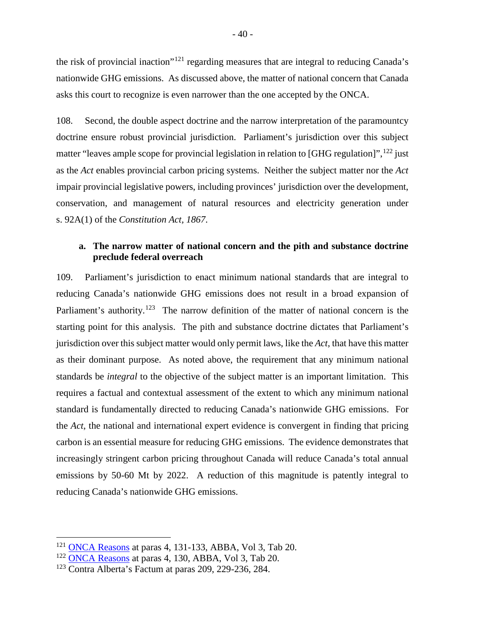the risk of provincial inaction"<sup>[121](#page-47-1)</sup> regarding measures that are integral to reducing Canada's nationwide GHG emissions. As discussed above, the matter of national concern that Canada asks this court to recognize is even narrower than the one accepted by the ONCA.

108. Second, the double aspect doctrine and the narrow interpretation of the paramountcy doctrine ensure robust provincial jurisdiction. Parliament's jurisdiction over this subject matter "leaves ample scope for provincial legislation in relation to [GHG regulation]", <sup>[122](#page-47-2)</sup> just as the *Act* enables provincial carbon pricing systems. Neither the subject matter nor the *Act* impair provincial legislative powers, including provinces' jurisdiction over the development, conservation, and management of natural resources and electricity generation under s. 92A(1) of the *Constitution Act, 1867*.

## <span id="page-47-0"></span>**a. The narrow matter of national concern and the pith and substance doctrine preclude federal overreach**

109. Parliament's jurisdiction to enact minimum national standards that are integral to reducing Canada's nationwide GHG emissions does not result in a broad expansion of Parliament's authority.<sup>123</sup> The narrow definition of the matter of national concern is the starting point for this analysis. The pith and substance doctrine dictates that Parliament's jurisdiction over this subject matter would only permit laws, like the *Act*, that have this matter as their dominant purpose. As noted above, the requirement that any minimum national standards be *integral* to the objective of the subject matter is an important limitation. This requires a factual and contextual assessment of the extent to which any minimum national standard is fundamentally directed to reducing Canada's nationwide GHG emissions. For the *Act*, the national and international expert evidence is convergent in finding that pricing carbon is an essential measure for reducing GHG emissions. The evidence demonstrates that increasingly stringent carbon pricing throughout Canada will reduce Canada's total annual emissions by 50-60 Mt by 2022. A reduction of this magnitude is patently integral to reducing Canada's nationwide GHG emissions.

<span id="page-47-1"></span> <sup>121</sup> [ONCA Reasons](http://www.ontariocourts.ca/decisions/2019/2019ONCA0544.htm) at paras 4, 131-133, ABBA, Vol 3, Tab 20.

<span id="page-47-2"></span><sup>122</sup> [ONCA Reasons](http://www.ontariocourts.ca/decisions/2019/2019ONCA0544.htm) at paras 4, 130, ABBA, Vol 3, Tab 20.

<span id="page-47-3"></span><sup>123</sup> Contra Alberta's Factum at paras 209, 229-236, 284.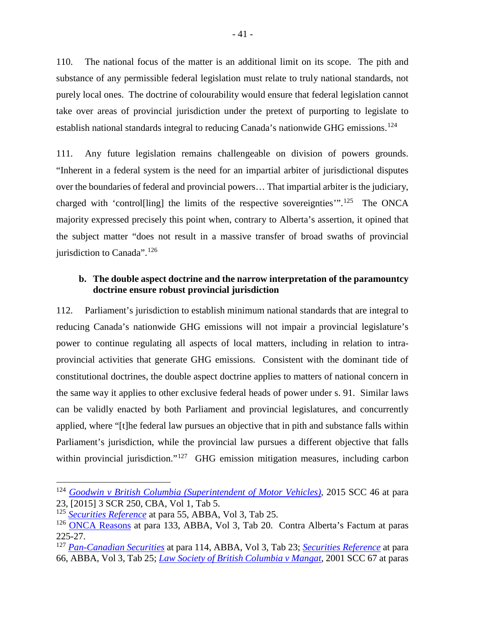110. The national focus of the matter is an additional limit on its scope. The pith and substance of any permissible federal legislation must relate to truly national standards, not purely local ones. The doctrine of colourability would ensure that federal legislation cannot take over areas of provincial jurisdiction under the pretext of purporting to legislate to establish national standards integral to reducing Canada's nationwide GHG emissions.<sup>[124](#page-48-1)</sup>

111. Any future legislation remains challengeable on division of powers grounds. "Inherent in a federal system is the need for an impartial arbiter of jurisdictional disputes over the boundaries of federal and provincial powers… That impartial arbiter is the judiciary, charged with 'control[ling] the limits of the respective sovereignties'".[125](#page-48-2) The ONCA majority expressed precisely this point when, contrary to Alberta's assertion, it opined that the subject matter "does not result in a massive transfer of broad swaths of provincial jurisdiction to Canada".<sup>[126](#page-48-3)</sup>

## <span id="page-48-0"></span>**b. The double aspect doctrine and the narrow interpretation of the paramountcy doctrine ensure robust provincial jurisdiction**

112. Parliament's jurisdiction to establish minimum national standards that are integral to reducing Canada's nationwide GHG emissions will not impair a provincial legislature's power to continue regulating all aspects of local matters, including in relation to intraprovincial activities that generate GHG emissions. Consistent with the dominant tide of constitutional doctrines, the double aspect doctrine applies to matters of national concern in the same way it applies to other exclusive federal heads of power under s. 91. Similar laws can be validly enacted by both Parliament and provincial legislatures, and concurrently applied, where "[t]he federal law pursues an objective that in pith and substance falls within Parliament's jurisdiction, while the provincial law pursues a different objective that falls within provincial jurisdiction."<sup>[127](#page-48-4)</sup> GHG emission mitigation measures, including carbon

<span id="page-48-1"></span> <sup>124</sup> *Goodwin v [British Columbia \(Superintendent of Motor Vehicles\),](https://scc-csc.lexum.com/scc-csc/scc-csc/en/item/15550/index.do)* 2015 SCC 46 at para 23, [2015] 3 SCR 250, CBA, Vol 1, Tab 5.

<span id="page-48-2"></span><sup>125</sup> *[Securities Reference](https://scc-csc.lexum.com/scc-csc/scc-csc/en/item/7984/index.do)* at para 55, ABBA, Vol 3, Tab 25.

<span id="page-48-3"></span><sup>&</sup>lt;sup>126</sup> [ONCA Reasons](http://www.ontariocourts.ca/decisions/2019/2019ONCA0544.htm) at para 133, ABBA, Vol 3, Tab 20. Contra Alberta's Factum at paras 225-27.

<span id="page-48-4"></span><sup>127</sup> *[Pan-Canadian Securities](https://scc-csc.lexum.com/scc-csc/scc-csc/en/item/17355/index.do)* at para 114, ABBA, Vol 3, Tab 23; *[Securities Reference](https://scc-csc.lexum.com/scc-csc/scc-csc/en/item/7984/index.do)* at para 66, ABBA, Vol 3, Tab 25; *[Law Society of British Columbia v](https://scc-csc.lexum.com/scc-csc/scc-csc/en/item/1907/index.do) Mangat*, 2001 SCC 67 at paras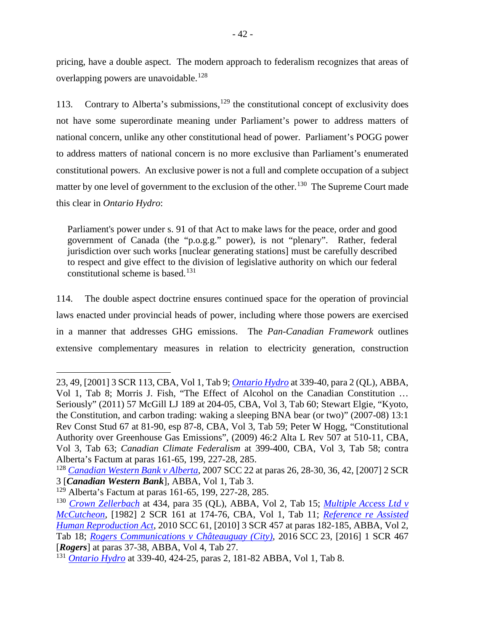pricing, have a double aspect. The modern approach to federalism recognizes that areas of overlapping powers are unavoidable. [128](#page-49-0)

113. Contrary to Alberta's submissions,  $129$  the constitutional concept of exclusivity does not have some superordinate meaning under Parliament's power to address matters of national concern, unlike any other constitutional head of power. Parliament's POGG power to address matters of national concern is no more exclusive than Parliament's enumerated constitutional powers. An exclusive power is not a full and complete occupation of a subject matter by one level of government to the exclusion of the other.<sup>[130](#page-49-2)</sup> The Supreme Court made this clear in *Ontario Hydro*:

Parliament's power under s. 91 of that Act to make laws for the peace, order and good government of Canada (the "p.o.g.g." power), is not "plenary". Rather, federal jurisdiction over such works [nuclear generating stations] must be carefully described to respect and give effect to the division of legislative authority on which our federal constitutional scheme is based.<sup>[131](#page-49-3)</sup>

114. The double aspect doctrine ensures continued space for the operation of provincial laws enacted under provincial heads of power, including where those powers are exercised in a manner that addresses GHG emissions. The *Pan-Canadian Framework* outlines extensive complementary measures in relation to electricity generation, construction

 $\overline{a}$ 

<sup>23, 49, [2001] 3</sup> SCR 113, CBA, Vol 1, Tab 9; *[Ontario Hydro](https://scc-csc.lexum.com/scc-csc/scc-csc/en/1051/1/document.do)* at 339-40, para 2 (QL), ABBA, Vol 1, Tab 8; Morris J. Fish, "The Effect of Alcohol on the Canadian Constitution … Seriously" (2011) 57 McGill LJ 189 at 204-05, CBA, Vol 3, Tab 60; Stewart Elgie, "Kyoto, the Constitution, and carbon trading: waking a sleeping BNA bear (or two)" (2007-08) 13:1 Rev Const Stud 67 at 81-90, esp 87-8, CBA, Vol 3, Tab 59; Peter W Hogg, "Constitutional Authority over Greenhouse Gas Emissions", (2009) 46:2 Alta L Rev 507 at 510-11, CBA, Vol 3, Tab 63; *Canadian Climate Federalism* at 399-400, CBA, Vol 3, Tab 58; contra Alberta's Factum at paras 161-65, 199, 227-28, 285.

<span id="page-49-0"></span><sup>128</sup> *[Canadian Western Bank v](https://scc-csc.lexum.com/scc-csc/scc-csc/en/item/2362/index.do) Alberta*, 2007 SCC 22 at paras 26, 28-30, 36, 42, [2007] 2 SCR 3 [*Canadian Western Bank*], ABBA, Vol 1, Tab 3.

<span id="page-49-1"></span><sup>129</sup> Alberta's Factum at paras 161-65, 199, 227-28, 285.

<span id="page-49-2"></span><sup>130</sup> *[Crown Zellerbach](https://scc-csc.lexum.com/scc-csc/scc-csc/en/item/306/index.do)* at 434, para 35 (QL), ABBA, Vol 2, Tab 15; *[Multiple Access Ltd v](https://scc-csc.lexum.com/scc-csc/scc-csc/en/item/2450/index.do) [McCutcheon](https://scc-csc.lexum.com/scc-csc/scc-csc/en/item/2450/index.do)*, [1982] 2 SCR 161 at 174-76, CBA, Vol 1, Tab 11; *[Reference re Assisted](https://scc-csc.lexum.com/scc-csc/scc-csc/en/item/7905/index.do)  [Human Reproduction Act](https://scc-csc.lexum.com/scc-csc/scc-csc/en/item/7905/index.do)*, 2010 SCC 61, [2010] 3 SCR 457 at paras 182-185, ABBA, Vol 2, Tab 18; *[Rogers Communications v](https://scc-csc.lexum.com/scc-csc/scc-csc/en/item/16016/index.do) Châteauguay (City)*, 2016 SCC 23, [2016] 1 SCR 467 [*Rogers*] at paras 37-38, ABBA, Vol 4, Tab 27.

<span id="page-49-3"></span><sup>131</sup> *[Ontario Hydro](https://scc-csc.lexum.com/scc-csc/scc-csc/en/1051/1/document.do)* at 339-40, 424-25, paras 2, 181-82 ABBA, Vol 1, Tab 8.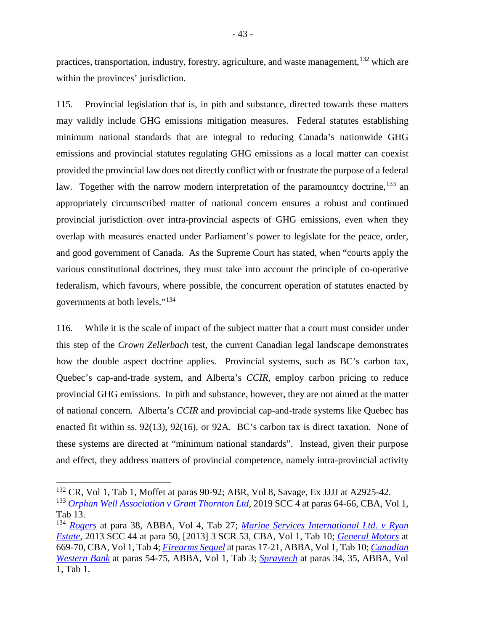practices, transportation, industry, forestry, agriculture, and waste management,<sup>[132](#page-50-0)</sup> which are within the provinces' jurisdiction.

115. Provincial legislation that is, in pith and substance, directed towards these matters may validly include GHG emissions mitigation measures. Federal statutes establishing minimum national standards that are integral to reducing Canada's nationwide GHG emissions and provincial statutes regulating GHG emissions as a local matter can coexist provided the provincial law does not directly conflict with or frustrate the purpose of a federal law. Together with the narrow modern interpretation of the paramountcy doctrine,  $^{133}$  $^{133}$  $^{133}$  an appropriately circumscribed matter of national concern ensures a robust and continued provincial jurisdiction over intra-provincial aspects of GHG emissions, even when they overlap with measures enacted under Parliament's power to legislate for the peace, order, and good government of Canada. As the Supreme Court has stated, when "courts apply the various constitutional doctrines, they must take into account the principle of co-operative federalism, which favours, where possible, the concurrent operation of statutes enacted by governments at both levels."[134](#page-50-2)

116. While it is the scale of impact of the subject matter that a court must consider under this step of the *Crown Zellerbach* test, the current Canadian legal landscape demonstrates how the double aspect doctrine applies. Provincial systems, such as BC's carbon tax, Quebec's cap-and-trade system, and Alberta's *CCIR*, employ carbon pricing to reduce provincial GHG emissions. In pith and substance, however, they are not aimed at the matter of national concern. Alberta's *CCIR* and provincial cap-and-trade systems like Quebec has enacted fit within ss. 92(13), 92(16), or 92A. BC's carbon tax is direct taxation. None of these systems are directed at "minimum national standards". Instead, given their purpose and effect, they address matters of provincial competence, namely intra-provincial activity

<span id="page-50-0"></span> <sup>132</sup> CR, Vol 1, Tab 1, Moffet at paras 90-92; ABR, Vol 8, Savage, Ex JJJJ at A2925-42.

<span id="page-50-1"></span><sup>133</sup> *[Orphan Well Association v](https://scc-csc.lexum.com/scc-csc/scc-csc/en/item/17474/index.do) Grant Thornton Ltd*, 2019 SCC 4 at paras 64-66, CBA, Vol 1, Tab 13.

<span id="page-50-2"></span><sup>134</sup> *[Rogers](https://scc-csc.lexum.com/scc-csc/scc-csc/en/item/16016/index.do)* at para 38, ABBA, Vol 4, Tab 27; *[Marine Services International Ltd. v](https://scc-csc.lexum.com/scc-csc/scc-csc/en/item/13192/index.do) Ryan [Estate](https://scc-csc.lexum.com/scc-csc/scc-csc/en/item/13192/index.do)*, 2013 SCC 44 at para 50, [2013] 3 SCR 53, CBA, Vol 1, Tab 10; *[General Motors](https://scc-csc.lexum.com/scc-csc/scc-csc/en/item/433/index.do)* at 669-70, CBA, Vol 1, Tab 4; *[Firearms Sequel](https://scc-csc.lexum.com/scc-csc/scc-csc/en/item/14713/index.do)* at paras 17-21, ABBA, Vol 1, Tab 10; *[Canadian](https://scc-csc.lexum.com/scc-csc/scc-csc/en/item/2362/index.do)  [Western Bank](https://scc-csc.lexum.com/scc-csc/scc-csc/en/item/2362/index.do)* at paras 54-75, ABBA, Vol 1, Tab 3; *[Spraytech](https://scc-csc.lexum.com/scc-csc/scc-csc/en/item/1878/index.do)* at paras 34, 35, ABBA, Vol 1, Tab 1.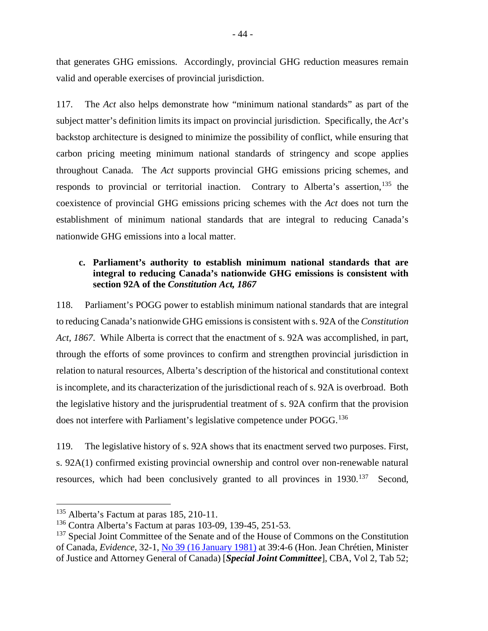that generates GHG emissions. Accordingly, provincial GHG reduction measures remain valid and operable exercises of provincial jurisdiction.

117. The *Act* also helps demonstrate how "minimum national standards" as part of the subject matter's definition limits its impact on provincial jurisdiction. Specifically, the *Act*'s backstop architecture is designed to minimize the possibility of conflict, while ensuring that carbon pricing meeting minimum national standards of stringency and scope applies throughout Canada. The *Act* supports provincial GHG emissions pricing schemes, and responds to provincial or territorial inaction. Contrary to Alberta's assertion,  $^{135}$  $^{135}$  $^{135}$  the coexistence of provincial GHG emissions pricing schemes with the *Act* does not turn the establishment of minimum national standards that are integral to reducing Canada's nationwide GHG emissions into a local matter.

## <span id="page-51-0"></span>**c. Parliament's authority to establish minimum national standards that are integral to reducing Canada's nationwide GHG emissions is consistent with section 92A of the** *Constitution Act, 1867*

118. Parliament's POGG power to establish minimum national standards that are integral to reducing Canada's nationwide GHG emissionsis consistent with s. 92A of the *Constitution Act, 1867*. While Alberta is correct that the enactment of s. 92A was accomplished, in part, through the efforts of some provinces to confirm and strengthen provincial jurisdiction in relation to natural resources, Alberta's description of the historical and constitutional context is incomplete, and its characterization of the jurisdictional reach of s. 92A is overbroad. Both the legislative history and the jurisprudential treatment of s. 92A confirm that the provision does not interfere with Parliament's legislative competence under POGG.<sup>[136](#page-51-2)</sup>

119. The legislative history of s. 92A shows that its enactment served two purposes. First, s. 92A(1) confirmed existing provincial ownership and control over non-renewable natural resources, which had been conclusively granted to all provinces in 1930.<sup>[137](#page-51-3)</sup> Second,

<span id="page-51-1"></span><sup>&</sup>lt;sup>135</sup> Alberta's Factum at paras 185, 210-11.

<span id="page-51-2"></span><sup>&</sup>lt;sup>136</sup> Contra Alberta's Factum at paras 103-09, 139-45, 251-53.

<span id="page-51-3"></span><sup>&</sup>lt;sup>137</sup> Special Joint Committee of the Senate and of the House of Commons on the Constitution of Canada, *Evidence*, 32-1, [No 39 \(16 January 1981\)](https://primarydocuments.ca/wp-content/uploads/1981/01/SpecJointCommSenHOCConst1981Jan16.pdf) at 39:4-6 (Hon. Jean Chrétien, Minister of Justice and Attorney General of Canada) [*Special Joint Committee*], CBA, Vol 2, Tab 52;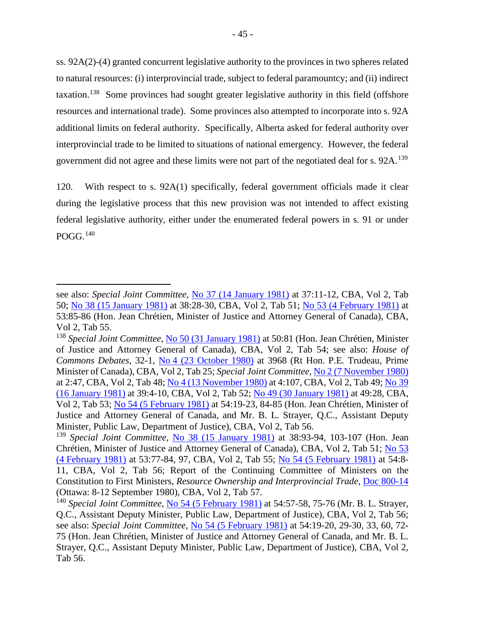ss. 92A(2)-(4) granted concurrent legislative authority to the provinces in two spheres related to natural resources: (i) interprovincial trade, subject to federal paramountcy; and (ii) indirect taxation.<sup>[138](#page-52-0)</sup> Some provinces had sought greater legislative authority in this field (offshore resources and international trade). Some provinces also attempted to incorporate into s. 92A additional limits on federal authority. Specifically, Alberta asked for federal authority over interprovincial trade to be limited to situations of national emergency. However, the federal government did not agree and these limits were not part of the negotiated deal for s. 92A.<sup>139</sup>

120. With respect to s. 92A(1) specifically, federal government officials made it clear during the legislative process that this new provision was not intended to affect existing federal legislative authority, either under the enumerated federal powers in s. 91 or under POGG. [140](#page-52-2)

 $\overline{a}$ 

see also: *Special Joint Committee*, [No 37 \(14 January 1981\)](https://primarydocuments.ca/wp-content/uploads/2018/02/SpecJointComConCan371981Jan14.pdf) at 37:11-12, CBA, Vol 2, Tab 50; [No 38 \(15 January 1981\)](https://primarydocuments.ca/wp-content/uploads/2018/02/SpecJointComConCan381981Jan15.pdf) at 38:28-30, CBA, Vol 2, Tab 51; [No 53 \(4 February 1981\)](https://primarydocuments.ca/wp-content/uploads/2018/02/SpecJointComConstitution531981Feb4.pdf) at 53:85-86 (Hon. Jean Chrétien, Minister of Justice and Attorney General of Canada), CBA, Vol 2, Tab 55.

<span id="page-52-0"></span><sup>138</sup> *Special Joint Committee,* [No 50 \(31 January 1981\)](https://primarydocuments.ca/wp-content/uploads/2018/02/SpecJointComConstitution501981Jan31.pdf) at 50:81 (Hon. Jean Chrétien, Minister of Justice and Attorney General of Canada), CBA, Vol 2, Tab 54; see also: *House of Commons Debates*, 32-1, No 4 (23 [October 1980\)](https://primarydocuments.ca/wp-content/uploads/2018/02/HOCDebatesConstOwnResPMNDP1980Oct23.pdf) at 3968 (Rt Hon. P.E. Trudeau, Prime Minister of Canada), CBA, Vol 2, Tab 25; *Special Joint Committee*[, No 2 \(7 November 1980\)](https://primarydocuments.ca/wp-content/uploads/2018/02/SpecJointComConstitution21980Nov7.pdf) at 2:47, CBA, Vol 2, Tab 48; [No 4 \(13 November 1980\)](https://primarydocuments.ca/wp-content/uploads/2018/02/SpecJointComConstitution41980Nov13.pdf) at 4:107, CBA, Vol 2, Tab 49; [No](https://primarydocuments.ca/wp-content/uploads/1981/01/SpecJointCommSenHOCConst1981Jan16.pdf) 39 [\(16 January 1981\)](https://primarydocuments.ca/wp-content/uploads/1981/01/SpecJointCommSenHOCConst1981Jan16.pdf) at 39:4-10, CBA, Vol 2, Tab 52; [No 49 \(30 January 1981\)](https://primarydocuments.ca/wp-content/uploads/2018/02/SpecJointComConstitution491981Jan30.pdf) at 49:28, CBA, Vol 2, Tab 53; [No 54 \(5 February 1981\)](https://primarydocuments.ca/wp-content/uploads/2018/02/SpecJointComConstitution541981Feb5.pdf) at 54:19-23, 84-85 (Hon. Jean Chrétien, Minister of Justice and Attorney General of Canada, and Mr. B. L. Strayer, Q.C., Assistant Deputy Minister, Public Law, Department of Justice), CBA, Vol 2, Tab 56.

<span id="page-52-1"></span><sup>139</sup> *Special Joint Committee*, [No 38 \(15 January 1981\)](https://primarydocuments.ca/wp-content/uploads/2018/02/SpecJointComConCan381981Jan15.pdf) at 38:93-94, 103-107 (Hon. Jean Chrétien, Minister of Justice and Attorney General of Canada), CBA, Vol 2, Tab 51; [No 53](https://primarydocuments.ca/wp-content/uploads/2018/02/SpecJointComConstitution531981Feb4.pdf)  (4 [February 1981\)](https://primarydocuments.ca/wp-content/uploads/2018/02/SpecJointComConstitution531981Feb4.pdf) at 53:77-84, 97, CBA, Vol 2, Tab 55; [No 54 \(5 February 1981\)](https://primarydocuments.ca/wp-content/uploads/2018/02/SpecJointComConstitution541981Feb5.pdf) at 54:8- 11, CBA, Vol 2, Tab 56; Report of the Continuing Committee of Ministers on the Constitution to First Ministers, *Resource Ownership and Interprovincial Trade*, [Doc 800-14](https://primarydocuments.ca/wp-content/uploads/2018/04/1stMinistersResourceTrade1980Sep8.pdf) (Ottawa: 8-12 September 1980), CBA, Vol 2, Tab 57.

<span id="page-52-2"></span><sup>140</sup> *Special Joint Committee*, [No 54 \(5 February 1981\)](https://primarydocuments.ca/wp-content/uploads/2018/02/SpecJointComConstitution541981Feb5.pdf) at 54:57-58, 75-76 (Mr. B. L. Strayer, Q.C., Assistant Deputy Minister, Public Law, Department of Justice), CBA, Vol 2, Tab 56; see also: *Special Joint Committee*, [No 54 \(5 February 1981\)](https://primarydocuments.ca/wp-content/uploads/2018/02/SpecJointComConstitution541981Feb5.pdf) at 54:19-20, 29-30, 33, 60, 72- 75 (Hon. Jean Chrétien, Minister of Justice and Attorney General of Canada, and Mr. B. L. Strayer, Q.C., Assistant Deputy Minister, Public Law, Department of Justice), CBA, Vol 2, Tab 56.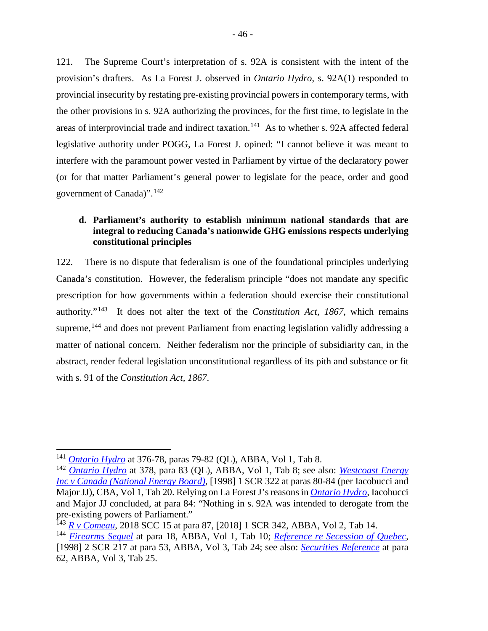121. The Supreme Court's interpretation of s. 92A is consistent with the intent of the provision's drafters. As La Forest J. observed in *Ontario Hydro*, s. 92A(1) responded to provincial insecurity by restating pre-existing provincial powers in contemporary terms, with the other provisions in s. 92A authorizing the provinces, for the first time, to legislate in the areas of interprovincial trade and indirect taxation.<sup>[141](#page-53-1)</sup> As to whether s. 92A affected federal legislative authority under POGG, La Forest J. opined: "I cannot believe it was meant to interfere with the paramount power vested in Parliament by virtue of the declaratory power (or for that matter Parliament's general power to legislate for the peace, order and good government of Canada)".[142](#page-53-2)

## <span id="page-53-0"></span>**d. Parliament's authority to establish minimum national standards that are integral to reducing Canada's nationwide GHG emissions respects underlying constitutional principles**

122. There is no dispute that federalism is one of the foundational principles underlying Canada's constitution. However, the federalism principle "does not mandate any specific prescription for how governments within a federation should exercise their constitutional authority."[143](#page-53-3) It does not alter the text of the *Constitution Act, 1867*, which remains supreme,<sup>[144](#page-53-4)</sup> and does not prevent Parliament from enacting legislation validly addressing a matter of national concern. Neither federalism nor the principle of subsidiarity can, in the abstract, render federal legislation unconstitutional regardless of its pith and substance or fit with s. 91 of the *Constitution Act, 1867*.

<span id="page-53-1"></span> <sup>141</sup> *[Ontario Hydro](https://scc-csc.lexum.com/scc-csc/scc-csc/en/1051/1/document.do)* at 376-78, paras 79-82 (QL), ABBA, Vol 1, Tab 8.

<span id="page-53-2"></span><sup>142</sup> *[Ontario Hydro](https://scc-csc.lexum.com/scc-csc/scc-csc/en/1051/1/document.do)* at 378, para 83 (QL), ABBA, Vol 1, Tab 8; see also: *[Westcoast Energy](https://scc-csc.lexum.com/scc-csc/scc-csc/en/1604/1/document.do)  [Inc v Canada \(National Energy Board\)](https://scc-csc.lexum.com/scc-csc/scc-csc/en/1604/1/document.do)*, [1998] 1 SCR 322 at paras 80-84 (per Iacobucci and Major JJ), CBA, Vol 1, Tab 20. Relying on La Forest J's reasons in *[Ontario Hydro](https://scc-csc.lexum.com/scc-csc/scc-csc/en/1051/1/document.do)*, Iacobucci and Major JJ concluded, at para 84: "Nothing in s. 92A was intended to derogate from the pre-existing powers of Parliament."

<span id="page-53-3"></span><sup>143</sup> *[R v Comeau](https://decisions.scc-csc.ca/scc-csc/scc-csc/en/17059/1/document.do)*, 2018 SCC 15 at para 87, [2018] 1 SCR 342, ABBA, Vol 2, Tab 14.

<span id="page-53-4"></span><sup>144</sup> *[Firearms Sequel](https://scc-csc.lexum.com/scc-csc/scc-csc/en/item/14713/index.do)* at para 18, ABBA, Vol 1, Tab 10; *[Reference re Secession of Quebec](https://scc-csc.lexum.com/scc-csc/scc-csc/en/item/1643/index.do)*, [1998] 2 SCR 217 at para 53, ABBA, Vol 3, Tab 24; see also: *[Securities Reference](https://scc-csc.lexum.com/scc-csc/scc-csc/en/item/7984/index.do)* at para 62, ABBA, Vol 3, Tab 25.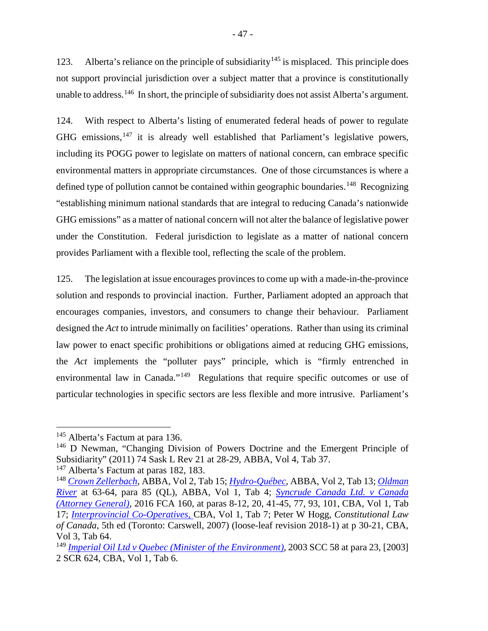123. Alberta's reliance on the principle of subsidiarity<sup>[145](#page-54-0)</sup> is misplaced. This principle does not support provincial jurisdiction over a subject matter that a province is constitutionally unable to address.<sup>[146](#page-54-1)</sup> In short, the principle of subsidiarity does not assist Alberta's argument.

124. With respect to Alberta's listing of enumerated federal heads of power to regulate GHG emissions, $147$  it is already well established that Parliament's legislative powers, including its POGG power to legislate on matters of national concern, can embrace specific environmental matters in appropriate circumstances. One of those circumstances is where a defined type of pollution cannot be contained within geographic boundaries.<sup>[148](#page-54-3)</sup> Recognizing "establishing minimum national standards that are integral to reducing Canada's nationwide GHG emissions" as a matter of national concern will not alter the balance of legislative power under the Constitution. Federal jurisdiction to legislate as a matter of national concern provides Parliament with a flexible tool, reflecting the scale of the problem.

125. The legislation at issue encourages provinces to come up with a made-in-the-province solution and responds to provincial inaction. Further, Parliament adopted an approach that encourages companies, investors, and consumers to change their behaviour. Parliament designed the *Act* to intrude minimally on facilities' operations. Rather than using its criminal law power to enact specific prohibitions or obligations aimed at reducing GHG emissions, the *Act* implements the "polluter pays" principle, which is "firmly entrenched in environmental law in Canada."[149](#page-54-4) Regulations that require specific outcomes or use of particular technologies in specific sectors are less flexible and more intrusive. Parliament's

<span id="page-54-0"></span><sup>&</sup>lt;sup>145</sup> Alberta's Factum at para 136.

<span id="page-54-1"></span><sup>146</sup> D Newman, "Changing Division of Powers Doctrine and the Emergent Principle of Subsidiarity" (2011) 74 Sask L Rev 21 at 28-29, ABBA, Vol 4, Tab 37. <sup>147</sup> Alberta's Factum at paras 182, 183.

<span id="page-54-3"></span><span id="page-54-2"></span><sup>148</sup> *[Crown Zellerbach](https://scc-csc.lexum.com/scc-csc/scc-csc/en/item/306/index.do)*, ABBA, Vol 2, Tab 15; *[Hydro-Québec](https://scc-csc.lexum.com/scc-csc/scc-csc/en/item/1542/index.do)*, ABBA, Vol 2, Tab 13; *[Oldman](https://scc-csc.lexum.com/scc-csc/scc-csc/en/item/829/index.do)  [River](https://scc-csc.lexum.com/scc-csc/scc-csc/en/item/829/index.do)* at 63-64, para 85 (QL), ABBA, Vol 1, Tab 4; *[Syncrude Canada Ltd. v Canada](https://decisions.fca-caf.gc.ca/fca-caf/decisions/en/item/144495/index.do)  [\(Attorney General\)](https://decisions.fca-caf.gc.ca/fca-caf/decisions/en/item/144495/index.do)*, 2016 FCA 160, at paras 8-12, 20, 41-45, 77, 93, 101, CBA, Vol 1, Tab 17; *[Interprovincial Co-Operatives](https://scc-csc.lexum.com/scc-csc/scc-csc/en/item/5932/index.do)*, CBA, Vol 1, Tab 7; Peter W Hogg, *Constitutional Law of Canada*, 5th ed (Toronto: Carswell, 2007) (loose-leaf revision 2018-1) at p 30-21, CBA, Vol 3, Tab 64.

<span id="page-54-4"></span><sup>149</sup> *Imperial Oil Ltd v [Quebec \(Minister of the Environment\)](https://scc-csc.lexum.com/scc-csc/scc-csc/en/item/2092/index.do)*, 2003 SCC 58 at para 23, [2003] 2 SCR 624, CBA, Vol 1, Tab 6.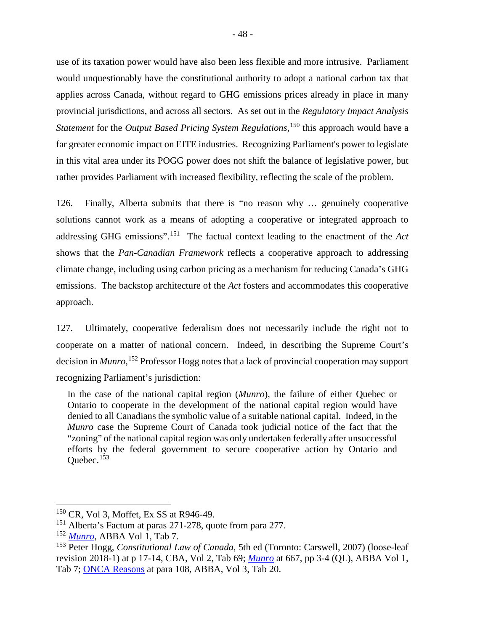use of its taxation power would have also been less flexible and more intrusive. Parliament would unquestionably have the constitutional authority to adopt a national carbon tax that applies across Canada, without regard to GHG emissions prices already in place in many provincial jurisdictions, and across all sectors. As set out in the *Regulatory Impact Analysis Statement* for the *Output Based Pricing System Regulations*, [150](#page-55-1) this approach would have a far greater economic impact on EITE industries. Recognizing Parliament's power to legislate in this vital area under its POGG power does not shift the balance of legislative power, but rather provides Parliament with increased flexibility, reflecting the scale of the problem.

126. Finally, Alberta submits that there is "no reason why … genuinely cooperative solutions cannot work as a means of adopting a cooperative or integrated approach to addressing GHG emissions".[151](#page-55-2) The factual context leading to the enactment of the *Act* shows that the *Pan-Canadian Framework* reflects a cooperative approach to addressing climate change, including using carbon pricing as a mechanism for reducing Canada's GHG emissions. The backstop architecture of the *Act* fosters and accommodates this cooperative approach.

127. Ultimately, cooperative federalism does not necessarily include the right not to cooperate on a matter of national concern. Indeed, in describing the Supreme Court's decision in *Munro*, [152](#page-55-3) Professor Hogg notes that a lack of provincial cooperation may support recognizing Parliament's jurisdiction:

In the case of the national capital region (*Munro*), the failure of either Quebec or Ontario to cooperate in the development of the national capital region would have denied to all Canadians the symbolic value of a suitable national capital. Indeed, in the *Munro* case the Supreme Court of Canada took judicial notice of the fact that the "zoning" of the national capital region was only undertaken federally after unsuccessful efforts by the federal government to secure cooperative action by Ontario and Ouebec. $153$ 

<span id="page-55-1"></span><span id="page-55-0"></span><sup>&</sup>lt;sup>150</sup> CR, Vol 3, Moffet, Ex SS at R946-49.

<span id="page-55-2"></span><sup>&</sup>lt;sup>151</sup> Alberta's Factum at paras 271-278, quote from para 277.

<span id="page-55-3"></span><sup>152</sup> *[Munro](https://decisions.scc-csc.ca/scc-csc/scc-csc/en/item/6893/index.do)*, ABBA Vol 1, Tab 7.

<span id="page-55-4"></span><sup>153</sup> Peter Hogg, *Constitutional Law of Canada*, 5th ed (Toronto: Carswell, 2007) (loose-leaf revision 2018-1) at p 17-14, CBA, Vol 2, Tab 69; *[Munro](https://decisions.scc-csc.ca/scc-csc/scc-csc/en/item/6893/index.do)* at 667, pp 3-4 (QL), ABBA Vol 1, Tab 7; [ONCA Reasons](http://www.ontariocourts.ca/decisions/2019/2019ONCA0544.htm) at para 108, ABBA, Vol 3, Tab 20.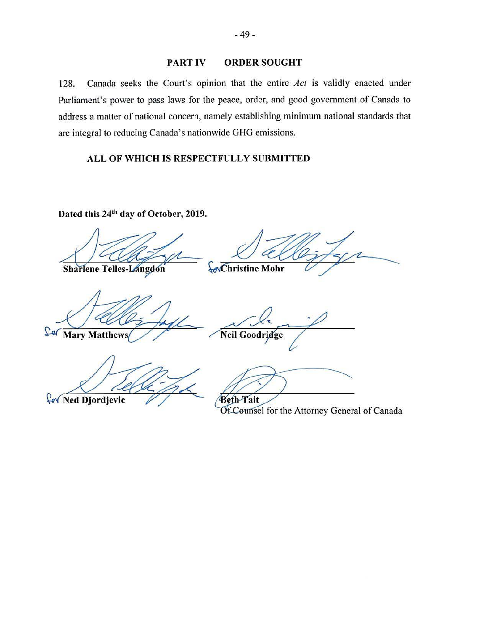## PART IV ORDER SOUGHT

128. Canada seeks the Court's opinion that the entire *Act* is validly enacted under Parliament's power to pass laws for the peace, order, and good government of Canada to address a matter of national concern, namely establishing minimum national standards that are integral to reducing Canada's nationwide GHG emissions.

## ALL OF WHICH IS RESPECTFULLY SUBMITTED

Dated this 24<sup>th</sup> day of October, 2019.

Sharlene Telles-Langdon

**Christine Mohr** 

Sa Mary Matthews

Neil Goodridge

for Ned Djordjevic

**Beth-Tait** 

Of Counsel for the Attorney General of Canada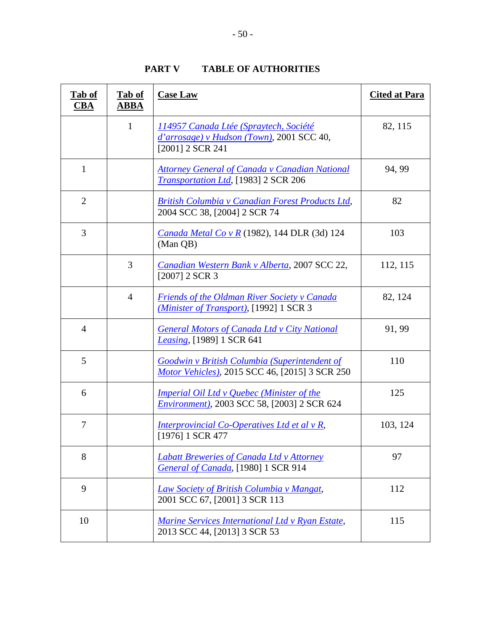<span id="page-57-0"></span>

| Tab of<br>$CBA$ | Tab of<br><b>ABBA</b> | <b>Case Law</b>                                                                                            | <b>Cited at Para</b> |
|-----------------|-----------------------|------------------------------------------------------------------------------------------------------------|----------------------|
|                 | $\mathbf{1}$          | 114957 Canada Ltée (Spraytech, Société<br>$d'arrosage$ ) v Hudson (Town), 2001 SCC 40,<br>[2001] 2 SCR 241 | 82, 115              |
| 1               |                       | <b>Attorney General of Canada v Canadian National</b><br><b>Transportation Ltd.</b> [1983] 2 SCR 206       | 94, 99               |
| $\overline{2}$  |                       | <b>British Columbia v Canadian Forest Products Ltd,</b><br>2004 SCC 38, [2004] 2 SCR 74                    | 82                   |
| 3               |                       | <i>Canada Metal Co v R</i> (1982), 144 DLR (3d) 124<br>(Man QB)                                            | 103                  |
|                 | 3                     | Canadian Western Bank v Alberta, 2007 SCC 22,<br>$[2007]$ 2 SCR 3                                          | 112, 115             |
|                 | $\overline{4}$        | <b>Friends of the Oldman River Society v Canada</b><br>(Minister of Transport), [1992] 1 SCR 3             | 82, 124              |
| $\overline{4}$  |                       | <b>General Motors of Canada Ltd v City National</b><br>Leasing, [1989] 1 SCR 641                           | 91, 99               |
| 5               |                       | <b>Goodwin v British Columbia (Superintendent of</b><br>Motor Vehicles), 2015 SCC 46, [2015] 3 SCR 250     | 110                  |
| 6               |                       | Imperial Oil Ltd v Quebec (Minister of the<br><i>Environment</i> ), 2003 SCC 58, [2003] 2 SCR 624          | 125                  |
| 7               |                       | Interprovincial Co-Operatives Ltd et al v R,<br>[1976] 1 SCR 477                                           | 103, 124             |
| 8               |                       | <b>Labatt Breweries of Canada Ltd v Attorney</b><br>General of Canada, [1980] 1 SCR 914                    | 97                   |
| 9               |                       | Law Society of British Columbia v Mangat,<br>2001 SCC 67, [2001] 3 SCR 113                                 | 112                  |
| 10              |                       | Marine Services International Ltd v Ryan Estate,<br>2013 SCC 44, [2013] 3 SCR 53                           | 115                  |

**PART V TABLE OF AUTHORITIES**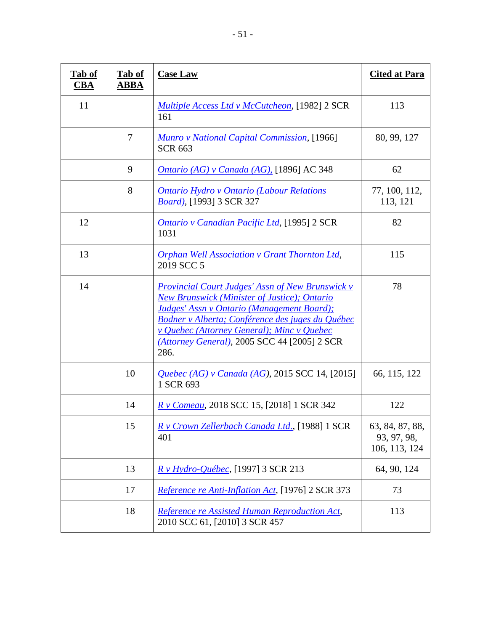| Tab of<br>$\overline{\text{CBA}}$ | Tab of<br><b>ABBA</b> | <b>Case Law</b>                                                                                                                                                                                                                                                                                                                             | <b>Cited at Para</b>                            |
|-----------------------------------|-----------------------|---------------------------------------------------------------------------------------------------------------------------------------------------------------------------------------------------------------------------------------------------------------------------------------------------------------------------------------------|-------------------------------------------------|
| 11                                |                       | <i>Multiple Access Ltd v McCutcheon</i> , [1982] 2 SCR<br>161                                                                                                                                                                                                                                                                               | 113                                             |
|                                   | $\overline{7}$        | <b>Munro v National Capital Commission, [1966]</b><br><b>SCR 663</b>                                                                                                                                                                                                                                                                        | 80, 99, 127                                     |
|                                   | 9                     | Ontario (AG) v Canada (AG), [1896] AC 348                                                                                                                                                                                                                                                                                                   | 62                                              |
|                                   | 8                     | <b>Ontario Hydro v Ontario (Labour Relations</b><br><i>Board</i> ), [1993] 3 SCR 327                                                                                                                                                                                                                                                        | 77, 100, 112,<br>113, 121                       |
| 12                                |                       | <b>Ontario y Canadian Pacific Ltd, [1995] 2 SCR</b><br>1031                                                                                                                                                                                                                                                                                 | 82                                              |
| 13                                |                       | <b>Orphan Well Association v Grant Thornton Ltd,</b><br>2019 SCC 5                                                                                                                                                                                                                                                                          | 115                                             |
| 14                                |                       | <b>Provincial Court Judges' Assn of New Brunswick v</b><br><b>New Brunswick (Minister of Justice); Ontario</b><br><b>Judges' Assn v Ontario (Management Board);</b><br>Bodner v Alberta; Conférence des juges du Québec<br><i>v</i> Quebec (Attorney General); Minc <i>v</i> Quebec<br>(Attorney General), 2005 SCC 44 [2005] 2 SCR<br>286. | 78                                              |
|                                   | 10                    | Quebec (AG) v Canada (AG), 2015 SCC 14, [2015]<br>1 SCR 693                                                                                                                                                                                                                                                                                 | 66, 115, 122                                    |
|                                   | 14                    | <i>R v Comeau</i> , 2018 SCC 15, [2018] 1 SCR 342                                                                                                                                                                                                                                                                                           | 122                                             |
|                                   | 15                    | R v Crown Zellerbach Canada Ltd., [1988] 1 SCR<br>401                                                                                                                                                                                                                                                                                       | 63, 84, 87, 88,<br>93, 97, 98,<br>106, 113, 124 |
|                                   | 13                    | R v Hydro-Québec, [1997] 3 SCR 213                                                                                                                                                                                                                                                                                                          | 64, 90, 124                                     |
|                                   | 17                    | Reference re Anti-Inflation Act, [1976] 2 SCR 373                                                                                                                                                                                                                                                                                           | 73                                              |
|                                   | 18                    | Reference re Assisted Human Reproduction Act,<br>2010 SCC 61, [2010] 3 SCR 457                                                                                                                                                                                                                                                              | 113                                             |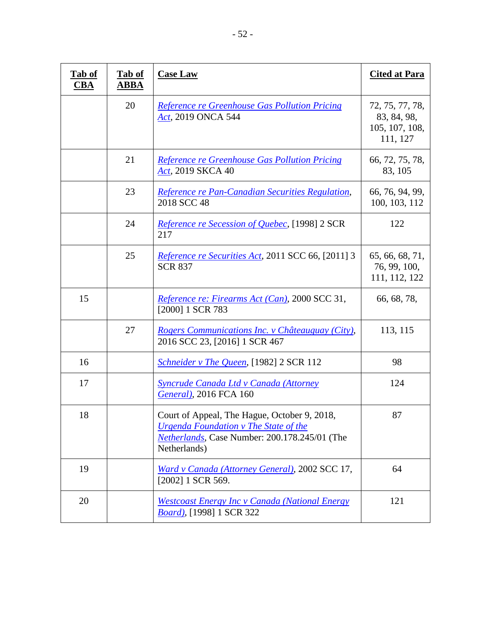| Tab of<br><u>CBA</u> | Tab of<br><b>ABBA</b> | <b>Case Law</b>                                                                                                                                               | <b>Cited at Para</b>                                         |
|----------------------|-----------------------|---------------------------------------------------------------------------------------------------------------------------------------------------------------|--------------------------------------------------------------|
|                      | 20                    | Reference re Greenhouse Gas Pollution Pricing<br>Act, 2019 ONCA 544                                                                                           | 72, 75, 77, 78,<br>83, 84, 98,<br>105, 107, 108,<br>111, 127 |
|                      | 21                    | Reference re Greenhouse Gas Pollution Pricing<br>Act, 2019 SKCA 40                                                                                            | 66, 72, 75, 78,<br>83, 105                                   |
|                      | 23                    | Reference re Pan-Canadian Securities Regulation,<br>2018 SCC 48                                                                                               | 66, 76, 94, 99,<br>100, 103, 112                             |
|                      | 24                    | <i>Reference re Secession of Quebec</i> , [1998] 2 SCR<br>217                                                                                                 | 122                                                          |
|                      | 25                    | <i>Reference re Securities Act, 2011 SCC 66, [2011] 3</i><br><b>SCR 837</b>                                                                                   | 65, 66, 68, 71,<br>76, 99, 100,<br>111, 112, 122             |
| 15                   |                       | Reference re: Firearms Act (Can), 2000 SCC 31,<br>[2000] 1 SCR 783                                                                                            | 66, 68, 78,                                                  |
|                      | 27                    | Rogers Communications Inc. v Châteauguay (City),<br>2016 SCC 23, [2016] 1 SCR 467                                                                             | 113, 115                                                     |
| 16                   |                       | <i>Schneider v The Queen,</i> [1982] 2 SCR 112                                                                                                                | 98                                                           |
| 17                   |                       | Syncrude Canada Ltd v Canada (Attorney<br>General), 2016 FCA 160                                                                                              | 124                                                          |
| 18                   |                       | Court of Appeal, The Hague, October 9, 2018,<br><b>Urgenda Foundation v The State of the</b><br>Netherlands, Case Number: 200.178.245/01 (The<br>Netherlands) | 87                                                           |
| 19                   |                       | Ward v Canada (Attorney General), 2002 SCC 17,<br>[2002] 1 SCR 569.                                                                                           | 64                                                           |
| 20                   |                       | <b>Westcoast Energy Inc v Canada (National Energy</b><br><b>Board</b> ), [1998] 1 SCR 322                                                                     | 121                                                          |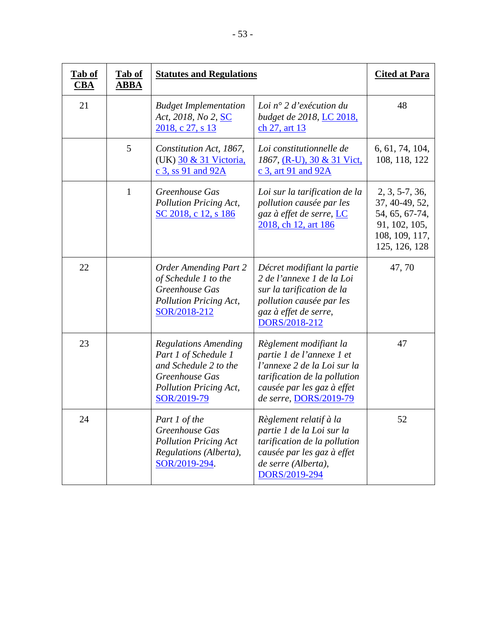| Tab of<br>$\overline{\text{CBA}}$ | Tab of<br>ABBA | <b>Statutes and Regulations</b>                                                                                                         |                                                                                                                                                                            | <b>Cited at Para</b>                                                                                     |
|-----------------------------------|----------------|-----------------------------------------------------------------------------------------------------------------------------------------|----------------------------------------------------------------------------------------------------------------------------------------------------------------------------|----------------------------------------------------------------------------------------------------------|
| 21                                |                | <b>Budget Implementation</b><br>Act, 2018, No 2, SC<br>2018, c 27, s 13                                                                 | Loi n° 2 d'exécution du<br>budget de 2018, LC 2018,<br>ch 27, art 13                                                                                                       | 48                                                                                                       |
|                                   | 5              | Constitution Act, 1867,<br>(UK) 30 & 31 Victoria,<br>c 3, ss 91 and 92A                                                                 | Loi constitutionnelle de<br>1867, (R-U), 30 & 31 Vict,<br>c 3, art 91 and 92A                                                                                              | 6, 61, 74, 104,<br>108, 118, 122                                                                         |
|                                   | $\mathbf{1}$   | Greenhouse Gas<br>Pollution Pricing Act,<br>SC 2018, c 12, s 186                                                                        | Loi sur la tarification de la<br>pollution causée par les<br>gaz à effet de serre, LC<br>2018, ch 12, art 186                                                              | $2, 3, 5-7, 36,$<br>37, 40-49, 52,<br>54, 65, 67-74,<br>91, 102, 105,<br>108, 109, 117,<br>125, 126, 128 |
| 22                                |                | <b>Order Amending Part 2</b><br>of Schedule 1 to the<br>Greenhouse Gas<br>Pollution Pricing Act,<br>SOR/2018-212                        | Décret modifiant la partie<br>2 de l'annexe 1 de la Loi<br>sur la tarification de la<br>pollution causée par les<br>gaz à effet de serre,<br>DORS/2018-212                 | 47,70                                                                                                    |
| 23                                |                | <b>Regulations Amending</b><br>Part 1 of Schedule 1<br>and Schedule 2 to the<br>Greenhouse Gas<br>Pollution Pricing Act,<br>SOR/2019-79 | Règlement modifiant la<br>partie 1 de l'annexe 1 et<br>l'annexe 2 de la Loi sur la<br>tarification de la pollution<br>causée par les gaz à effet<br>de serre, DORS/2019-79 | 47                                                                                                       |
| 24                                |                | Part 1 of the<br>Greenhouse Gas<br><b>Pollution Pricing Act</b><br>Regulations (Alberta),<br>SOR/2019-294.                              | Règlement relatif à la<br>partie 1 de la Loi sur la<br>tarification de la pollution<br>causée par les gaz à effet<br>de serre (Alberta),<br>DORS/2019-294                  | 52                                                                                                       |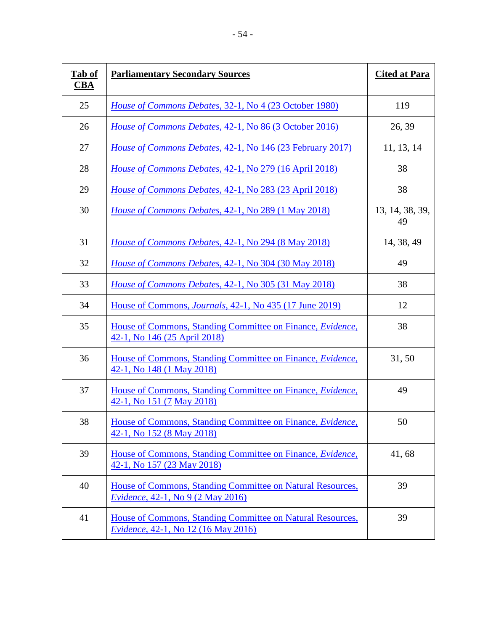| Tab of<br><u>CBA</u> | <b>Parliamentary Secondary Sources</b>                                                                  | <b>Cited at Para</b>  |
|----------------------|---------------------------------------------------------------------------------------------------------|-----------------------|
| 25                   | <i>House of Commons Debates, 32-1, No 4 (23 October 1980)</i>                                           | 119                   |
| 26                   | House of Commons Debates, 42-1, No 86 (3 October 2016)                                                  | 26, 39                |
| 27                   | <i>House of Commons Debates, 42-1, No 146 (23 February 2017)</i>                                        | 11, 13, 14            |
| 28                   | House of Commons Debates, 42-1, No 279 (16 April 2018)                                                  | 38                    |
| 29                   | House of Commons Debates, 42-1, No 283 (23 April 2018)                                                  | 38                    |
| 30                   | House of Commons Debates, 42-1, No 289 (1 May 2018)                                                     | 13, 14, 38, 39,<br>49 |
| 31                   | House of Commons Debates, 42-1, No 294 (8 May 2018)                                                     | 14, 38, 49            |
| 32                   | <i>House of Commons Debates, 42-1, No 304 (30 May 2018)</i>                                             | 49                    |
| 33                   | <i>House of Commons Debates, 42-1, No 305 (31 May 2018)</i>                                             | 38                    |
| 34                   | House of Commons, <i>Journals</i> , 42-1, No 435 (17 June 2019)                                         | 12                    |
| 35                   | House of Commons, Standing Committee on Finance, Evidence,<br>42-1, No 146 (25 April 2018)              | 38                    |
| 36                   | House of Commons, Standing Committee on Finance, <i>Evidence</i> ,<br>42-1, No 148 (1 May 2018)         | 31,50                 |
| 37                   | House of Commons, Standing Committee on Finance, Evidence,<br>42-1, No 151 (7 May 2018)                 | 49                    |
| 38                   | House of Commons, Standing Committee on Finance, <i>Evidence</i> ,<br>42-1, No 152 (8 May 2018)         | 50                    |
| 39                   | House of Commons, Standing Committee on Finance, Evidence,<br>42-1, No 157 (23 May 2018)                | 41,68                 |
| 40                   | House of Commons, Standing Committee on Natural Resources,<br><i>Evidence</i> , 42-1, No 9 (2 May 2016) | 39                    |
| 41                   | House of Commons, Standing Committee on Natural Resources,<br>Evidence, 42-1, No 12 (16 May 2016)       | 39                    |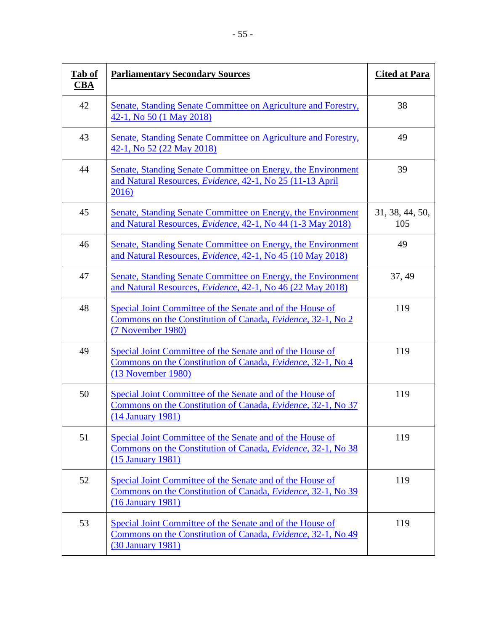| Tab of<br><u>CBA</u> | <b>Parliamentary Secondary Sources</b>                                                                                                                 | <b>Cited at Para</b>   |
|----------------------|--------------------------------------------------------------------------------------------------------------------------------------------------------|------------------------|
| 42                   | Senate, Standing Senate Committee on Agriculture and Forestry,<br>42-1, No 50 (1 May 2018)                                                             | 38                     |
| 43                   | Senate, Standing Senate Committee on Agriculture and Forestry,<br>42-1, No 52 (22 May 2018)                                                            | 49                     |
| 44                   | Senate, Standing Senate Committee on Energy, the Environment<br>and Natural Resources, Evidence, 42-1, No 25 (11-13 April<br>2016)                     | 39                     |
| 45                   | Senate, Standing Senate Committee on Energy, the Environment<br>and Natural Resources, <i>Evidence</i> , 42-1, No 44 (1-3 May 2018)                    | 31, 38, 44, 50,<br>105 |
| 46                   | Senate, Standing Senate Committee on Energy, the Environment<br>and Natural Resources, <i>Evidence</i> , 42-1, No 45 (10 May 2018)                     | 49                     |
| 47                   | Senate, Standing Senate Committee on Energy, the Environment<br>and Natural Resources, <i>Evidence</i> , 42-1, No 46 (22 May 2018)                     | 37, 49                 |
| 48                   | Special Joint Committee of the Senate and of the House of<br>Commons on the Constitution of Canada, Evidence, 32-1, No 2<br>(7 November 1980)          | 119                    |
| 49                   | Special Joint Committee of the Senate and of the House of<br>Commons on the Constitution of Canada, Evidence, 32-1, No 4<br>(13 November 1980)         | 119                    |
| 50                   | Special Joint Committee of the Senate and of the House of<br>Commons on the Constitution of Canada, <i>Evidence</i> , 32-1, No 37<br>(14 January 1981) | 119                    |
| 51                   | Special Joint Committee of the Senate and of the House of<br>Commons on the Constitution of Canada, <i>Evidence</i> , 32-1, No 38<br>(15 January 1981) | 119                    |
| 52                   | Special Joint Committee of the Senate and of the House of<br>Commons on the Constitution of Canada, <i>Evidence</i> , 32-1, No 39<br>(16 January 1981) | 119                    |
| 53                   | Special Joint Committee of the Senate and of the House of<br>Commons on the Constitution of Canada, Evidence, 32-1, No 49<br>(30 January 1981)         | 119                    |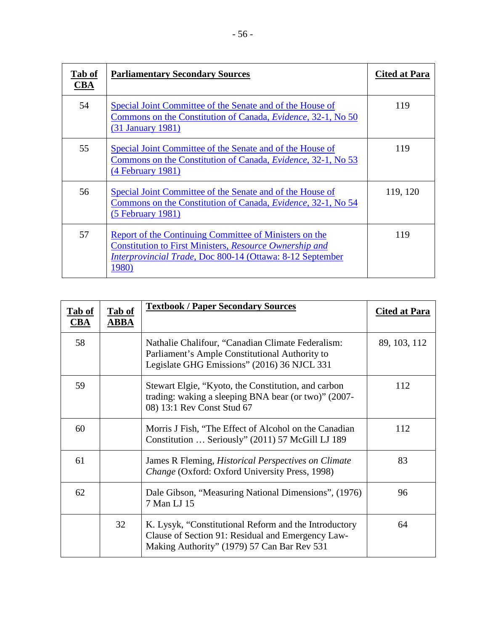| Tab of<br>CBA | <b>Parliamentary Secondary Sources</b>                                                                                                                                                                | <b>Cited at Para</b> |
|---------------|-------------------------------------------------------------------------------------------------------------------------------------------------------------------------------------------------------|----------------------|
| 54            | Special Joint Committee of the Senate and of the House of<br>Commons on the Constitution of Canada, <i>Evidence</i> , 32-1, No 50<br>$(31)$ January 1981)                                             | 119                  |
| 55            | Special Joint Committee of the Senate and of the House of<br>Commons on the Constitution of Canada, <i>Evidence</i> , 32-1, No 53<br>$(4$ February 1981)                                              | 119                  |
| 56            | Special Joint Committee of the Senate and of the House of<br>Commons on the Constitution of Canada, <i>Evidence</i> , 32-1, No 54<br>$(5$ February 1981)                                              | 119, 120             |
| 57            | Report of the Continuing Committee of Ministers on the<br><b>Constitution to First Ministers, Resource Ownership and</b><br><i>Interprovincial Trade, Doc 800-14 (Ottawa: 8-12 September</i><br>1980) | 119                  |

| Tab of<br><b>CBA</b> | Tab of<br><b>ABBA</b> | <b>Textbook / Paper Secondary Sources</b>                                                                                                                 | <b>Cited at Para</b> |
|----------------------|-----------------------|-----------------------------------------------------------------------------------------------------------------------------------------------------------|----------------------|
| 58                   |                       | Nathalie Chalifour, "Canadian Climate Federalism:<br>Parliament's Ample Constitutional Authority to<br>Legislate GHG Emissions" (2016) 36 NJCL 331        | 89, 103, 112         |
| 59                   |                       | Stewart Elgie, "Kyoto, the Constitution, and carbon<br>trading: waking a sleeping BNA bear (or two)" (2007-<br>08) 13:1 Rev Const Stud 67                 | 112                  |
| 60                   |                       | Morris J Fish, "The Effect of Alcohol on the Canadian<br>Constitution  Seriously" (2011) 57 McGill LJ 189                                                 | 112                  |
| 61                   |                       | James R Fleming, <i>Historical Perspectives on Climate</i><br>Change (Oxford: Oxford University Press, 1998)                                              | 83                   |
| 62                   |                       | Dale Gibson, "Measuring National Dimensions", (1976)<br>7 Man LJ 15                                                                                       | 96                   |
|                      | 32                    | K. Lysyk, "Constitutional Reform and the Introductory<br>Clause of Section 91: Residual and Emergency Law-<br>Making Authority" (1979) 57 Can Bar Rev 531 | 64                   |